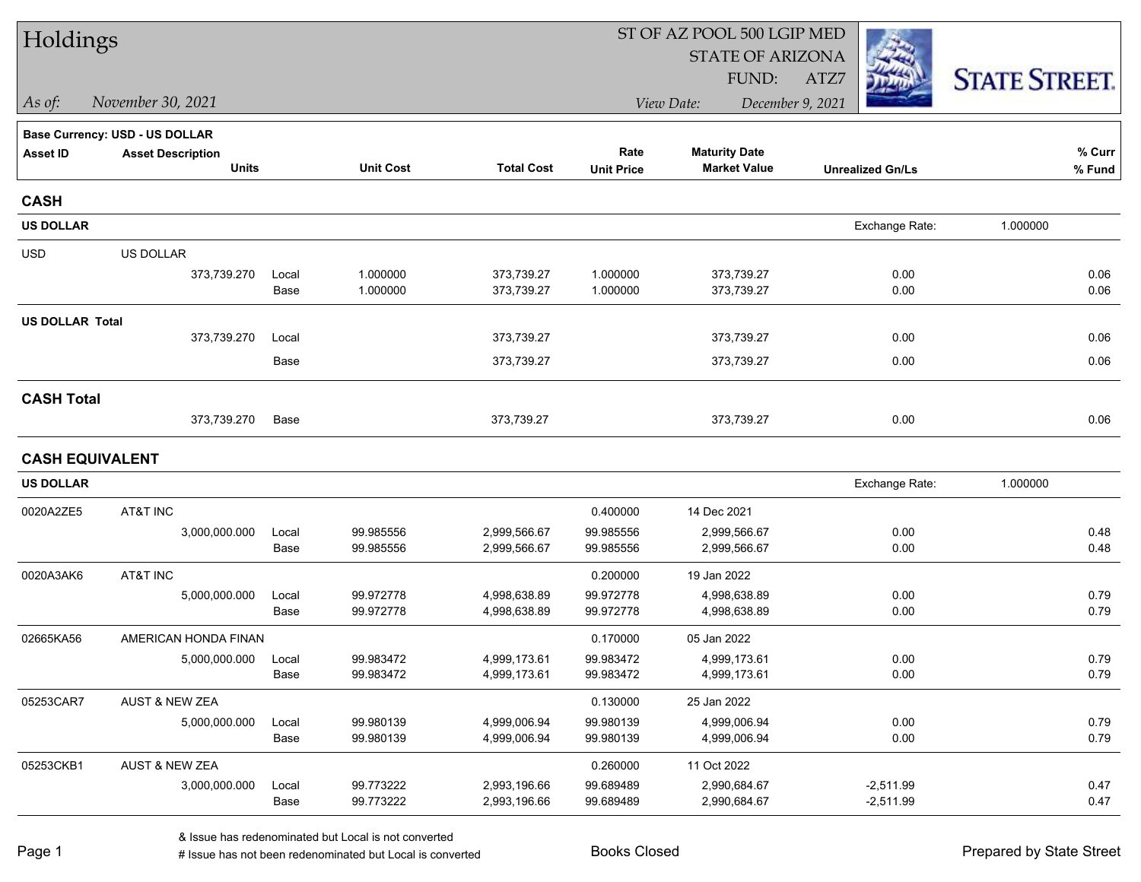| Holdings               |                                |       |                  |                   |                   | ST OF AZ POOL 500 LGIP MED |                         |                      |
|------------------------|--------------------------------|-------|------------------|-------------------|-------------------|----------------------------|-------------------------|----------------------|
|                        |                                |       |                  |                   |                   | <b>STATE OF ARIZONA</b>    |                         |                      |
|                        |                                |       |                  |                   |                   | FUND:                      | ATZ7                    | <b>STATE STREET.</b> |
| As of:                 | November 30, 2021              |       |                  |                   |                   | View Date:                 | December 9, 2021        |                      |
|                        | Base Currency: USD - US DOLLAR |       |                  |                   |                   |                            |                         |                      |
| <b>Asset ID</b>        | <b>Asset Description</b>       |       |                  |                   | Rate              | <b>Maturity Date</b>       |                         | % Curr               |
|                        | <b>Units</b>                   |       | <b>Unit Cost</b> | <b>Total Cost</b> | <b>Unit Price</b> | <b>Market Value</b>        | <b>Unrealized Gn/Ls</b> | % Fund               |
| <b>CASH</b>            |                                |       |                  |                   |                   |                            |                         |                      |
| <b>US DOLLAR</b>       |                                |       |                  |                   |                   |                            | Exchange Rate:          | 1.000000             |
| <b>USD</b>             | US DOLLAR                      |       |                  |                   |                   |                            |                         |                      |
|                        | 373,739.270                    | Local | 1.000000         | 373,739.27        | 1.000000          | 373,739.27                 | 0.00                    | 0.06                 |
|                        |                                | Base  | 1.000000         | 373,739.27        | 1.000000          | 373,739.27                 | 0.00                    | 0.06                 |
| <b>US DOLLAR Total</b> |                                |       |                  |                   |                   |                            |                         |                      |
|                        | 373,739.270                    | Local |                  | 373,739.27        |                   | 373,739.27                 | 0.00                    | 0.06                 |
|                        |                                | Base  |                  | 373,739.27        |                   | 373,739.27                 | 0.00                    | 0.06                 |
| <b>CASH Total</b>      |                                |       |                  |                   |                   |                            |                         |                      |
|                        | 373,739.270                    | Base  |                  | 373,739.27        |                   | 373,739.27                 | 0.00                    | 0.06                 |
| <b>CASH EQUIVALENT</b> |                                |       |                  |                   |                   |                            |                         |                      |
| <b>US DOLLAR</b>       |                                |       |                  |                   |                   |                            | Exchange Rate:          | 1.000000             |
| 0020A2ZE5              | AT&T INC                       |       |                  |                   | 0.400000          | 14 Dec 2021                |                         |                      |
|                        | 3,000,000.000                  | Local | 99.985556        | 2,999,566.67      | 99.985556         | 2,999,566.67               | 0.00                    | 0.48                 |
|                        |                                | Base  | 99.985556        | 2,999,566.67      | 99.985556         | 2,999,566.67               | 0.00                    | 0.48                 |
| 0020A3AK6              | AT&T INC                       |       |                  |                   | 0.200000          | 19 Jan 2022                |                         |                      |
|                        | 5,000,000.000                  | Local | 99.972778        | 4,998,638.89      | 99.972778         | 4,998,638.89               | 0.00                    | 0.79                 |
|                        |                                | Base  | 99.972778        | 4,998,638.89      | 99.972778         | 4,998,638.89               | 0.00                    | 0.79                 |
| 02665KA56              | AMERICAN HONDA FINAN           |       |                  |                   | 0.170000          | 05 Jan 2022                |                         |                      |
|                        | 5,000,000.000                  | Local | 99.983472        | 4,999,173.61      | 99.983472         | 4,999,173.61               | 0.00                    | 0.79                 |
|                        |                                | Base  | 99.983472        | 4,999,173.61      | 99.983472         | 4,999,173.61               | 0.00                    | 0.79                 |
| 05253CAR7              | AUST & NEW ZEA                 |       |                  |                   | 0.130000          | 25 Jan 2022                |                         |                      |
|                        | 5,000,000.000                  | Local | 99.980139        | 4,999,006.94      | 99.980139         | 4,999,006.94               | 0.00                    | 0.79                 |
|                        |                                | Base  | 99.980139        | 4,999,006.94      | 99.980139         | 4,999,006.94               | 0.00                    | 0.79                 |
| 05253CKB1              | AUST & NEW ZEA                 |       |                  |                   | 0.260000          | 11 Oct 2022                |                         |                      |
|                        | 3,000,000.000                  | Local | 99.773222        | 2,993,196.66      | 99.689489         | 2,990,684.67               | $-2,511.99$             | 0.47                 |
|                        |                                | Base  | 99.773222        | 2,993,196.66      | 99.689489         | 2,990,684.67               | $-2,511.99$             | 0.47                 |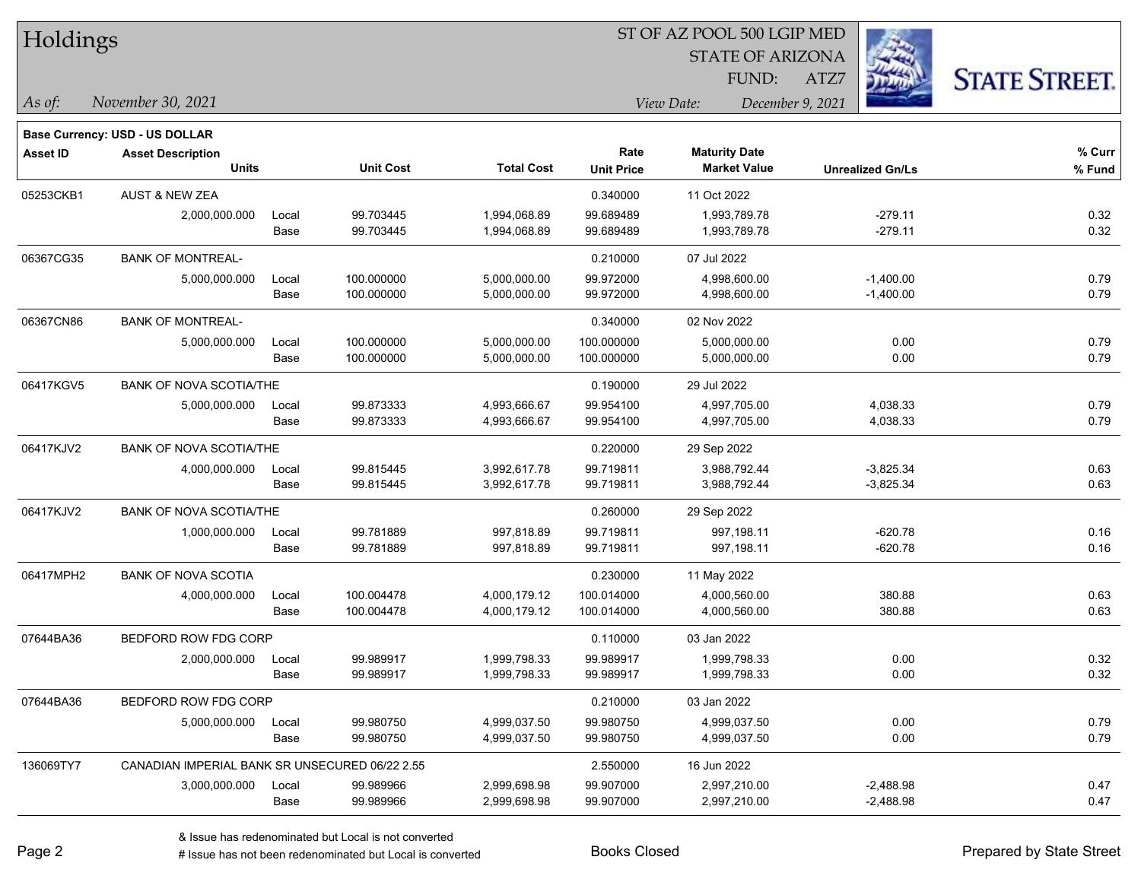| Holdings        |                                                |       |                  | ST OF AZ POOL 500 LGIP MED |                   |                         |                         |                      |  |  |
|-----------------|------------------------------------------------|-------|------------------|----------------------------|-------------------|-------------------------|-------------------------|----------------------|--|--|
|                 |                                                |       |                  |                            |                   | <b>STATE OF ARIZONA</b> |                         |                      |  |  |
|                 |                                                |       |                  |                            |                   | FUND:                   | ATZ7                    | <b>STATE STREET.</b> |  |  |
| As of:          | November 30, 2021                              |       |                  |                            |                   | View Date:              | December 9, 2021        |                      |  |  |
|                 | <b>Base Currency: USD - US DOLLAR</b>          |       |                  |                            |                   |                         |                         |                      |  |  |
| <b>Asset ID</b> | <b>Asset Description</b>                       |       |                  |                            | Rate              | <b>Maturity Date</b>    |                         | % Curr               |  |  |
|                 | <b>Units</b>                                   |       | <b>Unit Cost</b> | <b>Total Cost</b>          | <b>Unit Price</b> | <b>Market Value</b>     | <b>Unrealized Gn/Ls</b> | % Fund               |  |  |
| 05253CKB1       | <b>AUST &amp; NEW ZEA</b>                      |       |                  |                            | 0.340000          | 11 Oct 2022             |                         |                      |  |  |
|                 | 2,000,000.000                                  | Local | 99.703445        | 1,994,068.89               | 99.689489         | 1,993,789.78            | $-279.11$               | 0.32                 |  |  |
|                 |                                                | Base  | 99.703445        | 1,994,068.89               | 99.689489         | 1,993,789.78            | $-279.11$               | 0.32                 |  |  |
| 06367CG35       | <b>BANK OF MONTREAL-</b>                       |       |                  |                            | 0.210000          | 07 Jul 2022             |                         |                      |  |  |
|                 | 5,000,000.000                                  | Local | 100.000000       | 5,000,000.00               | 99.972000         | 4,998,600.00            | $-1,400.00$             | 0.79                 |  |  |
|                 |                                                | Base  | 100.000000       | 5,000,000.00               | 99.972000         | 4,998,600.00            | $-1,400.00$             | 0.79                 |  |  |
| 06367CN86       | <b>BANK OF MONTREAL-</b>                       |       |                  |                            | 0.340000          | 02 Nov 2022             |                         |                      |  |  |
|                 | 5,000,000.000                                  | Local | 100.000000       | 5,000,000.00               | 100.000000        | 5,000,000.00            | 0.00                    | 0.79                 |  |  |
|                 |                                                | Base  | 100.000000       | 5,000,000.00               | 100.000000        | 5,000,000.00            | 0.00                    | 0.79                 |  |  |
| 06417KGV5       | <b>BANK OF NOVA SCOTIA/THE</b>                 |       |                  |                            | 0.190000          | 29 Jul 2022             |                         |                      |  |  |
|                 | 5,000,000.000                                  | Local | 99.873333        | 4,993,666.67               | 99.954100         | 4,997,705.00            | 4,038.33                | 0.79                 |  |  |
|                 |                                                | Base  | 99.873333        | 4,993,666.67               | 99.954100         | 4,997,705.00            | 4,038.33                | 0.79                 |  |  |
| 06417KJV2       | <b>BANK OF NOVA SCOTIA/THE</b>                 |       |                  |                            | 0.220000          | 29 Sep 2022             |                         |                      |  |  |
|                 | 4,000,000.000                                  | Local | 99.815445        | 3,992,617.78               | 99.719811         | 3,988,792.44            | $-3,825.34$             | 0.63                 |  |  |
|                 |                                                | Base  | 99.815445        | 3,992,617.78               | 99.719811         | 3,988,792.44            | $-3,825.34$             | 0.63                 |  |  |
| 06417KJV2       | <b>BANK OF NOVA SCOTIA/THE</b>                 |       |                  |                            | 0.260000          | 29 Sep 2022             |                         |                      |  |  |
|                 | 1,000,000.000                                  | Local | 99.781889        | 997,818.89                 | 99.719811         | 997,198.11              | $-620.78$               | 0.16                 |  |  |
|                 |                                                | Base  | 99.781889        | 997,818.89                 | 99.719811         | 997,198.11              | $-620.78$               | 0.16                 |  |  |
| 06417MPH2       | <b>BANK OF NOVA SCOTIA</b>                     |       |                  |                            | 0.230000          | 11 May 2022             |                         |                      |  |  |
|                 | 4,000,000.000                                  | Local | 100.004478       | 4,000,179.12               | 100.014000        | 4,000,560.00            | 380.88                  | 0.63                 |  |  |
|                 |                                                | Base  | 100.004478       | 4,000,179.12               | 100.014000        | 4,000,560.00            | 380.88                  | 0.63                 |  |  |
| 07644BA36       | BEDFORD ROW FDG CORP                           |       |                  |                            | 0.110000          | 03 Jan 2022             |                         |                      |  |  |
|                 | 2,000,000.000                                  | Local | 99.989917        | 1,999,798.33               | 99.989917         | 1,999,798.33            | 0.00                    | 0.32                 |  |  |
|                 |                                                | Base  | 99.989917        | 1,999,798.33               | 99.989917         | 1,999,798.33            | 0.00                    | 0.32                 |  |  |
| 07644BA36       | BEDFORD ROW FDG CORP                           |       |                  |                            | 0.210000          | 03 Jan 2022             |                         |                      |  |  |
|                 | 5,000,000.000                                  | Local | 99.980750        | 4,999,037.50               | 99.980750         | 4,999,037.50            | 0.00                    | 0.79                 |  |  |
|                 |                                                | Base  | 99.980750        | 4,999,037.50               | 99.980750         | 4,999,037.50            | 0.00                    | 0.79                 |  |  |
| 136069TY7       | CANADIAN IMPERIAL BANK SR UNSECURED 06/22 2.55 |       |                  |                            | 2.550000          | 16 Jun 2022             |                         |                      |  |  |
|                 | 3,000,000.000                                  | Local | 99.989966        | 2,999,698.98               | 99.907000         | 2,997,210.00            | $-2,488.98$             | 0.47                 |  |  |
|                 |                                                | Base  | 99.989966        | 2,999,698.98               | 99.907000         | 2,997,210.00            | $-2,488.98$             | 0.47                 |  |  |

Г

 $\overline{\phantom{0}}$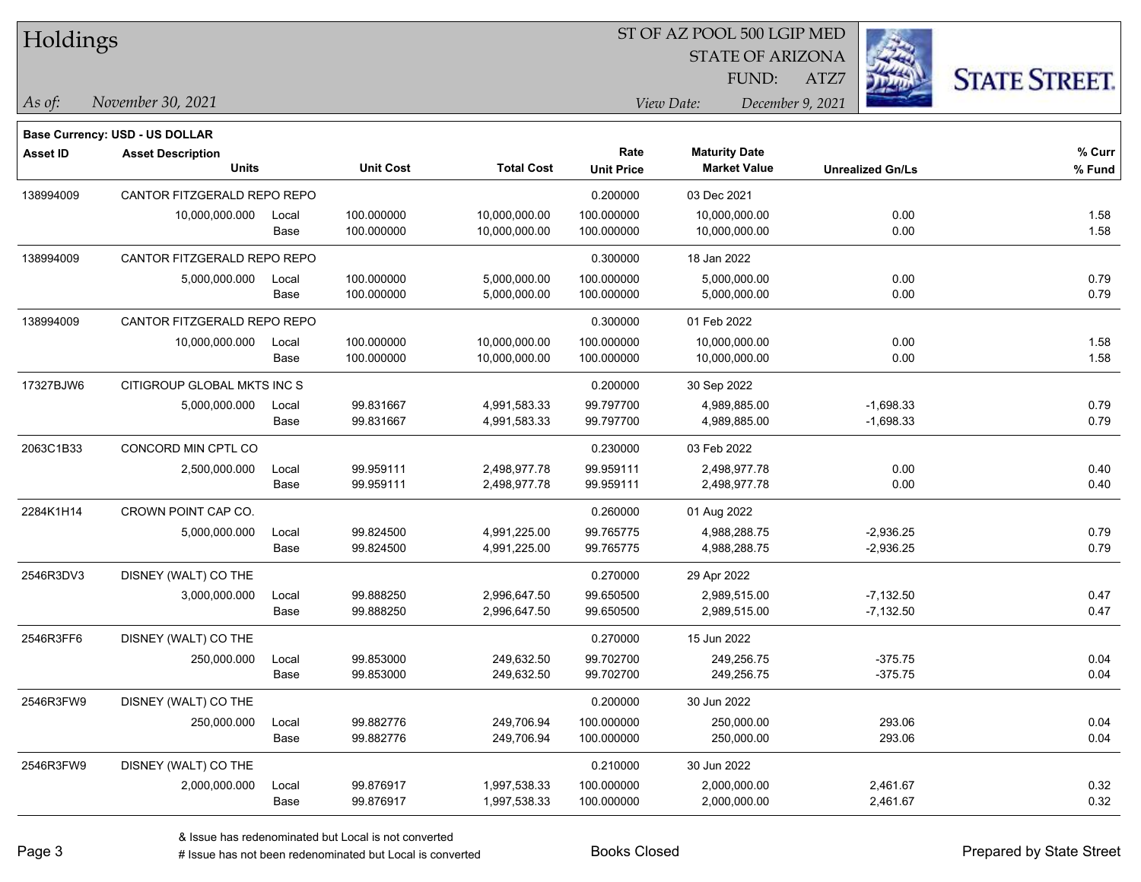| Holdings |  |
|----------|--|
|----------|--|

STATE OF ARIZONA

ATZ7



*November 30, 2021 As of: View Date: December 9, 2021*

**Base Currency: USD - US DOLLAR**

FUND:

| <b>Asset ID</b> | <b>Asset Description</b>    |       |                  |                   | Rate              | <b>Maturity Date</b> |                         | % Curr |
|-----------------|-----------------------------|-------|------------------|-------------------|-------------------|----------------------|-------------------------|--------|
|                 | <b>Units</b>                |       | <b>Unit Cost</b> | <b>Total Cost</b> | <b>Unit Price</b> | <b>Market Value</b>  | <b>Unrealized Gn/Ls</b> | % Fund |
| 138994009       | CANTOR FITZGERALD REPO REPO |       |                  |                   | 0.200000          | 03 Dec 2021          |                         |        |
|                 | 10,000,000.000              | Local | 100.000000       | 10,000,000.00     | 100.000000        | 10,000,000.00        | 0.00                    | 1.58   |
|                 |                             | Base  | 100.000000       | 10,000,000.00     | 100.000000        | 10,000,000.00        | 0.00                    | 1.58   |
| 138994009       | CANTOR FITZGERALD REPO REPO |       |                  |                   | 0.300000          | 18 Jan 2022          |                         |        |
|                 | 5,000,000.000               | Local | 100.000000       | 5,000,000.00      | 100.000000        | 5,000,000.00         | 0.00                    | 0.79   |
|                 |                             | Base  | 100.000000       | 5,000,000.00      | 100.000000        | 5,000,000.00         | 0.00                    | 0.79   |
| 138994009       | CANTOR FITZGERALD REPO REPO |       |                  |                   | 0.300000          | 01 Feb 2022          |                         |        |
|                 | 10,000,000.000              | Local | 100.000000       | 10,000,000.00     | 100.000000        | 10,000,000.00        | 0.00                    | 1.58   |
|                 |                             | Base  | 100.000000       | 10,000,000.00     | 100.000000        | 10,000,000.00        | 0.00                    | 1.58   |
| 17327BJW6       | CITIGROUP GLOBAL MKTS INC S |       |                  |                   | 0.200000          | 30 Sep 2022          |                         |        |
|                 | 5,000,000.000               | Local | 99.831667        | 4,991,583.33      | 99.797700         | 4,989,885.00         | $-1,698.33$             | 0.79   |
|                 |                             | Base  | 99.831667        | 4,991,583.33      | 99.797700         | 4,989,885.00         | $-1,698.33$             | 0.79   |
| 2063C1B33       | CONCORD MIN CPTL CO         |       |                  |                   | 0.230000          | 03 Feb 2022          |                         |        |
|                 | 2,500,000.000               | Local | 99.959111        | 2,498,977.78      | 99.959111         | 2,498,977.78         | 0.00                    | 0.40   |
|                 |                             | Base  | 99.959111        | 2,498,977.78      | 99.959111         | 2,498,977.78         | 0.00                    | 0.40   |
| 2284K1H14       | CROWN POINT CAP CO.         |       |                  |                   | 0.260000          | 01 Aug 2022          |                         |        |
|                 | 5,000,000.000               | Local | 99.824500        | 4,991,225.00      | 99.765775         | 4,988,288.75         | $-2,936.25$             | 0.79   |
|                 |                             | Base  | 99.824500        | 4,991,225.00      | 99.765775         | 4,988,288.75         | $-2,936.25$             | 0.79   |
| 2546R3DV3       | DISNEY (WALT) CO THE        |       |                  |                   | 0.270000          | 29 Apr 2022          |                         |        |
|                 | 3,000,000.000               | Local | 99.888250        | 2,996,647.50      | 99.650500         | 2,989,515.00         | $-7,132.50$             | 0.47   |
|                 |                             | Base  | 99.888250        | 2,996,647.50      | 99.650500         | 2,989,515.00         | $-7,132.50$             | 0.47   |
| 2546R3FF6       | DISNEY (WALT) CO THE        |       |                  |                   | 0.270000          | 15 Jun 2022          |                         |        |
|                 | 250,000.000                 | Local | 99.853000        | 249,632.50        | 99.702700         | 249,256.75           | $-375.75$               | 0.04   |
|                 |                             | Base  | 99.853000        | 249,632.50        | 99.702700         | 249,256.75           | $-375.75$               | 0.04   |
| 2546R3FW9       | DISNEY (WALT) CO THE        |       |                  |                   | 0.200000          | 30 Jun 2022          |                         |        |
|                 | 250,000.000                 | Local | 99.882776        | 249,706.94        | 100.000000        | 250,000.00           | 293.06                  | 0.04   |
|                 |                             | Base  | 99.882776        | 249,706.94        | 100.000000        | 250,000.00           | 293.06                  | 0.04   |
| 2546R3FW9       | DISNEY (WALT) CO THE        |       |                  |                   | 0.210000          | 30 Jun 2022          |                         |        |
|                 | 2,000,000.000               | Local | 99.876917        | 1,997,538.33      | 100.000000        | 2,000,000.00         | 2,461.67                | 0.32   |
|                 |                             | Base  | 99.876917        | 1,997,538.33      | 100.000000        | 2,000,000.00         | 2,461.67                | 0.32   |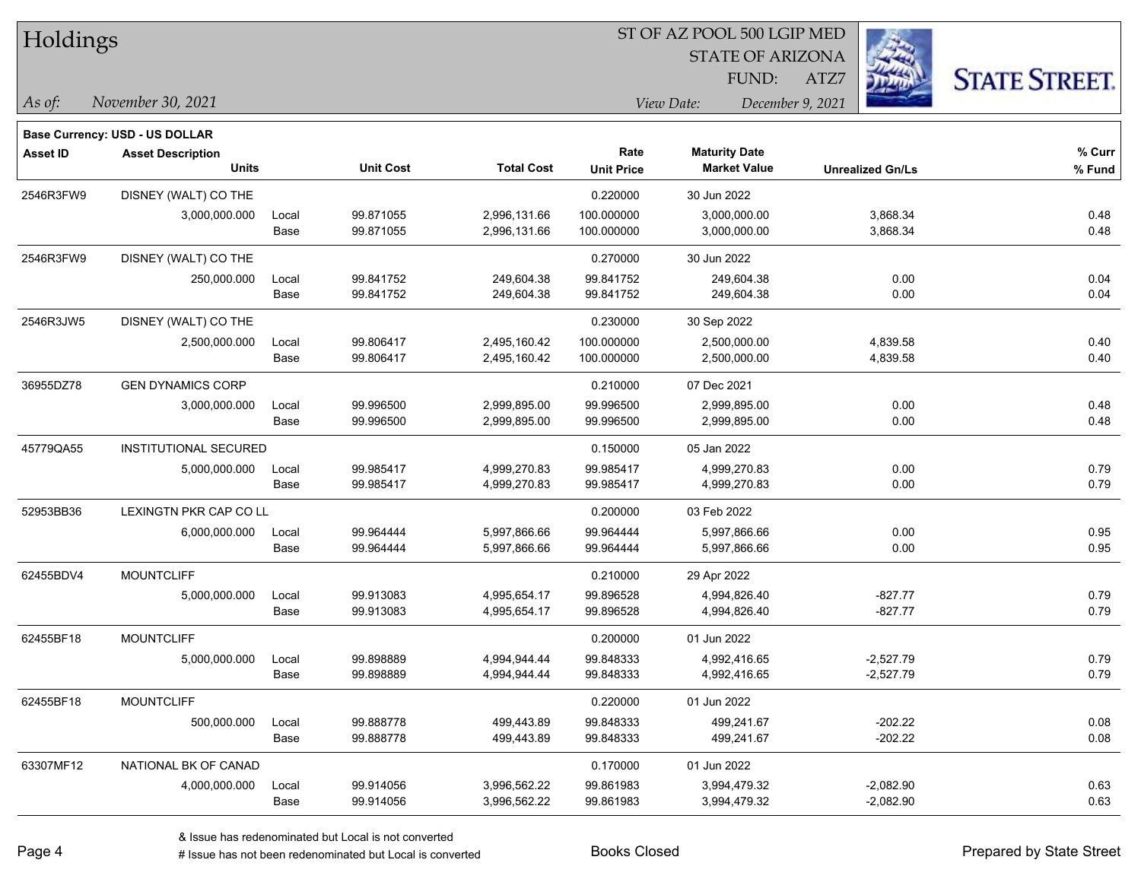| Holdings        |                                       |       |                  |                   |                   | ST OF AZ POOL 500 LGIP MED |                         |                      |
|-----------------|---------------------------------------|-------|------------------|-------------------|-------------------|----------------------------|-------------------------|----------------------|
|                 |                                       |       |                  |                   |                   | <b>STATE OF ARIZONA</b>    |                         |                      |
|                 |                                       |       |                  |                   |                   | FUND:                      | بملطفها<br>ATZ7         | <b>STATE STREET.</b> |
| As of:          | November 30, 2021                     |       |                  |                   |                   | View Date:                 | December 9, 2021        |                      |
|                 | <b>Base Currency: USD - US DOLLAR</b> |       |                  |                   |                   |                            |                         |                      |
| <b>Asset ID</b> | <b>Asset Description</b>              |       |                  |                   | Rate              | <b>Maturity Date</b>       |                         | % Curr               |
|                 | <b>Units</b>                          |       | <b>Unit Cost</b> | <b>Total Cost</b> | <b>Unit Price</b> | <b>Market Value</b>        | <b>Unrealized Gn/Ls</b> | % Fund               |
| 2546R3FW9       | DISNEY (WALT) CO THE                  |       |                  |                   | 0.220000          | 30 Jun 2022                |                         |                      |
|                 | 3,000,000.000                         | Local | 99.871055        | 2,996,131.66      | 100.000000        | 3,000,000.00               | 3,868.34                | 0.48                 |
|                 |                                       | Base  | 99.871055        | 2,996,131.66      | 100.000000        | 3,000,000.00               | 3,868.34                | 0.48                 |
| 2546R3FW9       | DISNEY (WALT) CO THE                  |       |                  |                   | 0.270000          | 30 Jun 2022                |                         |                      |
|                 | 250,000.000                           | Local | 99.841752        | 249,604.38        | 99.841752         | 249,604.38                 | 0.00                    | 0.04                 |
|                 |                                       | Base  | 99.841752        | 249,604.38        | 99.841752         | 249,604.38                 | 0.00                    | 0.04                 |
| 2546R3JW5       | DISNEY (WALT) CO THE                  |       |                  |                   | 0.230000          | 30 Sep 2022                |                         |                      |
|                 | 2,500,000.000                         | Local | 99.806417        | 2,495,160.42      | 100.000000        | 2,500,000.00               | 4,839.58                | 0.40                 |
|                 |                                       | Base  | 99.806417        | 2,495,160.42      | 100.000000        | 2,500,000.00               | 4,839.58                | 0.40                 |
| 36955DZ78       | <b>GEN DYNAMICS CORP</b>              |       |                  |                   | 0.210000          | 07 Dec 2021                |                         |                      |
|                 | 3,000,000.000                         | Local | 99.996500        | 2,999,895.00      | 99.996500         | 2,999,895.00               | 0.00                    | 0.48                 |
|                 |                                       | Base  | 99.996500        | 2,999,895.00      | 99.996500         | 2,999,895.00               | 0.00                    | 0.48                 |
| 45779QA55       | <b>INSTITUTIONAL SECURED</b>          |       |                  |                   | 0.150000          | 05 Jan 2022                |                         |                      |
|                 | 5,000,000.000                         | Local | 99.985417        | 4,999,270.83      | 99.985417         | 4,999,270.83               | 0.00                    | 0.79                 |
|                 |                                       | Base  | 99.985417        | 4,999,270.83      | 99.985417         | 4,999,270.83               | 0.00                    | 0.79                 |
| 52953BB36       | LEXINGTN PKR CAP CO LL                |       |                  |                   | 0.200000          | 03 Feb 2022                |                         |                      |
|                 | 6,000,000.000                         | Local | 99.964444        | 5,997,866.66      | 99.964444         | 5,997,866.66               | 0.00                    | 0.95                 |
|                 |                                       | Base  | 99.964444        | 5,997,866.66      | 99.964444         | 5,997,866.66               | 0.00                    | 0.95                 |
| 62455BDV4       | <b>MOUNTCLIFF</b>                     |       |                  |                   | 0.210000          | 29 Apr 2022                |                         |                      |
|                 | 5,000,000.000                         | Local | 99.913083        | 4,995,654.17      | 99.896528         | 4,994,826.40               | $-827.77$               | 0.79                 |
|                 |                                       | Base  | 99.913083        | 4,995,654.17      | 99.896528         | 4,994,826.40               | $-827.77$               | 0.79                 |
| 62455BF18       | <b>MOUNTCLIFF</b>                     |       |                  |                   | 0.200000          | 01 Jun 2022                |                         |                      |
|                 | 5,000,000.000                         | Local | 99.898889        | 4,994,944.44      | 99.848333         | 4,992,416.65               | $-2,527.79$             | 0.79                 |
|                 |                                       | Base  | 99.898889        | 4,994,944.44      | 99.848333         | 4,992,416.65               | $-2,527.79$             | 0.79                 |
| 62455BF18       | <b>MOUNTCLIFF</b>                     |       |                  |                   | 0.220000          | 01 Jun 2022                |                         |                      |
|                 | 500,000.000                           | Local | 99.888778        | 499,443.89        | 99.848333         | 499,241.67                 | $-202.22$               | 0.08                 |
|                 |                                       | Base  | 99.888778        | 499,443.89        | 99.848333         | 499,241.67                 | $-202.22$               | 0.08                 |
| 63307MF12       | NATIONAL BK OF CANAD                  |       |                  |                   | 0.170000          | 01 Jun 2022                |                         |                      |
|                 | 4,000,000.000                         | Local | 99.914056        | 3,996,562.22      | 99.861983         | 3,994,479.32               | $-2,082.90$             | 0.63                 |
|                 |                                       | Base  | 99.914056        | 3,996,562.22      | 99.861983         | 3,994,479.32               | $-2,082.90$             | 0.63                 |

 $\frac{1}{2}$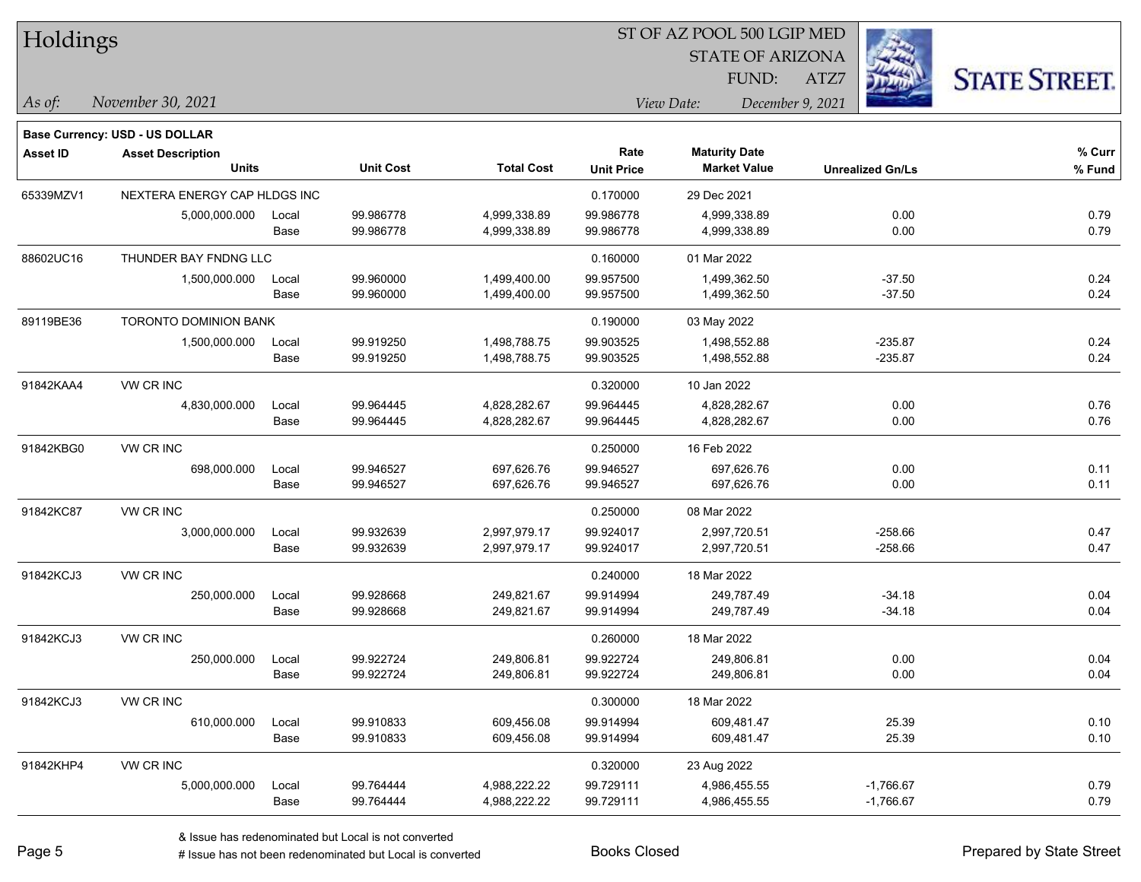| Holdings        |                                       |       |                  |                   |                   |                         |                         |                      |
|-----------------|---------------------------------------|-------|------------------|-------------------|-------------------|-------------------------|-------------------------|----------------------|
|                 |                                       |       |                  |                   |                   | <b>STATE OF ARIZONA</b> |                         |                      |
|                 |                                       |       |                  |                   |                   | FUND:                   | ATZ7                    | <b>STATE STREET.</b> |
| As of:          | November 30, 2021                     |       |                  |                   |                   | View Date:              | December 9, 2021        |                      |
|                 | <b>Base Currency: USD - US DOLLAR</b> |       |                  |                   |                   |                         |                         |                      |
| <b>Asset ID</b> | <b>Asset Description</b>              |       |                  |                   | Rate              | <b>Maturity Date</b>    |                         | % Curr               |
|                 | <b>Units</b>                          |       | <b>Unit Cost</b> | <b>Total Cost</b> | <b>Unit Price</b> | <b>Market Value</b>     | <b>Unrealized Gn/Ls</b> | % Fund               |
| 65339MZV1       | NEXTERA ENERGY CAP HLDGS INC          |       |                  |                   | 0.170000          | 29 Dec 2021             |                         |                      |
|                 | 5,000,000.000                         | Local | 99.986778        | 4,999,338.89      | 99.986778         | 4,999,338.89            | 0.00                    | 0.79                 |
|                 |                                       | Base  | 99.986778        | 4,999,338.89      | 99.986778         | 4,999,338.89            | 0.00                    | 0.79                 |
| 88602UC16       | THUNDER BAY FNDNG LLC                 |       |                  |                   | 0.160000          | 01 Mar 2022             |                         |                      |
|                 | 1,500,000.000                         | Local | 99.960000        | 1,499,400.00      | 99.957500         | 1,499,362.50            | $-37.50$                | 0.24                 |
|                 |                                       | Base  | 99.960000        | 1,499,400.00      | 99.957500         | 1,499,362.50            | $-37.50$                | 0.24                 |
| 89119BE36       | <b>TORONTO DOMINION BANK</b>          |       |                  |                   | 0.190000          | 03 May 2022             |                         |                      |
|                 | 1,500,000.000                         | Local | 99.919250        | 1,498,788.75      | 99.903525         | 1,498,552.88            | $-235.87$               | 0.24                 |
|                 |                                       | Base  | 99.919250        | 1,498,788.75      | 99.903525         | 1,498,552.88            | $-235.87$               | 0.24                 |
| 91842KAA4       | VW CR INC                             |       |                  |                   | 0.320000          | 10 Jan 2022             |                         |                      |
|                 | 4,830,000.000                         | Local | 99.964445        | 4,828,282.67      | 99.964445         | 4,828,282.67            | 0.00                    | 0.76                 |
|                 |                                       | Base  | 99.964445        | 4,828,282.67      | 99.964445         | 4,828,282.67            | 0.00                    | 0.76                 |
| 91842KBG0       | VW CR INC                             |       |                  |                   | 0.250000          | 16 Feb 2022             |                         |                      |
|                 | 698,000.000                           | Local | 99.946527        | 697,626.76        | 99.946527         | 697,626.76              | 0.00                    | 0.11                 |
|                 |                                       | Base  | 99.946527        | 697,626.76        | 99.946527         | 697,626.76              | 0.00                    | 0.11                 |
| 91842KC87       | VW CR INC                             |       |                  |                   | 0.250000          | 08 Mar 2022             |                         |                      |
|                 | 3,000,000.000                         | Local | 99.932639        | 2,997,979.17      | 99.924017         | 2,997,720.51            | $-258.66$               | 0.47                 |
|                 |                                       | Base  | 99.932639        | 2,997,979.17      | 99.924017         | 2,997,720.51            | $-258.66$               | 0.47                 |
| 91842KCJ3       | VW CR INC                             |       |                  |                   | 0.240000          | 18 Mar 2022             |                         |                      |
|                 | 250,000.000                           | Local | 99.928668        | 249,821.67        | 99.914994         | 249,787.49              | $-34.18$                | 0.04                 |
|                 |                                       | Base  | 99.928668        | 249,821.67        | 99.914994         | 249,787.49              | $-34.18$                | 0.04                 |
| 91842KCJ3       | VW CR INC                             |       |                  |                   | 0.260000          | 18 Mar 2022             |                         |                      |
|                 | 250,000.000                           | Local | 99.922724        | 249,806.81        | 99.922724         | 249,806.81              | 0.00                    | 0.04                 |
|                 |                                       | Base  | 99.922724        | 249,806.81        | 99.922724         | 249,806.81              | 0.00                    | 0.04                 |
| 91842KCJ3       | VW CR INC                             |       |                  |                   | 0.300000          | 18 Mar 2022             |                         |                      |
|                 | 610,000.000                           | Local | 99.910833        | 609,456.08        | 99.914994         | 609,481.47              | 25.39                   | 0.10                 |
|                 |                                       | Base  | 99.910833        | 609,456.08        | 99.914994         | 609,481.47              | 25.39                   | 0.10                 |
| 91842KHP4       | VW CR INC                             |       |                  |                   | 0.320000          | 23 Aug 2022             |                         |                      |
|                 | 5,000,000.000                         | Local | 99.764444        | 4,988,222.22      | 99.729111         | 4,986,455.55            | $-1,766.67$             | 0.79                 |
|                 |                                       | Base  | 99.764444        | 4,988,222.22      | 99.729111         | 4,986,455.55            | $-1,766.67$             | 0.79                 |

 $\overline{\phantom{0}}$ 

 $\overline{a}$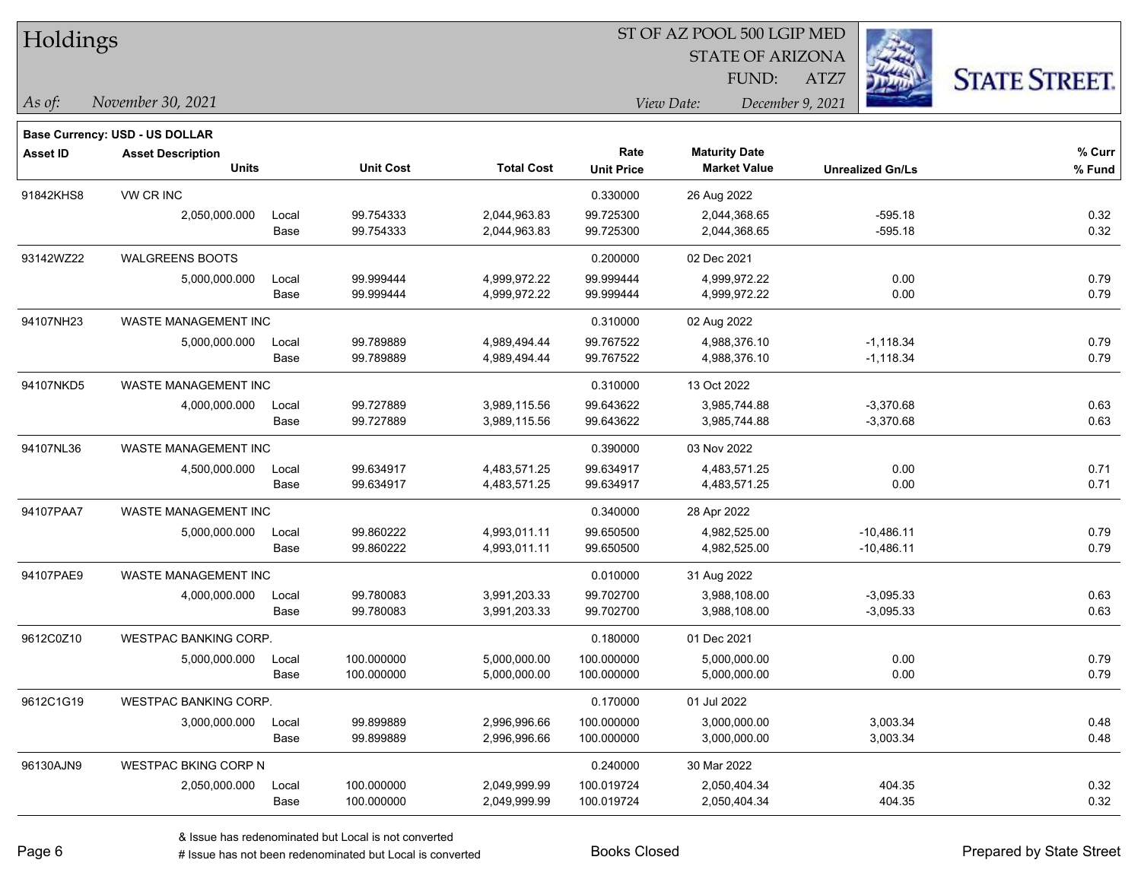| Holdings        |                                |                  |                   | ST OF AZ POOL 500 LGIP MED<br><b>STATE OF ARIZONA</b> |                                |                         |                      |  |  |  |
|-----------------|--------------------------------|------------------|-------------------|-------------------------------------------------------|--------------------------------|-------------------------|----------------------|--|--|--|
|                 |                                |                  |                   |                                                       | FUND:                          | ATZ7                    | <b>STATE STREET.</b> |  |  |  |
| As of:          | November 30, 2021              |                  |                   |                                                       | View Date:<br>December 9, 2021 |                         |                      |  |  |  |
|                 | Base Currency: USD - US DOLLAR |                  |                   |                                                       |                                |                         |                      |  |  |  |
| <b>Asset ID</b> | <b>Asset Description</b>       |                  |                   | Rate                                                  | <b>Maturity Date</b>           |                         | % Curr               |  |  |  |
|                 | <b>Units</b>                   | <b>Unit Cost</b> | <b>Total Cost</b> | <b>Unit Price</b>                                     | <b>Market Value</b>            | <b>Unrealized Gn/Ls</b> | % Fund               |  |  |  |
| 91842KHS8       | VW CR INC                      |                  |                   | 0.330000                                              | 26 Aug 2022                    |                         |                      |  |  |  |
|                 | 2,050,000.000<br>Local         | 99.754333        | 2,044,963.83      | 99.725300                                             | 2,044,368.65                   | $-595.18$               | 0.32                 |  |  |  |
|                 | Base                           | 99.754333        | 2,044,963.83      | 99.725300                                             | 2,044,368.65                   | $-595.18$               | 0.32                 |  |  |  |
| 93142WZ22       | <b>WALGREENS BOOTS</b>         |                  |                   | 0.200000                                              | 02 Dec 2021                    |                         |                      |  |  |  |
|                 | 5,000,000.000<br>Local         | 99.999444        | 4,999,972.22      | 99.999444                                             | 4,999,972.22                   | 0.00                    | 0.79                 |  |  |  |
|                 | Base                           | 99.999444        | 4,999,972.22      | 99.999444                                             | 4,999,972.22                   | 0.00                    | 0.79                 |  |  |  |
| 94107NH23       | WASTE MANAGEMENT INC           |                  |                   | 0.310000                                              | 02 Aug 2022                    |                         |                      |  |  |  |
|                 | 5,000,000.000<br>Local         | 99.789889        | 4,989,494.44      | 99.767522                                             | 4,988,376.10                   | $-1,118.34$             | 0.79                 |  |  |  |
|                 | Base                           | 99.789889        | 4,989,494.44      | 99.767522                                             | 4,988,376.10                   | $-1,118.34$             | 0.79                 |  |  |  |
| 94107NKD5       | WASTE MANAGEMENT INC           |                  |                   | 0.310000                                              | 13 Oct 2022                    |                         |                      |  |  |  |
|                 | 4,000,000.000<br>Local         | 99.727889        | 3,989,115.56      | 99.643622                                             | 3,985,744.88                   | $-3,370.68$             | 0.63                 |  |  |  |
|                 | Base                           | 99.727889        | 3,989,115.56      | 99.643622                                             | 3,985,744.88                   | $-3,370.68$             | 0.63                 |  |  |  |
| 94107NL36       | WASTE MANAGEMENT INC           |                  |                   | 0.390000                                              | 03 Nov 2022                    |                         |                      |  |  |  |
|                 | 4,500,000.000<br>Local         | 99.634917        | 4,483,571.25      | 99.634917                                             | 4,483,571.25                   | 0.00                    | 0.71                 |  |  |  |
|                 | Base                           | 99.634917        | 4,483,571.25      | 99.634917                                             | 4,483,571.25                   | 0.00                    | 0.71                 |  |  |  |
| 94107PAA7       | WASTE MANAGEMENT INC           |                  |                   | 0.340000                                              | 28 Apr 2022                    |                         |                      |  |  |  |
|                 | 5,000,000.000<br>Local         | 99.860222        | 4,993,011.11      | 99.650500                                             | 4,982,525.00                   | $-10,486.11$            | 0.79                 |  |  |  |
|                 | Base                           | 99.860222        | 4,993,011.11      | 99.650500                                             | 4,982,525.00                   | $-10,486.11$            | 0.79                 |  |  |  |
| 94107PAE9       | WASTE MANAGEMENT INC           |                  |                   | 0.010000                                              | 31 Aug 2022                    |                         |                      |  |  |  |
|                 | 4,000,000.000<br>Local         | 99.780083        | 3,991,203.33      | 99.702700                                             | 3,988,108.00                   | $-3,095.33$             | 0.63                 |  |  |  |
|                 | Base                           | 99.780083        | 3,991,203.33      | 99.702700                                             | 3,988,108.00                   | $-3,095.33$             | 0.63                 |  |  |  |
| 9612C0Z10       | <b>WESTPAC BANKING CORP.</b>   |                  |                   | 0.180000                                              | 01 Dec 2021                    |                         |                      |  |  |  |
|                 | 5,000,000.000<br>Local         | 100.000000       | 5,000,000.00      | 100.000000                                            | 5,000,000.00                   | 0.00                    | 0.79                 |  |  |  |
|                 | Base                           | 100.000000       | 5,000,000.00      | 100.000000                                            | 5,000,000.00                   | 0.00                    | 0.79                 |  |  |  |
| 9612C1G19       | <b>WESTPAC BANKING CORP.</b>   |                  |                   | 0.170000                                              | 01 Jul 2022                    |                         |                      |  |  |  |
|                 | 3,000,000.000<br>Local         | 99.899889        | 2,996,996.66      | 100.000000                                            | 3,000,000.00                   | 3,003.34                | 0.48                 |  |  |  |
|                 | Base                           | 99.899889        | 2,996,996.66      | 100.000000                                            | 3,000,000.00                   | 3,003.34                | 0.48                 |  |  |  |
| 96130AJN9       | WESTPAC BKING CORP N           |                  |                   | 0.240000                                              | 30 Mar 2022                    |                         |                      |  |  |  |
|                 | 2,050,000.000<br>Local         | 100.000000       | 2,049,999.99      | 100.019724                                            | 2,050,404.34                   | 404.35                  | 0.32                 |  |  |  |
|                 | Base                           | 100.000000       | 2,049,999.99      | 100.019724                                            | 2,050,404.34                   | 404.35                  | 0.32                 |  |  |  |

 $\overline{\phantom{0}}$ 

 $\qquad \qquad$ 

 $\overline{\phantom{0}}$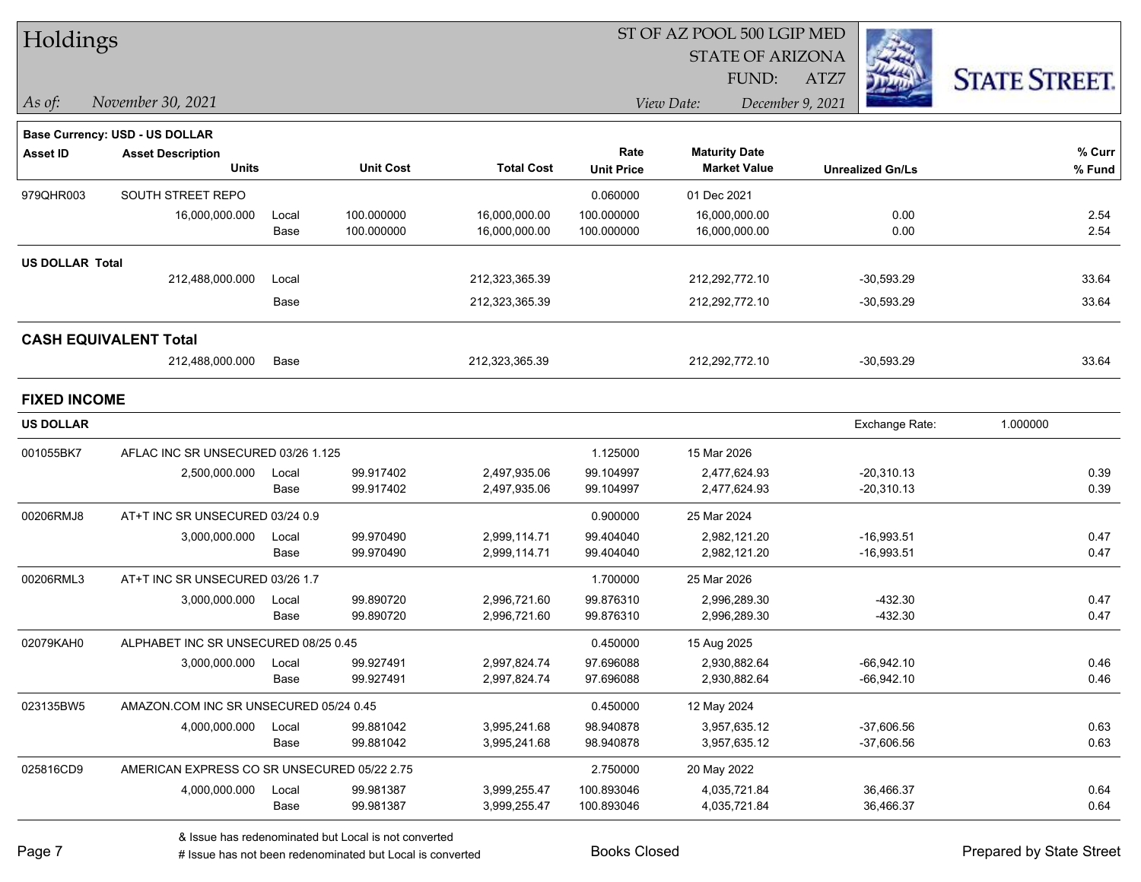| Holdings               |                                             |       |                  |                   | ST OF AZ POOL 500 LGIP MED |                         |                         |                      |  |  |
|------------------------|---------------------------------------------|-------|------------------|-------------------|----------------------------|-------------------------|-------------------------|----------------------|--|--|
|                        |                                             |       |                  |                   |                            | <b>STATE OF ARIZONA</b> |                         |                      |  |  |
|                        |                                             |       |                  |                   |                            | FUND:                   | ATZ7                    | <b>STATE STREET.</b> |  |  |
| As of:                 | November 30, 2021                           |       |                  |                   |                            | View Date:              | December 9, 2021        |                      |  |  |
|                        | <b>Base Currency: USD - US DOLLAR</b>       |       |                  |                   |                            |                         |                         |                      |  |  |
| <b>Asset ID</b>        | <b>Asset Description</b>                    |       |                  |                   | Rate                       | <b>Maturity Date</b>    |                         | % Curr               |  |  |
|                        | <b>Units</b>                                |       | <b>Unit Cost</b> | <b>Total Cost</b> | <b>Unit Price</b>          | <b>Market Value</b>     | <b>Unrealized Gn/Ls</b> | % Fund               |  |  |
| 979QHR003              | SOUTH STREET REPO                           |       |                  |                   | 0.060000                   | 01 Dec 2021             |                         |                      |  |  |
|                        | 16,000,000.000                              | Local | 100.000000       | 16,000,000.00     | 100.000000                 | 16,000,000.00           | 0.00                    | 2.54                 |  |  |
|                        |                                             | Base  | 100.000000       | 16,000,000.00     | 100.000000                 | 16,000,000.00           | 0.00                    | 2.54                 |  |  |
| <b>US DOLLAR Total</b> |                                             |       |                  |                   |                            |                         |                         |                      |  |  |
|                        | 212,488,000.000                             | Local |                  | 212,323,365.39    |                            | 212,292,772.10          | $-30,593.29$            | 33.64                |  |  |
|                        |                                             | Base  |                  | 212,323,365.39    |                            | 212,292,772.10          | $-30,593.29$            | 33.64                |  |  |
|                        | <b>CASH EQUIVALENT Total</b>                |       |                  |                   |                            |                         |                         |                      |  |  |
|                        | 212,488,000.000                             | Base  |                  | 212,323,365.39    |                            | 212,292,772.10          | $-30,593.29$            | 33.64                |  |  |
| <b>FIXED INCOME</b>    |                                             |       |                  |                   |                            |                         |                         |                      |  |  |
| <b>US DOLLAR</b>       |                                             |       |                  |                   |                            |                         | Exchange Rate:          | 1.000000             |  |  |
| 001055BK7              | AFLAC INC SR UNSECURED 03/26 1.125          |       |                  |                   | 1.125000                   | 15 Mar 2026             |                         |                      |  |  |
|                        | 2,500,000.000                               | Local | 99.917402        | 2,497,935.06      | 99.104997                  | 2,477,624.93            | $-20,310.13$            | 0.39                 |  |  |
|                        |                                             | Base  | 99.917402        | 2,497,935.06      | 99.104997                  | 2,477,624.93            | $-20,310.13$            | 0.39                 |  |  |
| 00206RMJ8              | AT+T INC SR UNSECURED 03/24 0.9             |       |                  |                   | 0.900000                   | 25 Mar 2024             |                         |                      |  |  |
|                        | 3,000,000.000                               | Local | 99.970490        | 2,999,114.71      | 99.404040                  | 2,982,121.20            | $-16,993.51$            | 0.47                 |  |  |
|                        |                                             | Base  | 99.970490        | 2,999,114.71      | 99.404040                  | 2,982,121.20            | $-16,993.51$            | 0.47                 |  |  |
| 00206RML3              | AT+T INC SR UNSECURED 03/26 1.7             |       |                  |                   | 1.700000                   | 25 Mar 2026             |                         |                      |  |  |
|                        | 3,000,000.000                               | Local | 99.890720        | 2,996,721.60      | 99.876310                  | 2,996,289.30            | $-432.30$               | 0.47                 |  |  |
|                        |                                             | Base  | 99.890720        | 2,996,721.60      | 99.876310                  | 2,996,289.30            | $-432.30$               | 0.47                 |  |  |
| 02079KAH0              | ALPHABET INC SR UNSECURED 08/25 0.45        |       |                  |                   | 0.450000                   | 15 Aug 2025             |                         |                      |  |  |
|                        | 3,000,000.000                               | Local | 99.927491        | 2,997,824.74      | 97.696088                  | 2,930,882.64            | $-66,942.10$            | 0.46                 |  |  |
|                        |                                             | Base  | 99.927491        | 2,997,824.74      | 97.696088                  | 2,930,882.64            | $-66,942.10$            | 0.46                 |  |  |
| 023135BW5              | AMAZON.COM INC SR UNSECURED 05/24 0.45      |       |                  |                   | 0.450000                   | 12 May 2024             |                         |                      |  |  |
|                        | 4,000,000.000                               | Local | 99.881042        | 3,995,241.68      | 98.940878                  | 3,957,635.12            | $-37,606.56$            | 0.63                 |  |  |
|                        |                                             | Base  | 99.881042        | 3,995,241.68      | 98.940878                  | 3,957,635.12            | $-37,606.56$            | 0.63                 |  |  |
| 025816CD9              | AMERICAN EXPRESS CO SR UNSECURED 05/22 2.75 |       |                  |                   | 2.750000                   | 20 May 2022             |                         |                      |  |  |
|                        | 4,000,000.000                               | Local | 99.981387        | 3,999,255.47      | 100.893046                 | 4,035,721.84            | 36,466.37               | 0.64                 |  |  |
|                        |                                             | Base  | 99.981387        | 3,999,255.47      | 100.893046                 | 4,035,721.84            | 36,466.37               | 0.64                 |  |  |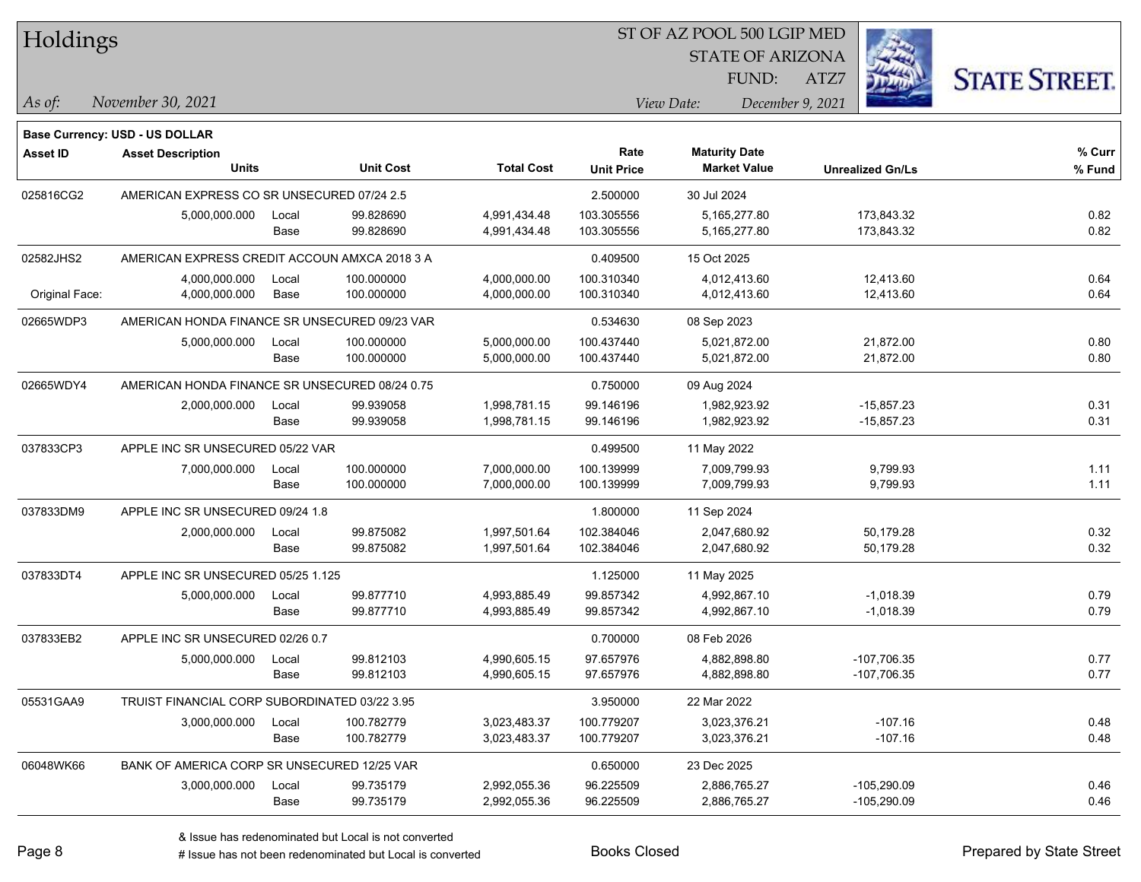| Holdings        |                                                |       |                  |                   |                   | ST OF AZ POOL 500 LGIP MED                  |                         |                      |
|-----------------|------------------------------------------------|-------|------------------|-------------------|-------------------|---------------------------------------------|-------------------------|----------------------|
|                 |                                                |       |                  |                   |                   | <b>STATE OF ARIZONA</b>                     |                         |                      |
|                 |                                                |       |                  |                   |                   | FUND:                                       | ATZ7                    | <b>STATE STREET.</b> |
| As of:          | November 30, 2021                              |       |                  |                   |                   | View Date:                                  | December 9, 2021        |                      |
|                 |                                                |       |                  |                   |                   |                                             |                         |                      |
|                 | Base Currency: USD - US DOLLAR                 |       |                  |                   | Rate              |                                             |                         | $%$ Curr             |
| <b>Asset ID</b> | <b>Asset Description</b><br><b>Units</b>       |       | <b>Unit Cost</b> | <b>Total Cost</b> | <b>Unit Price</b> | <b>Maturity Date</b><br><b>Market Value</b> | <b>Unrealized Gn/Ls</b> | % Fund               |
| 025816CG2       | AMERICAN EXPRESS CO SR UNSECURED 07/24 2.5     |       |                  |                   | 2.500000          | 30 Jul 2024                                 |                         |                      |
|                 | 5,000,000.000                                  | Local | 99.828690        | 4,991,434.48      | 103.305556        | 5,165,277.80                                | 173,843.32              | 0.82                 |
|                 |                                                | Base  | 99.828690        | 4,991,434.48      | 103.305556        | 5,165,277.80                                | 173,843.32              | 0.82                 |
| 02582JHS2       | AMERICAN EXPRESS CREDIT ACCOUN AMXCA 2018 3 A  |       |                  |                   | 0.409500          | 15 Oct 2025                                 |                         |                      |
|                 | 4,000,000.000                                  | Local | 100.000000       | 4,000,000.00      | 100.310340        | 4,012,413.60                                | 12,413.60               | 0.64                 |
| Original Face:  | 4,000,000.000                                  | Base  | 100.000000       | 4,000,000.00      | 100.310340        | 4,012,413.60                                | 12,413.60               | 0.64                 |
| 02665WDP3       | AMERICAN HONDA FINANCE SR UNSECURED 09/23 VAR  |       |                  |                   | 0.534630          | 08 Sep 2023                                 |                         |                      |
|                 | 5,000,000.000                                  | Local | 100.000000       | 5,000,000.00      | 100.437440        | 5,021,872.00                                | 21,872.00               | 0.80                 |
|                 |                                                | Base  | 100.000000       | 5,000,000.00      | 100.437440        | 5,021,872.00                                | 21,872.00               | 0.80                 |
| 02665WDY4       | AMERICAN HONDA FINANCE SR UNSECURED 08/24 0.75 |       |                  |                   | 0.750000          | 09 Aug 2024                                 |                         |                      |
|                 | 2,000,000.000                                  | Local | 99.939058        | 1,998,781.15      | 99.146196         | 1,982,923.92                                | $-15,857.23$            | 0.31                 |
|                 |                                                | Base  | 99.939058        | 1,998,781.15      | 99.146196         | 1,982,923.92                                | $-15,857.23$            | 0.31                 |
| 037833CP3       | APPLE INC SR UNSECURED 05/22 VAR               |       |                  |                   | 0.499500          | 11 May 2022                                 |                         |                      |
|                 | 7,000,000.000                                  | Local | 100.000000       | 7,000,000.00      | 100.139999        | 7,009,799.93                                | 9,799.93                | 1.11                 |
|                 |                                                | Base  | 100.000000       | 7,000,000.00      | 100.139999        | 7,009,799.93                                | 9,799.93                | 1.11                 |
| 037833DM9       | APPLE INC SR UNSECURED 09/24 1.8               |       |                  |                   | 1.800000          | 11 Sep 2024                                 |                         |                      |
|                 | 2,000,000.000                                  | Local | 99.875082        | 1,997,501.64      | 102.384046        | 2,047,680.92                                | 50,179.28               | 0.32                 |
|                 |                                                | Base  | 99.875082        | 1,997,501.64      | 102.384046        | 2,047,680.92                                | 50,179.28               | 0.32                 |
| 037833DT4       | APPLE INC SR UNSECURED 05/25 1.125             |       |                  |                   | 1.125000          | 11 May 2025                                 |                         |                      |
|                 | 5,000,000.000                                  | Local | 99.877710        | 4,993,885.49      | 99.857342         | 4,992,867.10                                | $-1,018.39$             | 0.79                 |
|                 |                                                | Base  | 99.877710        | 4,993,885.49      | 99.857342         | 4,992,867.10                                | $-1,018.39$             | 0.79                 |
| 037833EB2       | APPLE INC SR UNSECURED 02/26 0.7               |       |                  |                   | 0.700000          | 08 Feb 2026                                 |                         |                      |
|                 | 5,000,000.000                                  | Local | 99.812103        | 4,990,605.15      | 97.657976         | 4,882,898.80                                | $-107,706.35$           | 0.77                 |
|                 |                                                | Base  | 99.812103        | 4,990,605.15      | 97.657976         | 4,882,898.80                                | -107,706.35             | 0.77                 |
| 05531GAA9       | TRUIST FINANCIAL CORP SUBORDINATED 03/22 3.95  |       |                  |                   | 3.950000          | 22 Mar 2022                                 |                         |                      |
|                 | 3,000,000.000                                  | Local | 100.782779       | 3,023,483.37      | 100.779207        | 3,023,376.21                                | $-107.16$               | 0.48                 |
|                 |                                                | Base  | 100.782779       | 3,023,483.37      | 100.779207        | 3,023,376.21                                | $-107.16$               | 0.48                 |
| 06048WK66       | BANK OF AMERICA CORP SR UNSECURED 12/25 VAR    |       |                  |                   | 0.650000          | 23 Dec 2025                                 |                         |                      |
|                 | 3,000,000.000                                  | Local | 99.735179        | 2,992,055.36      | 96.225509         | 2,886,765.27                                | $-105,290.09$           | 0.46                 |
|                 |                                                | Base  | 99.735179        | 2,992,055.36      | 96.225509         | 2,886,765.27                                | $-105,290.09$           | 0.46                 |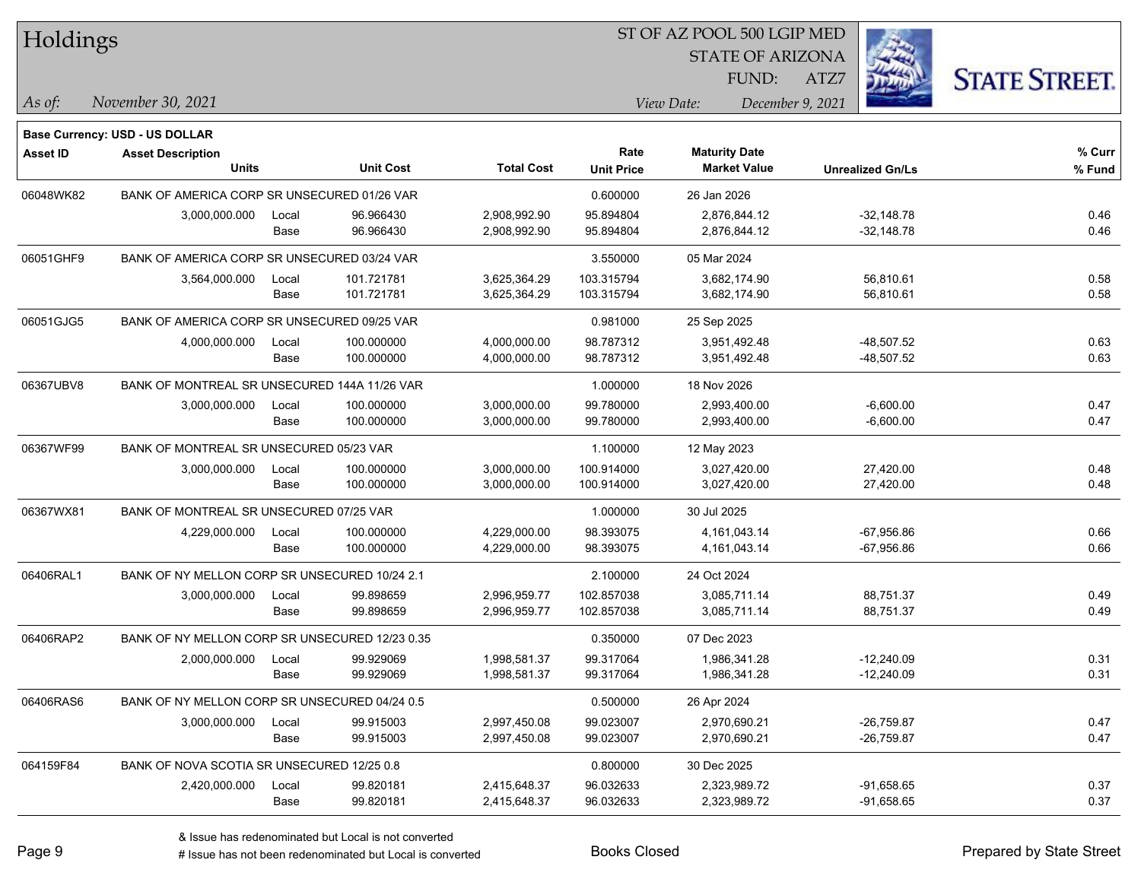| Holdings        |                                                |       |                  |                   |                   |                      |                         |      |                         |                      |
|-----------------|------------------------------------------------|-------|------------------|-------------------|-------------------|----------------------|-------------------------|------|-------------------------|----------------------|
|                 |                                                |       |                  |                   |                   |                      | <b>STATE OF ARIZONA</b> |      |                         |                      |
|                 |                                                |       |                  |                   |                   |                      | FUND:                   | ATZ7 |                         | <b>STATE STREET.</b> |
| As of:          | November 30, 2021                              |       |                  |                   |                   | View Date:           | December 9, 2021        |      |                         |                      |
|                 | Base Currency: USD - US DOLLAR                 |       |                  |                   |                   |                      |                         |      |                         |                      |
| <b>Asset ID</b> | <b>Asset Description</b>                       |       |                  |                   | Rate              | <b>Maturity Date</b> |                         |      |                         | % Curr               |
|                 | <b>Units</b>                                   |       | <b>Unit Cost</b> | <b>Total Cost</b> | <b>Unit Price</b> |                      | <b>Market Value</b>     |      | <b>Unrealized Gn/Ls</b> | % Fund               |
| 06048WK82       | BANK OF AMERICA CORP SR UNSECURED 01/26 VAR    |       |                  |                   | 0.600000          | 26 Jan 2026          |                         |      |                         |                      |
|                 | 3,000,000.000                                  | Local | 96.966430        | 2,908,992.90      | 95.894804         |                      | 2,876,844.12            |      | $-32,148.78$            | 0.46                 |
|                 |                                                | Base  | 96.966430        | 2,908,992.90      | 95.894804         |                      | 2,876,844.12            |      | $-32,148.78$            | 0.46                 |
| 06051GHF9       | BANK OF AMERICA CORP SR UNSECURED 03/24 VAR    |       |                  |                   | 3.550000          | 05 Mar 2024          |                         |      |                         |                      |
|                 | 3,564,000.000                                  | Local | 101.721781       | 3,625,364.29      | 103.315794        |                      | 3,682,174.90            |      | 56,810.61               | 0.58                 |
|                 |                                                | Base  | 101.721781       | 3,625,364.29      | 103.315794        |                      | 3,682,174.90            |      | 56,810.61               | 0.58                 |
| 06051GJG5       | BANK OF AMERICA CORP SR UNSECURED 09/25 VAR    |       |                  |                   | 0.981000          | 25 Sep 2025          |                         |      |                         |                      |
|                 | 4,000,000.000                                  | Local | 100.000000       | 4,000,000.00      | 98.787312         |                      | 3,951,492.48            |      | $-48,507.52$            | 0.63                 |
|                 |                                                | Base  | 100.000000       | 4,000,000.00      | 98.787312         |                      | 3,951,492.48            |      | -48,507.52              | 0.63                 |
| 06367UBV8       | BANK OF MONTREAL SR UNSECURED 144A 11/26 VAR   |       |                  |                   | 1.000000          | 18 Nov 2026          |                         |      |                         |                      |
|                 | 3,000,000.000                                  | Local | 100.000000       | 3,000,000.00      | 99.780000         |                      | 2,993,400.00            |      | $-6,600.00$             | 0.47                 |
|                 |                                                | Base  | 100.000000       | 3,000,000.00      | 99.780000         |                      | 2,993,400.00            |      | $-6,600.00$             | 0.47                 |
| 06367WF99       | BANK OF MONTREAL SR UNSECURED 05/23 VAR        |       |                  |                   | 1.100000          | 12 May 2023          |                         |      |                         |                      |
|                 | 3,000,000.000                                  | Local | 100.000000       | 3,000,000.00      | 100.914000        |                      | 3,027,420.00            |      | 27,420.00               | 0.48                 |
|                 |                                                | Base  | 100.000000       | 3,000,000.00      | 100.914000        |                      | 3,027,420.00            |      | 27,420.00               | 0.48                 |
| 06367WX81       | BANK OF MONTREAL SR UNSECURED 07/25 VAR        |       |                  |                   | 1.000000          | 30 Jul 2025          |                         |      |                         |                      |
|                 | 4,229,000.000                                  | Local | 100.000000       | 4,229,000.00      | 98.393075         |                      | 4, 161, 043. 14         |      | $-67,956.86$            | 0.66                 |
|                 |                                                | Base  | 100.000000       | 4,229,000.00      | 98.393075         |                      | 4, 161, 043. 14         |      | -67,956.86              | 0.66                 |
| 06406RAL1       | BANK OF NY MELLON CORP SR UNSECURED 10/24 2.1  |       |                  |                   | 2.100000          | 24 Oct 2024          |                         |      |                         |                      |
|                 | 3,000,000.000                                  | Local | 99.898659        | 2,996,959.77      | 102.857038        |                      | 3,085,711.14            |      | 88,751.37               | 0.49                 |
|                 |                                                | Base  | 99.898659        | 2,996,959.77      | 102.857038        |                      | 3,085,711.14            |      | 88,751.37               | 0.49                 |
| 06406RAP2       | BANK OF NY MELLON CORP SR UNSECURED 12/23 0.35 |       |                  |                   | 0.350000          | 07 Dec 2023          |                         |      |                         |                      |
|                 | 2,000,000.000                                  | Local | 99.929069        | 1,998,581.37      | 99.317064         |                      | 1,986,341.28            |      | $-12,240.09$            | 0.31                 |
|                 |                                                | Base  | 99.929069        | 1,998,581.37      | 99.317064         |                      | 1,986,341.28            |      | $-12,240.09$            | 0.31                 |
| 06406RAS6       | BANK OF NY MELLON CORP SR UNSECURED 04/24 0.5  |       |                  |                   | 0.500000          | 26 Apr 2024          |                         |      |                         |                      |
|                 | 3,000,000.000                                  | Local | 99.915003        | 2,997,450.08      | 99.023007         |                      | 2,970,690.21            |      | $-26,759.87$            | 0.47                 |
|                 |                                                | Base  | 99.915003        | 2,997,450.08      | 99.023007         |                      | 2,970,690.21            |      | $-26,759.87$            | 0.47                 |
| 064159F84       | BANK OF NOVA SCOTIA SR UNSECURED 12/25 0.8     |       |                  |                   | 0.800000          | 30 Dec 2025          |                         |      |                         |                      |
|                 | 2,420,000.000                                  | Local | 99.820181        | 2,415,648.37      | 96.032633         |                      | 2,323,989.72            |      | $-91,658.65$            | 0.37                 |
|                 |                                                | Base  | 99.820181        | 2,415,648.37      | 96.032633         |                      | 2,323,989.72            |      | $-91,658.65$            | 0.37                 |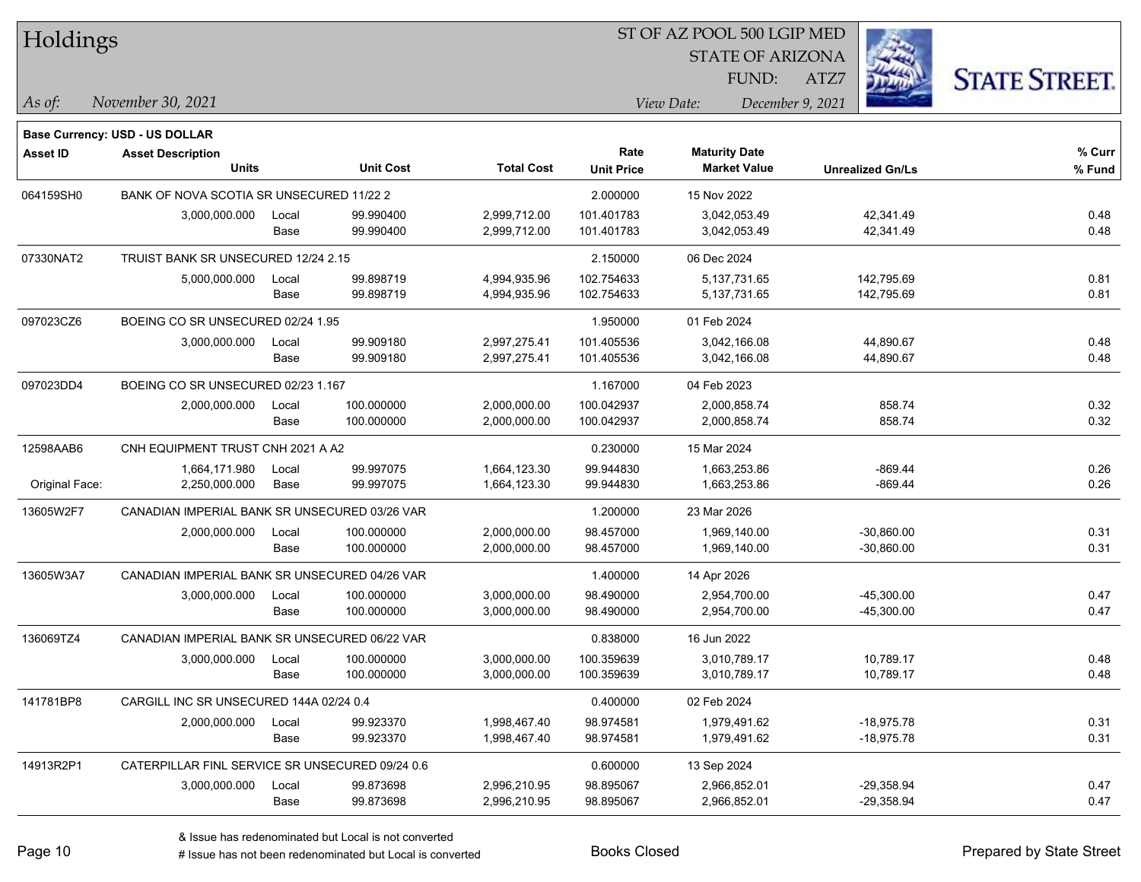| Holdings        |                                                 |       |                  |                   |                   | ST OF AZ POOL 500 LGIP MED<br><b>STATE OF ARIZONA</b> |                         |                      |
|-----------------|-------------------------------------------------|-------|------------------|-------------------|-------------------|-------------------------------------------------------|-------------------------|----------------------|
|                 |                                                 |       |                  |                   |                   | FUND:                                                 | ATZ7                    |                      |
| As of:          | November 30, 2021                               |       |                  |                   |                   | View Date:                                            | December 9, 2021        | <b>STATE STREET.</b> |
|                 | <b>Base Currency: USD - US DOLLAR</b>           |       |                  |                   |                   |                                                       |                         |                      |
| <b>Asset ID</b> | <b>Asset Description</b>                        |       |                  |                   | Rate              | <b>Maturity Date</b>                                  |                         | % Curr               |
|                 | <b>Units</b>                                    |       | <b>Unit Cost</b> | <b>Total Cost</b> | <b>Unit Price</b> | <b>Market Value</b>                                   | <b>Unrealized Gn/Ls</b> | % Fund               |
| 064159SH0       | BANK OF NOVA SCOTIA SR UNSECURED 11/22 2        |       |                  |                   | 2.000000          | 15 Nov 2022                                           |                         |                      |
|                 | 3,000,000.000                                   | Local | 99.990400        | 2,999,712.00      | 101.401783        | 3,042,053.49                                          | 42,341.49               | 0.48                 |
|                 |                                                 | Base  | 99.990400        | 2,999,712.00      | 101.401783        | 3,042,053.49                                          | 42,341.49               | 0.48                 |
| 07330NAT2       | TRUIST BANK SR UNSECURED 12/24 2.15             |       |                  |                   | 2.150000          | 06 Dec 2024                                           |                         |                      |
|                 | 5,000,000.000                                   | Local | 99.898719        | 4,994,935.96      | 102.754633        | 5,137,731.65                                          | 142,795.69              | 0.81                 |
|                 |                                                 | Base  | 99.898719        | 4,994,935.96      | 102.754633        | 5,137,731.65                                          | 142,795.69              | 0.81                 |
| 097023CZ6       | BOEING CO SR UNSECURED 02/24 1.95               |       |                  |                   | 1.950000          | 01 Feb 2024                                           |                         |                      |
|                 | 3,000,000.000                                   | Local | 99.909180        | 2,997,275.41      | 101.405536        | 3,042,166.08                                          | 44,890.67               | 0.48                 |
|                 |                                                 | Base  | 99.909180        | 2,997,275.41      | 101.405536        | 3,042,166.08                                          | 44,890.67               | 0.48                 |
| 097023DD4       | BOEING CO SR UNSECURED 02/23 1.167              |       |                  |                   | 1.167000          | 04 Feb 2023                                           |                         |                      |
|                 | 2,000,000.000                                   | Local | 100.000000       | 2,000,000.00      | 100.042937        | 2,000,858.74                                          | 858.74                  | 0.32                 |
|                 |                                                 | Base  | 100.000000       | 2,000,000.00      | 100.042937        | 2,000,858.74                                          | 858.74                  | 0.32                 |
| 12598AAB6       | CNH EQUIPMENT TRUST CNH 2021 A A2               |       |                  |                   | 0.230000          | 15 Mar 2024                                           |                         |                      |
|                 | 1,664,171.980                                   | Local | 99.997075        | 1,664,123.30      | 99.944830         | 1,663,253.86                                          | $-869.44$               | 0.26                 |
| Original Face:  | 2,250,000.000                                   | Base  | 99.997075        | 1,664,123.30      | 99.944830         | 1,663,253.86                                          | $-869.44$               | 0.26                 |
| 13605W2F7       | CANADIAN IMPERIAL BANK SR UNSECURED 03/26 VAR   |       |                  |                   | 1.200000          | 23 Mar 2026                                           |                         |                      |
|                 | 2,000,000.000                                   | Local | 100.000000       | 2,000,000.00      | 98.457000         | 1,969,140.00                                          | -30,860.00              | 0.31                 |
|                 |                                                 | Base  | 100.000000       | 2,000,000.00      | 98.457000         | 1,969,140.00                                          | -30,860.00              | 0.31                 |
| 13605W3A7       | CANADIAN IMPERIAL BANK SR UNSECURED 04/26 VAR   |       |                  |                   | 1.400000          | 14 Apr 2026                                           |                         |                      |
|                 | 3,000,000.000                                   | Local | 100.000000       | 3,000,000.00      | 98.490000         | 2,954,700.00                                          | $-45,300.00$            | 0.47                 |
|                 |                                                 | Base  | 100.000000       | 3,000,000.00      | 98.490000         | 2,954,700.00                                          | -45,300.00              | 0.47                 |
| 136069TZ4       | CANADIAN IMPERIAL BANK SR UNSECURED 06/22 VAR   |       |                  |                   | 0.838000          | 16 Jun 2022                                           |                         |                      |
|                 | 3,000,000.000                                   | Local | 100.000000       | 3,000,000.00      | 100.359639        | 3,010,789.17                                          | 10,789.17               | 0.48                 |
|                 |                                                 | Base  | 100.000000       | 3,000,000.00      | 100.359639        | 3,010,789.17                                          | 10,789.17               | 0.48                 |
| 141781BP8       | CARGILL INC SR UNSECURED 144A 02/24 0.4         |       |                  |                   | 0.400000          | 02 Feb 2024                                           |                         |                      |
|                 | 2,000,000.000                                   | Local | 99.923370        | 1,998,467.40      | 98.974581         | 1,979,491.62                                          | $-18,975.78$            | 0.31                 |
|                 |                                                 | Base  | 99.923370        | 1,998,467.40      | 98.974581         | 1,979,491.62                                          | $-18,975.78$            | 0.31                 |
| 14913R2P1       | CATERPILLAR FINL SERVICE SR UNSECURED 09/24 0.6 |       |                  |                   | 0.600000          | 13 Sep 2024                                           |                         |                      |
|                 | 3,000,000.000                                   | Local | 99.873698        | 2,996,210.95      | 98.895067         | 2,966,852.01                                          | $-29,358.94$            | 0.47                 |
|                 |                                                 | Base  | 99.873698        | 2,996,210.95      | 98.895067         | 2,966,852.01                                          | $-29,358.94$            | 0.47                 |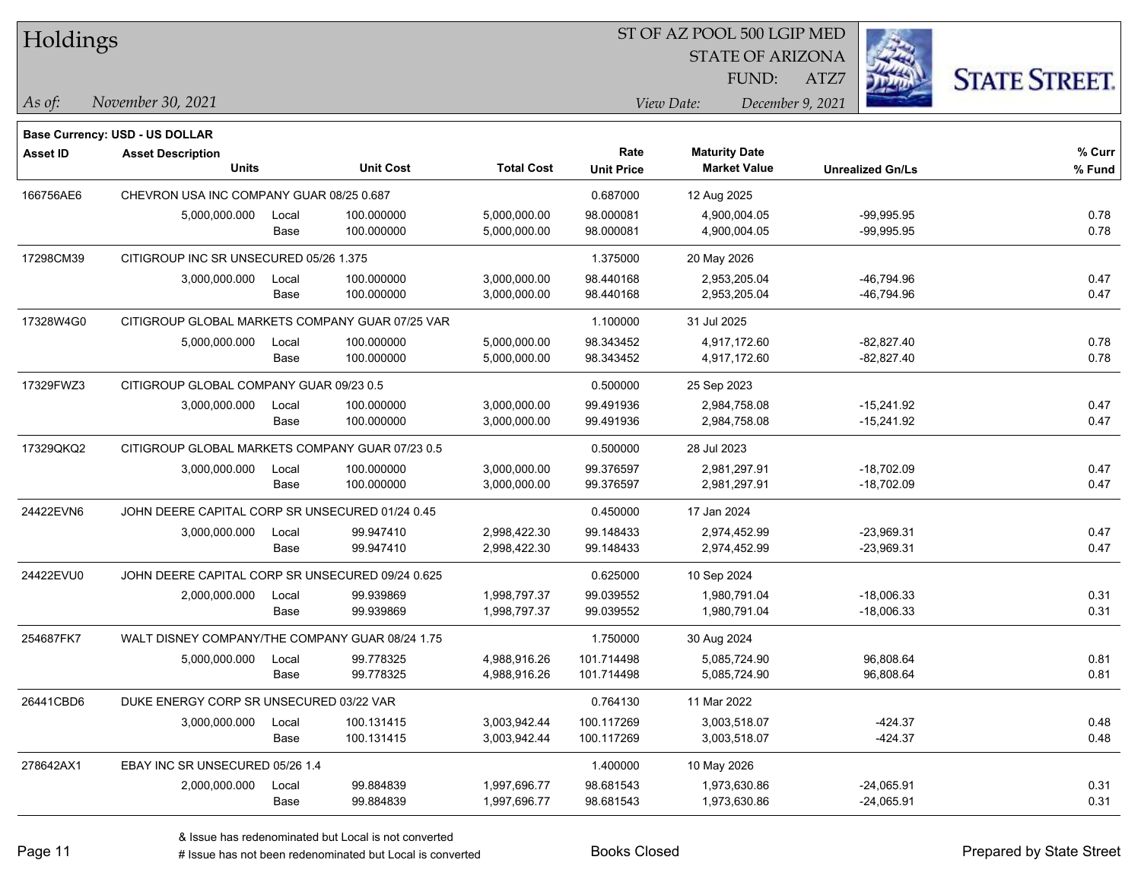| Holdings  |                                                  |       |                  |                   |                   | ST OF AZ POOL 500 LGIP MED                  |                         |                      |
|-----------|--------------------------------------------------|-------|------------------|-------------------|-------------------|---------------------------------------------|-------------------------|----------------------|
|           |                                                  |       |                  |                   |                   | <b>STATE OF ARIZONA</b>                     |                         |                      |
|           |                                                  |       |                  |                   |                   | FUND:                                       | ATZ7                    | <b>STATE STREET.</b> |
| As of:    | November 30, 2021                                |       |                  |                   |                   | View Date:                                  | December 9, 2021        |                      |
|           |                                                  |       |                  |                   |                   |                                             |                         |                      |
|           | Base Currency: USD - US DOLLAR                   |       |                  |                   | Rate              |                                             |                         | % Curr               |
| Asset ID  | <b>Asset Description</b><br><b>Units</b>         |       | <b>Unit Cost</b> | <b>Total Cost</b> | <b>Unit Price</b> | <b>Maturity Date</b><br><b>Market Value</b> | <b>Unrealized Gn/Ls</b> | % Fund               |
| 166756AE6 | CHEVRON USA INC COMPANY GUAR 08/25 0.687         |       |                  |                   | 0.687000          | 12 Aug 2025                                 |                         |                      |
|           | 5,000,000.000                                    | Local | 100.000000       | 5,000,000.00      | 98.000081         | 4,900,004.05                                | $-99,995.95$            | 0.78                 |
|           |                                                  | Base  | 100.000000       | 5,000,000.00      | 98.000081         | 4,900,004.05                                | $-99,995.95$            | 0.78                 |
| 17298CM39 | CITIGROUP INC SR UNSECURED 05/26 1.375           |       |                  |                   | 1.375000          | 20 May 2026                                 |                         |                      |
|           | 3,000,000.000                                    | Local | 100.000000       | 3,000,000.00      | 98.440168         | 2,953,205.04                                | -46,794.96              | 0.47                 |
|           |                                                  | Base  | 100.000000       | 3,000,000.00      | 98.440168         | 2,953,205.04                                | -46,794.96              | 0.47                 |
| 17328W4G0 | CITIGROUP GLOBAL MARKETS COMPANY GUAR 07/25 VAR  |       |                  |                   | 1.100000          | 31 Jul 2025                                 |                         |                      |
|           | 5,000,000.000                                    | Local | 100.000000       | 5,000,000.00      | 98.343452         | 4,917,172.60                                | $-82,827.40$            | 0.78                 |
|           |                                                  | Base  | 100.000000       | 5,000,000.00      | 98.343452         | 4,917,172.60                                | -82,827.40              | 0.78                 |
| 17329FWZ3 | CITIGROUP GLOBAL COMPANY GUAR 09/23 0.5          |       |                  |                   | 0.500000          | 25 Sep 2023                                 |                         |                      |
|           | 3,000,000.000                                    | Local | 100.000000       | 3,000,000.00      | 99.491936         | 2,984,758.08                                | $-15,241.92$            | 0.47                 |
|           |                                                  | Base  | 100.000000       | 3,000,000.00      | 99.491936         | 2,984,758.08                                | $-15,241.92$            | 0.47                 |
| 17329QKQ2 | CITIGROUP GLOBAL MARKETS COMPANY GUAR 07/23 0.5  |       |                  |                   | 0.500000          | 28 Jul 2023                                 |                         |                      |
|           | 3,000,000.000                                    | Local | 100.000000       | 3,000,000.00      | 99.376597         | 2,981,297.91                                | $-18,702.09$            | 0.47                 |
|           |                                                  | Base  | 100.000000       | 3,000,000.00      | 99.376597         | 2,981,297.91                                | $-18,702.09$            | 0.47                 |
| 24422EVN6 | JOHN DEERE CAPITAL CORP SR UNSECURED 01/24 0.45  |       |                  |                   | 0.450000          | 17 Jan 2024                                 |                         |                      |
|           | 3,000,000.000                                    | Local | 99.947410        | 2,998,422.30      | 99.148433         | 2,974,452.99                                | -23,969.31              | 0.47                 |
|           |                                                  | Base  | 99.947410        | 2,998,422.30      | 99.148433         | 2,974,452.99                                | -23,969.31              | 0.47                 |
| 24422EVU0 | JOHN DEERE CAPITAL CORP SR UNSECURED 09/24 0.625 |       |                  |                   | 0.625000          | 10 Sep 2024                                 |                         |                      |
|           | 2,000,000.000                                    | Local | 99.939869        | 1,998,797.37      | 99.039552         | 1,980,791.04                                | $-18,006.33$            | 0.31                 |
|           |                                                  | Base  | 99.939869        | 1,998,797.37      | 99.039552         | 1,980,791.04                                | $-18,006.33$            | 0.31                 |
| 254687FK7 | WALT DISNEY COMPANY/THE COMPANY GUAR 08/24 1.75  |       |                  |                   | 1.750000          | 30 Aug 2024                                 |                         |                      |
|           | 5,000,000.000                                    | Local | 99.778325        | 4,988,916.26      | 101.714498        | 5,085,724.90                                | 96,808.64               | 0.81                 |
|           |                                                  | Base  | 99.778325        | 4,988,916.26      | 101.714498        | 5,085,724.90                                | 96,808.64               | 0.81                 |
| 26441CBD6 | DUKE ENERGY CORP SR UNSECURED 03/22 VAR          |       |                  |                   | 0.764130          | 11 Mar 2022                                 |                         |                      |
|           | 3,000,000.000                                    | Local | 100.131415       | 3,003,942.44      | 100.117269        | 3,003,518.07                                | $-424.37$               | 0.48                 |
|           |                                                  | Base  | 100.131415       | 3,003,942.44      | 100.117269        | 3,003,518.07                                | $-424.37$               | 0.48                 |
| 278642AX1 | EBAY INC SR UNSECURED 05/26 1.4                  |       |                  |                   | 1.400000          | 10 May 2026                                 |                         |                      |
|           | 2,000,000.000                                    | Local | 99.884839        | 1,997,696.77      | 98.681543         | 1,973,630.86                                | $-24,065.91$            | 0.31                 |
|           |                                                  | Base  | 99.884839        | 1,997,696.77      | 98.681543         | 1,973,630.86                                | $-24,065.91$            | 0.31                 |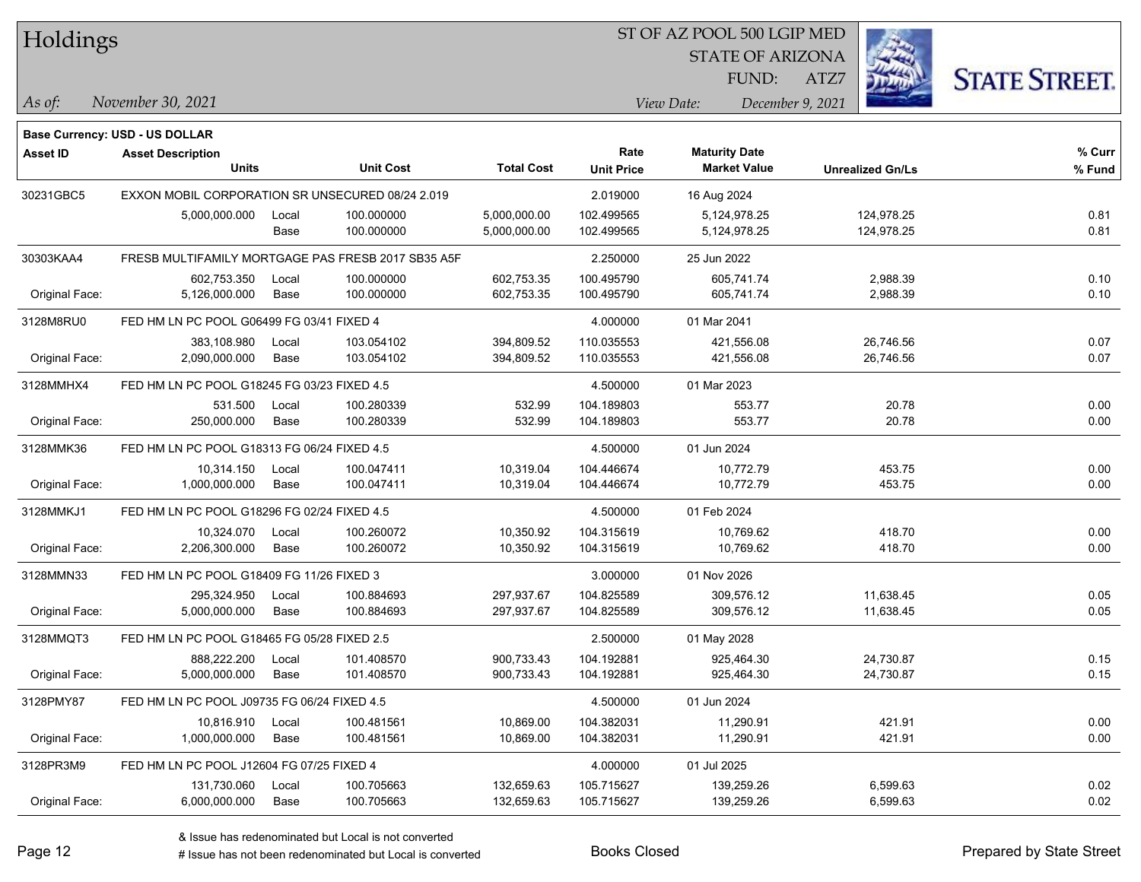| Holdings |
|----------|
|          |

STATE OF ARIZONA FUND:

ATZ7



*November 30, 2021 As of: View Date: December 9, 2021*

**Base Currency: USD - US DOLLAR**

| Asset ID       | <b>Asset Description</b><br><b>Units</b>           | <b>Unit Cost</b> | <b>Total Cost</b> | Rate<br><b>Unit Price</b> | <b>Maturity Date</b><br><b>Market Value</b> | <b>Unrealized Gn/Ls</b> | % Curr<br>% Fund |
|----------------|----------------------------------------------------|------------------|-------------------|---------------------------|---------------------------------------------|-------------------------|------------------|
| 30231GBC5      | EXXON MOBIL CORPORATION SR UNSECURED 08/24 2.019   |                  |                   | 2.019000                  | 16 Aug 2024                                 |                         |                  |
|                | 5,000,000.000<br>Local                             | 100.000000       | 5,000,000.00      | 102.499565                | 5,124,978.25                                | 124,978.25              | 0.81             |
|                | Base                                               | 100.000000       | 5,000,000.00      | 102.499565                | 5,124,978.25                                | 124,978.25              | 0.81             |
| 30303KAA4      | FRESB MULTIFAMILY MORTGAGE PAS FRESB 2017 SB35 A5F |                  |                   | 2.250000                  | 25 Jun 2022                                 |                         |                  |
|                | 602.753.350<br>Local                               | 100.000000       | 602,753.35        | 100.495790                | 605.741.74                                  | 2,988.39                | 0.10             |
| Original Face: | 5,126,000.000<br>Base                              | 100.000000       | 602,753.35        | 100.495790                | 605,741.74                                  | 2,988.39                | 0.10             |
| 3128M8RU0      | FED HM LN PC POOL G06499 FG 03/41 FIXED 4          |                  |                   | 4.000000                  | 01 Mar 2041                                 |                         |                  |
|                | 383,108.980<br>Local                               | 103.054102       | 394,809.52        | 110.035553                | 421,556.08                                  | 26,746.56               | 0.07             |
| Original Face: | 2,090,000.000<br>Base                              | 103.054102       | 394,809.52        | 110.035553                | 421,556.08                                  | 26,746.56               | 0.07             |
| 3128MMHX4      | FED HM LN PC POOL G18245 FG 03/23 FIXED 4.5        |                  |                   | 4.500000                  | 01 Mar 2023                                 |                         |                  |
|                | 531.500<br>Local                                   | 100.280339       | 532.99            | 104.189803                | 553.77                                      | 20.78                   | 0.00             |
| Original Face: | 250,000.000<br>Base                                | 100.280339       | 532.99            | 104.189803                | 553.77                                      | 20.78                   | 0.00             |
| 3128MMK36      | FED HM LN PC POOL G18313 FG 06/24 FIXED 4.5        |                  |                   | 4.500000                  | 01 Jun 2024                                 |                         |                  |
|                | 10,314.150<br>Local                                | 100.047411       | 10,319.04         | 104.446674                | 10,772.79                                   | 453.75                  | 0.00             |
| Original Face: | 1,000,000.000<br>Base                              | 100.047411       | 10,319.04         | 104.446674                | 10,772.79                                   | 453.75                  | 0.00             |
| 3128MMKJ1      | FED HM LN PC POOL G18296 FG 02/24 FIXED 4.5        |                  |                   | 4.500000                  | 01 Feb 2024                                 |                         |                  |
|                | 10,324.070<br>Local                                | 100.260072       | 10,350.92         | 104.315619                | 10,769.62                                   | 418.70                  | 0.00             |
| Original Face: | 2,206,300.000<br>Base                              | 100.260072       | 10,350.92         | 104.315619                | 10,769.62                                   | 418.70                  | 0.00             |
| 3128MMN33      | FED HM LN PC POOL G18409 FG 11/26 FIXED 3          |                  |                   | 3.000000                  | 01 Nov 2026                                 |                         |                  |
|                | 295,324.950<br>Local                               | 100.884693       | 297,937.67        | 104.825589                | 309,576.12                                  | 11,638.45               | 0.05             |
| Original Face: | 5,000,000.000<br>Base                              | 100.884693       | 297,937.67        | 104.825589                | 309,576.12                                  | 11,638.45               | 0.05             |
| 3128MMQT3      | FED HM LN PC POOL G18465 FG 05/28 FIXED 2.5        |                  |                   | 2.500000                  | 01 May 2028                                 |                         |                  |
|                | 888,222.200<br>Local                               | 101.408570       | 900,733.43        | 104.192881                | 925,464.30                                  | 24,730.87               | 0.15             |
| Original Face: | 5,000,000.000<br>Base                              | 101.408570       | 900,733.43        | 104.192881                | 925,464.30                                  | 24,730.87               | 0.15             |
| 3128PMY87      | FED HM LN PC POOL J09735 FG 06/24 FIXED 4.5        |                  |                   | 4.500000                  | 01 Jun 2024                                 |                         |                  |
|                | 10,816.910<br>Local                                | 100.481561       | 10,869.00         | 104.382031                | 11,290.91                                   | 421.91                  | 0.00             |
| Original Face: | 1,000,000.000<br>Base                              | 100.481561       | 10,869.00         | 104.382031                | 11,290.91                                   | 421.91                  | 0.00             |
| 3128PR3M9      | FED HM LN PC POOL J12604 FG 07/25 FIXED 4          |                  |                   | 4.000000                  | 01 Jul 2025                                 |                         |                  |
|                | 131,730.060<br>Local                               | 100.705663       | 132,659.63        | 105.715627                | 139,259.26                                  | 6,599.63                | 0.02             |
| Original Face: | 6,000,000.000<br>Base                              | 100.705663       | 132,659.63        | 105.715627                | 139,259.26                                  | 6,599.63                | 0.02             |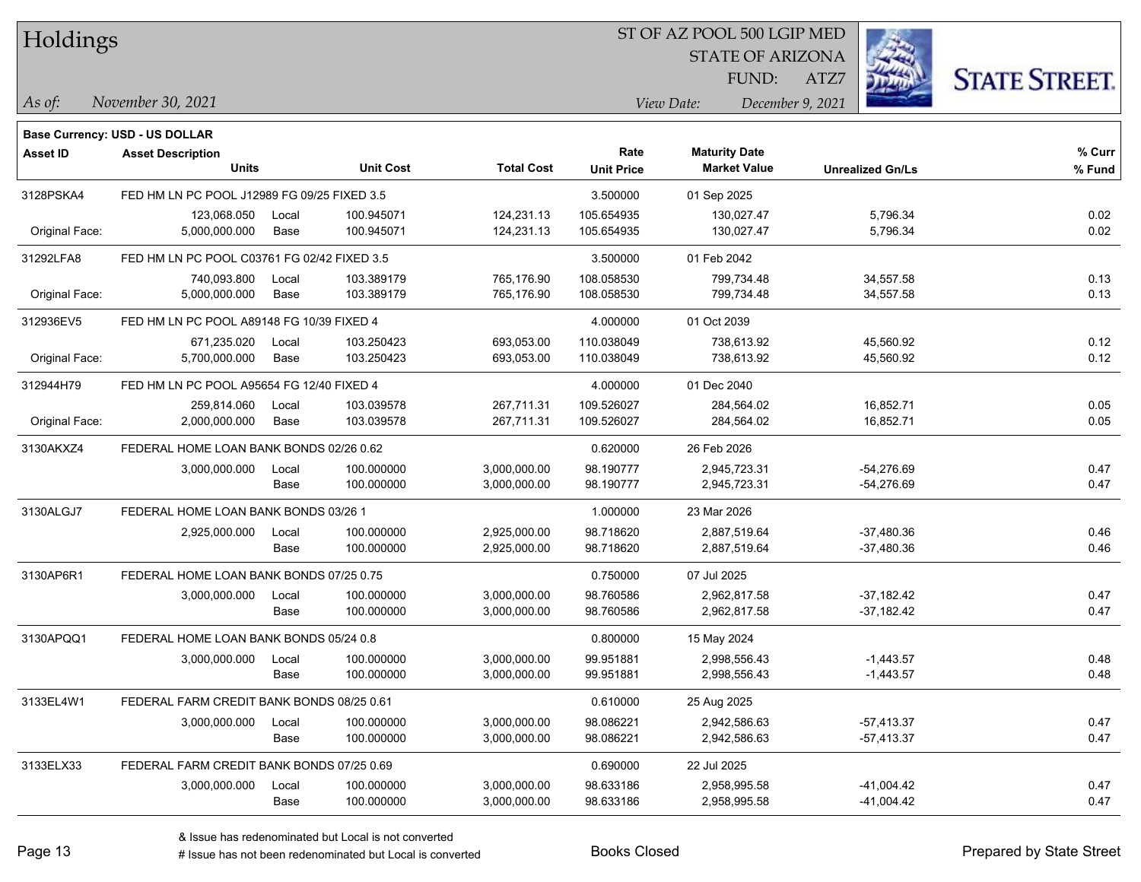| Holdings |
|----------|
|          |

STATE OF ARIZONA FUND:

ATZ7



*As of: View Date: December 9, 2021*

| As of: | November 30, 2021 |  |
|--------|-------------------|--|
|        |                   |  |

|                 | <b>Base Currency: USD - US DOLLAR</b>       |       |                  |                   |                           |                                             |                         |                  |
|-----------------|---------------------------------------------|-------|------------------|-------------------|---------------------------|---------------------------------------------|-------------------------|------------------|
| <b>Asset ID</b> | <b>Asset Description</b><br><b>Units</b>    |       | <b>Unit Cost</b> | <b>Total Cost</b> | Rate<br><b>Unit Price</b> | <b>Maturity Date</b><br><b>Market Value</b> | <b>Unrealized Gn/Ls</b> | % Curr<br>% Fund |
| 3128PSKA4       | FED HM LN PC POOL J12989 FG 09/25 FIXED 3.5 |       |                  |                   | 3.500000                  | 01 Sep 2025                                 |                         |                  |
|                 | 123,068.050                                 | Local | 100.945071       | 124,231.13        | 105.654935                | 130,027.47                                  | 5,796.34                | 0.02             |
| Original Face:  | 5,000,000.000                               | Base  | 100.945071       | 124,231.13        | 105.654935                | 130,027.47                                  | 5,796.34                | 0.02             |
| 31292LFA8       | FED HM LN PC POOL C03761 FG 02/42 FIXED 3.5 |       |                  |                   | 3.500000                  | 01 Feb 2042                                 |                         |                  |
|                 | 740,093.800                                 | Local | 103.389179       | 765,176.90        | 108.058530                | 799,734.48                                  | 34,557.58               | 0.13             |
| Original Face:  | 5,000,000.000                               | Base  | 103.389179       | 765,176.90        | 108.058530                | 799,734.48                                  | 34,557.58               | 0.13             |
| 312936EV5       | FED HM LN PC POOL A89148 FG 10/39 FIXED 4   |       |                  |                   | 4.000000                  | 01 Oct 2039                                 |                         |                  |
|                 | 671,235.020                                 | Local | 103.250423       | 693,053.00        | 110.038049                | 738,613.92                                  | 45,560.92               | 0.12             |
| Original Face:  | 5,700,000.000                               | Base  | 103.250423       | 693,053.00        | 110.038049                | 738,613.92                                  | 45,560.92               | 0.12             |
| 312944H79       | FED HM LN PC POOL A95654 FG 12/40 FIXED 4   |       |                  |                   | 4.000000                  | 01 Dec 2040                                 |                         |                  |
|                 | 259,814.060                                 | Local | 103.039578       | 267,711.31        | 109.526027                | 284,564.02                                  | 16,852.71               | 0.05             |
| Original Face:  | 2,000,000.000                               | Base  | 103.039578       | 267,711.31        | 109.526027                | 284,564.02                                  | 16,852.71               | 0.05             |
| 3130AKXZ4       | FEDERAL HOME LOAN BANK BONDS 02/26 0.62     |       |                  |                   | 0.620000                  | 26 Feb 2026                                 |                         |                  |
|                 | 3,000,000.000                               | Local | 100.000000       | 3,000,000.00      | 98.190777                 | 2,945,723.31                                | $-54,276.69$            | 0.47             |
|                 |                                             | Base  | 100.000000       | 3,000,000.00      | 98.190777                 | 2,945,723.31                                | $-54,276.69$            | 0.47             |
| 3130ALGJ7       | FEDERAL HOME LOAN BANK BONDS 03/26 1        |       |                  |                   | 1.000000                  | 23 Mar 2026                                 |                         |                  |
|                 | 2,925,000.000                               | Local | 100.000000       | 2,925,000.00      | 98.718620                 | 2,887,519.64                                | $-37,480.36$            | 0.46             |
|                 |                                             | Base  | 100.000000       | 2,925,000.00      | 98.718620                 | 2,887,519.64                                | $-37,480.36$            | 0.46             |
| 3130AP6R1       | FEDERAL HOME LOAN BANK BONDS 07/25 0.75     |       |                  |                   | 0.750000                  | 07 Jul 2025                                 |                         |                  |
|                 | 3,000,000.000                               | Local | 100.000000       | 3,000,000.00      | 98.760586                 | 2,962,817.58                                | $-37,182.42$            | 0.47             |
|                 |                                             | Base  | 100.000000       | 3,000,000.00      | 98.760586                 | 2,962,817.58                                | $-37,182.42$            | 0.47             |
| 3130APQQ1       | FEDERAL HOME LOAN BANK BONDS 05/24 0.8      |       |                  |                   | 0.800000                  | 15 May 2024                                 |                         |                  |
|                 | 3,000,000.000                               | Local | 100.000000       | 3,000,000.00      | 99.951881                 | 2,998,556.43                                | $-1,443.57$             | 0.48             |
|                 |                                             | Base  | 100.000000       | 3,000,000.00      | 99.951881                 | 2,998,556.43                                | $-1,443.57$             | 0.48             |
| 3133EL4W1       | FEDERAL FARM CREDIT BANK BONDS 08/25 0.61   |       |                  |                   | 0.610000                  | 25 Aug 2025                                 |                         |                  |
|                 | 3,000,000.000                               | Local | 100.000000       | 3,000,000.00      | 98.086221                 | 2,942,586.63                                | $-57,413.37$            | 0.47             |
|                 |                                             | Base  | 100.000000       | 3,000,000.00      | 98.086221                 | 2,942,586.63                                | $-57,413.37$            | 0.47             |
| 3133ELX33       | FEDERAL FARM CREDIT BANK BONDS 07/25 0.69   |       |                  |                   | 0.690000                  | 22 Jul 2025                                 |                         |                  |
|                 | 3,000,000.000                               | Local | 100.000000       | 3,000,000.00      | 98.633186                 | 2,958,995.58                                | $-41,004.42$            | 0.47             |
|                 |                                             | Base  | 100.000000       | 3,000,000.00      | 98.633186                 | 2,958,995.58                                | $-41,004.42$            | 0.47             |
|                 |                                             |       |                  |                   |                           |                                             |                         |                  |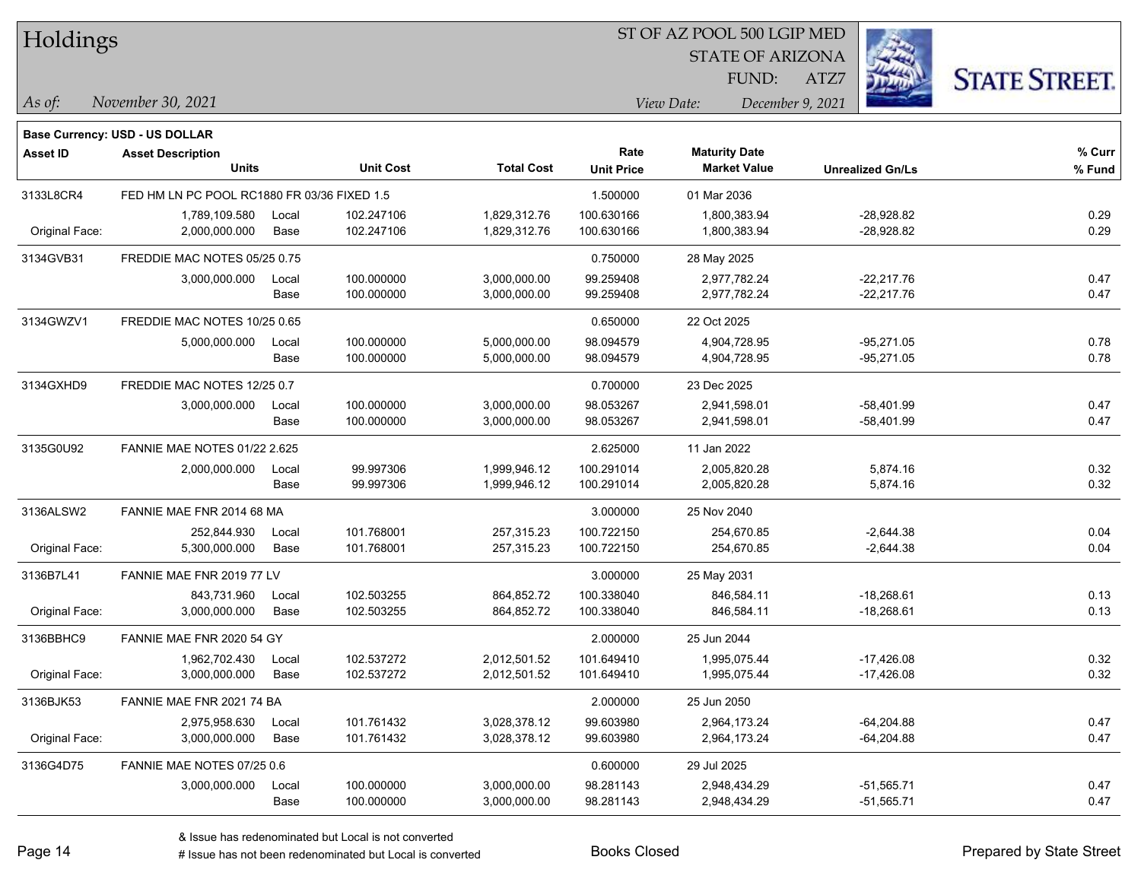| 1 IOIUIII 195   |                                             |               |                          |                              |                           |             | <b>STATE OF ARIZONA</b><br>FUND:            | ATZ7             |                              | <b>STATE STREET.</b> |
|-----------------|---------------------------------------------|---------------|--------------------------|------------------------------|---------------------------|-------------|---------------------------------------------|------------------|------------------------------|----------------------|
| As of:          | November 30, 2021                           |               |                          |                              |                           | View Date:  |                                             | December 9, 2021 |                              |                      |
|                 | Base Currency: USD - US DOLLAR              |               |                          |                              |                           |             |                                             |                  |                              |                      |
| <b>Asset ID</b> | <b>Asset Description</b><br><b>Units</b>    |               | <b>Unit Cost</b>         | <b>Total Cost</b>            | Rate<br><b>Unit Price</b> |             | <b>Maturity Date</b><br><b>Market Value</b> |                  | <b>Unrealized Gn/Ls</b>      | % Curr<br>% Fund     |
| 3133L8CR4       | FED HM LN PC POOL RC1880 FR 03/36 FIXED 1.5 |               |                          |                              | 1.500000                  | 01 Mar 2036 |                                             |                  |                              |                      |
| Original Face:  | 1,789,109.580<br>2,000,000.000              | Local<br>Base | 102.247106<br>102.247106 | 1,829,312.76<br>1,829,312.76 | 100.630166<br>100.630166  |             | 1,800,383.94<br>1,800,383.94                |                  | $-28,928.82$<br>$-28,928.82$ | 0.29<br>0.29         |
| 3134GVB31       | FREDDIE MAC NOTES 05/25 0.75                |               |                          |                              | 0.750000                  |             | 28 May 2025                                 |                  |                              |                      |
|                 | 3,000,000.000                               | Local<br>Base | 100.000000<br>100.000000 | 3,000,000.00<br>3,000,000.00 | 99.259408<br>99.259408    |             | 2,977,782.24<br>2,977,782.24                |                  | -22,217.76<br>$-22,217.76$   | 0.47<br>0.47         |
| 3134GWZV1       | FREDDIE MAC NOTES 10/25 0.65                |               |                          |                              | 0.650000                  | 22 Oct 2025 |                                             |                  |                              |                      |
|                 | 5,000,000.000                               | Local<br>Base | 100.000000<br>100.000000 | 5,000,000.00<br>5,000,000.00 | 98.094579<br>98.094579    |             | 4,904,728.95<br>4,904,728.95                |                  | $-95,271.05$<br>$-95,271.05$ | 0.78<br>0.78         |
| 3134GXHD9       | FREDDIE MAC NOTES 12/25 0.7                 |               |                          |                              | 0.700000                  |             | 23 Dec 2025                                 |                  |                              |                      |
|                 | 3,000,000.000                               | Local<br>Base | 100.000000<br>100.000000 | 3,000,000.00<br>3,000,000.00 | 98.053267<br>98.053267    |             | 2,941,598.01<br>2,941,598.01                |                  | $-58,401.99$<br>$-58,401.99$ | 0.47<br>0.47         |
| 3135G0U92       | <b>FANNIE MAE NOTES 01/22 2.625</b>         |               |                          |                              | 2.625000                  | 11 Jan 2022 |                                             |                  |                              |                      |
|                 | 2,000,000.000                               | Local<br>Base | 99.997306<br>99.997306   | 1,999,946.12<br>1,999,946.12 | 100.291014<br>100.291014  |             | 2,005,820.28<br>2,005,820.28                |                  | 5,874.16<br>5,874.16         | 0.32<br>0.32         |
| 3136ALSW2       | FANNIE MAE FNR 2014 68 MA                   |               |                          |                              | 3.000000                  |             | 25 Nov 2040                                 |                  |                              |                      |
| Original Face:  | 252,844.930<br>5,300,000.000                | Local<br>Base | 101.768001<br>101.768001 | 257,315.23<br>257,315.23     | 100.722150<br>100.722150  |             | 254,670.85<br>254,670.85                    |                  | $-2,644.38$<br>$-2,644.38$   | 0.04<br>0.04         |
| 3136B7L41       | FANNIE MAE FNR 2019 77 LV                   |               |                          |                              | 3.000000                  |             | 25 May 2031                                 |                  |                              |                      |
| Original Face:  | 843,731.960<br>3,000,000.000                | Local<br>Base | 102.503255<br>102.503255 | 864,852.72<br>864,852.72     | 100.338040<br>100.338040  |             | 846,584.11<br>846,584.11                    |                  | $-18,268.61$<br>$-18,268.61$ | 0.13<br>0.13         |
| 3136BBHC9       | FANNIE MAE FNR 2020 54 GY                   |               |                          |                              | 2.000000                  | 25 Jun 2044 |                                             |                  |                              |                      |
| Original Face:  | 1,962,702.430<br>3,000,000.000              | Local<br>Base | 102.537272<br>102.537272 | 2,012,501.52<br>2,012,501.52 | 101.649410<br>101.649410  |             | 1,995,075.44<br>1,995,075.44                |                  | $-17,426.08$<br>$-17,426.08$ | 0.32<br>0.32         |
| 3136BJK53       | FANNIE MAE FNR 2021 74 BA                   |               |                          |                              | 2.000000                  | 25 Jun 2050 |                                             |                  |                              |                      |
| Original Face:  | 2,975,958.630<br>3,000,000.000              | Local<br>Base | 101.761432<br>101.761432 | 3,028,378.12<br>3,028,378.12 | 99.603980<br>99.603980    |             | 2,964,173.24<br>2,964,173.24                |                  | $-64,204.88$<br>$-64,204.88$ | 0.47<br>0.47         |
| 3136G4D75       | FANNIE MAE NOTES 07/25 0.6                  |               |                          |                              | 0.600000                  | 29 Jul 2025 |                                             |                  |                              |                      |
|                 | 3,000,000.000                               | Local<br>Base | 100.000000<br>100.000000 | 3,000,000.00<br>3,000,000.00 | 98.281143<br>98.281143    |             | 2,948,434.29<br>2,948,434.29                |                  | $-51,565.71$<br>$-51,565.71$ | 0.47<br>0.47         |



## $H_0$ ldings

 $\overline{\phantom{a}}$ 

 $\overline{\phantom{a}}$ 

 $\overline{\phantom{a}}$ 

 $\overline{\phantom{a}}$ 

 $\overline{a}$ 

 $\overline{\phantom{0}}$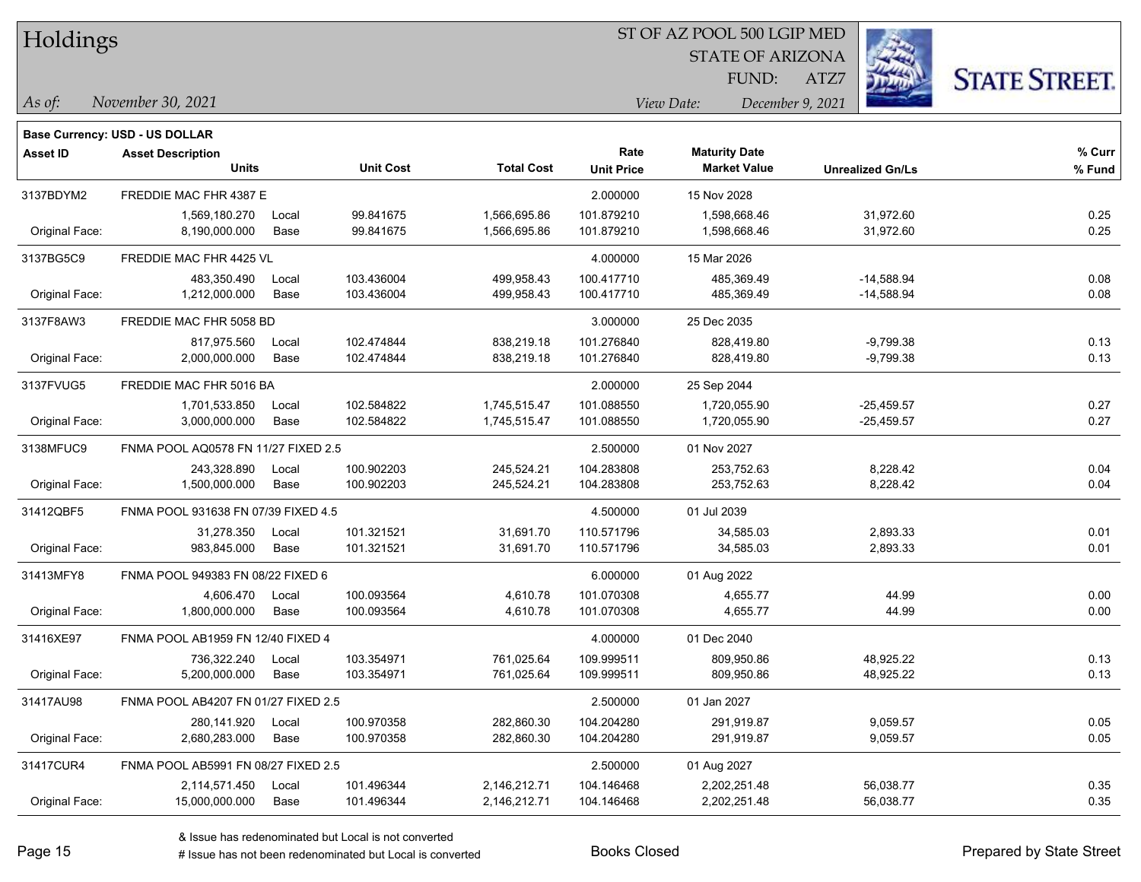| Holdings |
|----------|
|          |

STATE OF ARIZONA FUND:

ATZ7



*As of: View Date: December 9, 2021*

| As of: | November 30, 2021 |  |
|--------|-------------------|--|
|        |                   |  |

|                 | <b>Base Currency: USD - US DOLLAR</b>    |               |                          |                              |                           |                                             |                              |                  |
|-----------------|------------------------------------------|---------------|--------------------------|------------------------------|---------------------------|---------------------------------------------|------------------------------|------------------|
| <b>Asset ID</b> | <b>Asset Description</b><br><b>Units</b> |               | <b>Unit Cost</b>         | <b>Total Cost</b>            | Rate<br><b>Unit Price</b> | <b>Maturity Date</b><br><b>Market Value</b> | <b>Unrealized Gn/Ls</b>      | % Curr<br>% Fund |
| 3137BDYM2       | FREDDIE MAC FHR 4387 E                   |               |                          |                              | 2.000000                  | 15 Nov 2028                                 |                              |                  |
| Original Face:  | 1,569,180.270<br>8,190,000.000           | Local<br>Base | 99.841675<br>99.841675   | 1,566,695.86<br>1,566,695.86 | 101.879210<br>101.879210  | 1,598,668.46<br>1,598,668.46                | 31,972.60<br>31,972.60       | 0.25<br>0.25     |
| 3137BG5C9       | FREDDIE MAC FHR 4425 VL                  |               |                          |                              | 4.000000                  | 15 Mar 2026                                 |                              |                  |
| Original Face:  | 483,350.490<br>1,212,000.000             | Local<br>Base | 103.436004<br>103.436004 | 499,958.43<br>499,958.43     | 100.417710<br>100.417710  | 485,369.49<br>485,369.49                    | $-14,588.94$<br>$-14,588.94$ | 0.08<br>0.08     |
| 3137F8AW3       | FREDDIE MAC FHR 5058 BD                  |               |                          |                              | 3.000000                  | 25 Dec 2035                                 |                              |                  |
| Original Face:  | 817,975.560<br>2,000,000.000             | Local<br>Base | 102.474844<br>102.474844 | 838,219.18<br>838,219.18     | 101.276840<br>101.276840  | 828,419.80<br>828,419.80                    | $-9,799.38$<br>$-9,799.38$   | 0.13<br>0.13     |
| 3137FVUG5       | FREDDIE MAC FHR 5016 BA                  |               |                          |                              | 2.000000                  | 25 Sep 2044                                 |                              |                  |
| Original Face:  | 1,701,533.850<br>3,000,000.000           | Local<br>Base | 102.584822<br>102.584822 | 1,745,515.47<br>1,745,515.47 | 101.088550<br>101.088550  | 1,720,055.90<br>1,720,055.90                | $-25,459.57$<br>$-25,459.57$ | 0.27<br>0.27     |
| 3138MFUC9       | FNMA POOL AQ0578 FN 11/27 FIXED 2.5      |               |                          | 2.500000                     | 01 Nov 2027               |                                             |                              |                  |
| Original Face:  | 243,328.890<br>1,500,000.000             | Local<br>Base | 100.902203<br>100.902203 | 245,524.21<br>245,524.21     | 104.283808<br>104.283808  | 253,752.63<br>253,752.63                    | 8,228.42<br>8,228.42         | 0.04<br>0.04     |
| 31412QBF5       | FNMA POOL 931638 FN 07/39 FIXED 4.5      |               |                          |                              | 4.500000                  | 01 Jul 2039                                 |                              |                  |
| Original Face:  | 31,278.350<br>983,845.000                | Local<br>Base | 101.321521<br>101.321521 | 31,691.70<br>31,691.70       | 110.571796<br>110.571796  | 34,585.03<br>34,585.03                      | 2,893.33<br>2,893.33         | 0.01<br>0.01     |
| 31413MFY8       | FNMA POOL 949383 FN 08/22 FIXED 6        |               |                          |                              | 6.000000                  | 01 Aug 2022                                 |                              |                  |
| Original Face:  | 4,606.470<br>1,800,000.000               | Local<br>Base | 100.093564<br>100.093564 | 4,610.78<br>4,610.78         | 101.070308<br>101.070308  | 4,655.77<br>4,655.77                        | 44.99<br>44.99               | 0.00<br>0.00     |
| 31416XE97       | FNMA POOL AB1959 FN 12/40 FIXED 4        |               |                          |                              | 4.000000                  | 01 Dec 2040                                 |                              |                  |
| Original Face:  | 736,322.240<br>5,200,000.000             | Local<br>Base | 103.354971<br>103.354971 | 761,025.64<br>761,025.64     | 109.999511<br>109.999511  | 809,950.86<br>809,950.86                    | 48,925.22<br>48,925.22       | 0.13<br>0.13     |
| 31417AU98       | FNMA POOL AB4207 FN 01/27 FIXED 2.5      |               |                          |                              | 2.500000                  | 01 Jan 2027                                 |                              |                  |
| Original Face:  | 280,141.920<br>2,680,283.000             | Local<br>Base | 100.970358<br>100.970358 | 282,860.30<br>282,860.30     | 104.204280<br>104.204280  | 291,919.87<br>291,919.87                    | 9,059.57<br>9,059.57         | 0.05<br>0.05     |
| 31417CUR4       | FNMA POOL AB5991 FN 08/27 FIXED 2.5      |               |                          |                              | 2.500000                  | 01 Aug 2027                                 |                              |                  |
| Original Face:  | 2,114,571.450<br>15,000,000.000          | Local<br>Base | 101.496344<br>101.496344 | 2,146,212.71<br>2,146,212.71 | 104.146468<br>104.146468  | 2,202,251.48<br>2,202,251.48                | 56,038.77<br>56,038.77       | 0.35<br>0.35     |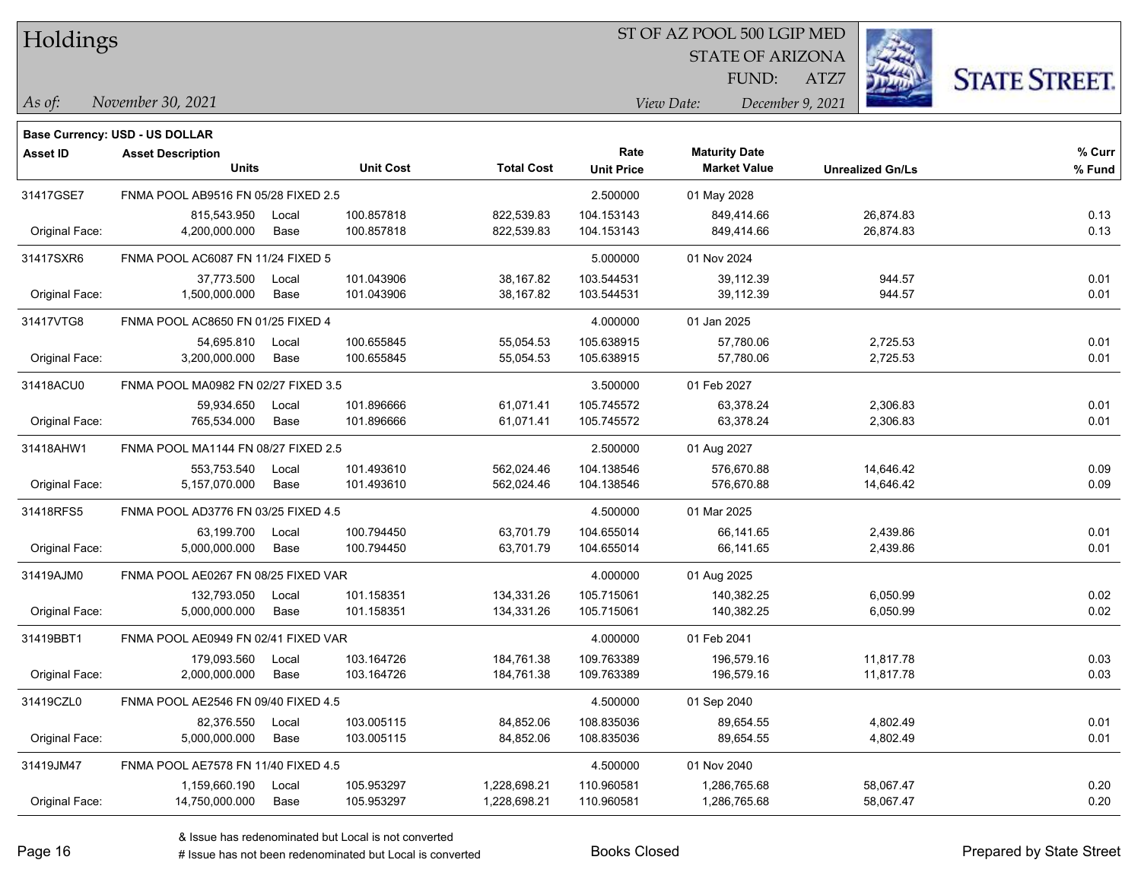|  | Holdings |
|--|----------|
|--|----------|

*As of: View Date: December 9, 2021*

STATE OF ARIZONA FUND:

ATZ7



| ls of: | November 30, 2021 |  |  |
|--------|-------------------|--|--|
|        |                   |  |  |

| % Curr<br>Rate<br><b>Maturity Date</b><br><b>Asset ID</b><br><b>Asset Description</b><br><b>Total Cost</b><br><b>Units</b><br><b>Unit Cost</b><br><b>Market Value</b><br><b>Unit Price</b><br><b>Unrealized Gn/Ls</b><br>% Fund<br>FNMA POOL AB9516 FN 05/28 FIXED 2.5<br>2.500000<br>31417GSE7<br>01 May 2028<br>104.153143<br>0.13<br>815,543.950<br>100.857818<br>822,539.83<br>849,414.66<br>26,874.83<br>Local<br>100.857818<br>822,539.83<br>104.153143<br>849,414.66<br>0.13<br>Original Face:<br>4,200,000.000<br>Base<br>26,874.83<br>31417SXR6<br>FNMA POOL AC6087 FN 11/24 FIXED 5<br>5.000000<br>01 Nov 2024<br>0.01<br>37,773.500<br>101.043906<br>38,167.82<br>103.544531<br>39,112.39<br>944.57<br>Local<br>0.01<br>1,500,000.000<br>101.043906<br>38,167.82<br>39,112.39<br>944.57<br>Original Face:<br>Base<br>103.544531<br>01 Jan 2025<br>FNMA POOL AC8650 FN 01/25 FIXED 4<br>4.000000<br>31417VTG8<br>105.638915<br>2,725.53<br>0.01<br>54,695.810<br>100.655845<br>55,054.53<br>57,780.06<br>Local<br>100.655845<br>2,725.53<br>0.01<br>Original Face:<br>3,200,000.000<br>Base<br>55,054.53<br>105.638915<br>57,780.06<br>31418ACU0<br>FNMA POOL MA0982 FN 02/27 FIXED 3.5<br>3.500000<br>01 Feb 2027<br>101.896666<br>61,071.41<br>0.01<br>59,934.650<br>105.745572<br>63,378.24<br>2,306.83<br>Local<br>0.01<br>Original Face:<br>765,534.000<br>Base<br>101.896666<br>61,071.41<br>105.745572<br>63,378.24<br>2,306.83<br>31418AHW1<br>FNMA POOL MA1144 FN 08/27 FIXED 2.5<br>2.500000<br>01 Aug 2027<br>0.09<br>101.493610<br>562,024.46<br>104.138546<br>553,753.540<br>576,670.88<br>14,646.42<br>Local<br>0.09<br>Original Face:<br>5,157,070.000<br>101.493610<br>562,024.46<br>104.138546<br>576,670.88<br>14,646.42<br>Base<br>31418RFS5<br>FNMA POOL AD3776 FN 03/25 FIXED 4.5<br>4.500000<br>01 Mar 2025<br>100.794450<br>0.01<br>63,199.700<br>63,701.79<br>104.655014<br>66,141.65<br>2,439.86<br>Local<br>0.01<br>5,000,000.000<br>100.794450<br>63,701.79<br>104.655014<br>66,141.65<br>2,439.86<br>Original Face:<br>Base<br>31419AJM0<br>FNMA POOL AE0267 FN 08/25 FIXED VAR<br>4.000000<br>01 Aug 2025<br>101.158351<br>105.715061<br>6,050.99<br>0.02<br>132,793.050<br>134,331.26<br>140.382.25<br>Local<br>5,000,000.000<br>101.158351<br>134,331.26<br>105.715061<br>140,382.25<br>6,050.99<br>0.02<br>Original Face:<br>Base<br>FNMA POOL AE0949 FN 02/41 FIXED VAR<br>4.000000<br>31419BBT1<br>01 Feb 2041<br>109.763389<br>0.03<br>179,093.560<br>103.164726<br>184,761.38<br>196,579.16<br>11,817.78<br>Local<br>0.03<br>103.164726<br>109.763389<br>196,579.16<br>Original Face:<br>2,000,000.000<br>Base<br>184,761.38<br>11,817.78<br>31419CZL0<br>FNMA POOL AE2546 FN 09/40 FIXED 4.5<br>4.500000<br>01 Sep 2040<br>108.835036<br>0.01<br>82,376.550<br>Local<br>103.005115<br>84,852.06<br>89,654.55<br>4,802.49<br>0.01<br>Original Face:<br>5,000,000.000<br>Base<br>103.005115<br>84,852.06<br>108.835036<br>89,654.55<br>4,802.49<br>31419JM47<br>FNMA POOL AE7578 FN 11/40 FIXED 4.5<br>4.500000<br>01 Nov 2040<br>110.960581<br>1,286,765.68<br>0.20<br>1,159,660.190<br>105.953297<br>1,228,698.21<br>58,067.47<br>Local<br>105.953297<br>0.20<br>Original Face:<br>14,750,000.000<br>Base<br>1,228,698.21<br>110.960581<br>1,286,765.68<br>58,067.47 | <b>Base Currency: USD - US DOLLAR</b> |  |  |  |  |  |
|---------------------------------------------------------------------------------------------------------------------------------------------------------------------------------------------------------------------------------------------------------------------------------------------------------------------------------------------------------------------------------------------------------------------------------------------------------------------------------------------------------------------------------------------------------------------------------------------------------------------------------------------------------------------------------------------------------------------------------------------------------------------------------------------------------------------------------------------------------------------------------------------------------------------------------------------------------------------------------------------------------------------------------------------------------------------------------------------------------------------------------------------------------------------------------------------------------------------------------------------------------------------------------------------------------------------------------------------------------------------------------------------------------------------------------------------------------------------------------------------------------------------------------------------------------------------------------------------------------------------------------------------------------------------------------------------------------------------------------------------------------------------------------------------------------------------------------------------------------------------------------------------------------------------------------------------------------------------------------------------------------------------------------------------------------------------------------------------------------------------------------------------------------------------------------------------------------------------------------------------------------------------------------------------------------------------------------------------------------------------------------------------------------------------------------------------------------------------------------------------------------------------------------------------------------------------------------------------------------------------------------------------------------------------------------------------------------------------------------------------------------------------------------------------------------------------------------------------------------------------------------------------------------------------------------------------------------------------------------------------------------------------------------------------------------------------------------------------------------------------------------------------------------------------------------------------------------------------------------------------------------------------------------------------------------------------|---------------------------------------|--|--|--|--|--|
|                                                                                                                                                                                                                                                                                                                                                                                                                                                                                                                                                                                                                                                                                                                                                                                                                                                                                                                                                                                                                                                                                                                                                                                                                                                                                                                                                                                                                                                                                                                                                                                                                                                                                                                                                                                                                                                                                                                                                                                                                                                                                                                                                                                                                                                                                                                                                                                                                                                                                                                                                                                                                                                                                                                                                                                                                                                                                                                                                                                                                                                                                                                                                                                                                                                                                                                     |                                       |  |  |  |  |  |
|                                                                                                                                                                                                                                                                                                                                                                                                                                                                                                                                                                                                                                                                                                                                                                                                                                                                                                                                                                                                                                                                                                                                                                                                                                                                                                                                                                                                                                                                                                                                                                                                                                                                                                                                                                                                                                                                                                                                                                                                                                                                                                                                                                                                                                                                                                                                                                                                                                                                                                                                                                                                                                                                                                                                                                                                                                                                                                                                                                                                                                                                                                                                                                                                                                                                                                                     |                                       |  |  |  |  |  |
|                                                                                                                                                                                                                                                                                                                                                                                                                                                                                                                                                                                                                                                                                                                                                                                                                                                                                                                                                                                                                                                                                                                                                                                                                                                                                                                                                                                                                                                                                                                                                                                                                                                                                                                                                                                                                                                                                                                                                                                                                                                                                                                                                                                                                                                                                                                                                                                                                                                                                                                                                                                                                                                                                                                                                                                                                                                                                                                                                                                                                                                                                                                                                                                                                                                                                                                     |                                       |  |  |  |  |  |
|                                                                                                                                                                                                                                                                                                                                                                                                                                                                                                                                                                                                                                                                                                                                                                                                                                                                                                                                                                                                                                                                                                                                                                                                                                                                                                                                                                                                                                                                                                                                                                                                                                                                                                                                                                                                                                                                                                                                                                                                                                                                                                                                                                                                                                                                                                                                                                                                                                                                                                                                                                                                                                                                                                                                                                                                                                                                                                                                                                                                                                                                                                                                                                                                                                                                                                                     |                                       |  |  |  |  |  |
|                                                                                                                                                                                                                                                                                                                                                                                                                                                                                                                                                                                                                                                                                                                                                                                                                                                                                                                                                                                                                                                                                                                                                                                                                                                                                                                                                                                                                                                                                                                                                                                                                                                                                                                                                                                                                                                                                                                                                                                                                                                                                                                                                                                                                                                                                                                                                                                                                                                                                                                                                                                                                                                                                                                                                                                                                                                                                                                                                                                                                                                                                                                                                                                                                                                                                                                     |                                       |  |  |  |  |  |
|                                                                                                                                                                                                                                                                                                                                                                                                                                                                                                                                                                                                                                                                                                                                                                                                                                                                                                                                                                                                                                                                                                                                                                                                                                                                                                                                                                                                                                                                                                                                                                                                                                                                                                                                                                                                                                                                                                                                                                                                                                                                                                                                                                                                                                                                                                                                                                                                                                                                                                                                                                                                                                                                                                                                                                                                                                                                                                                                                                                                                                                                                                                                                                                                                                                                                                                     |                                       |  |  |  |  |  |
|                                                                                                                                                                                                                                                                                                                                                                                                                                                                                                                                                                                                                                                                                                                                                                                                                                                                                                                                                                                                                                                                                                                                                                                                                                                                                                                                                                                                                                                                                                                                                                                                                                                                                                                                                                                                                                                                                                                                                                                                                                                                                                                                                                                                                                                                                                                                                                                                                                                                                                                                                                                                                                                                                                                                                                                                                                                                                                                                                                                                                                                                                                                                                                                                                                                                                                                     |                                       |  |  |  |  |  |
|                                                                                                                                                                                                                                                                                                                                                                                                                                                                                                                                                                                                                                                                                                                                                                                                                                                                                                                                                                                                                                                                                                                                                                                                                                                                                                                                                                                                                                                                                                                                                                                                                                                                                                                                                                                                                                                                                                                                                                                                                                                                                                                                                                                                                                                                                                                                                                                                                                                                                                                                                                                                                                                                                                                                                                                                                                                                                                                                                                                                                                                                                                                                                                                                                                                                                                                     |                                       |  |  |  |  |  |
|                                                                                                                                                                                                                                                                                                                                                                                                                                                                                                                                                                                                                                                                                                                                                                                                                                                                                                                                                                                                                                                                                                                                                                                                                                                                                                                                                                                                                                                                                                                                                                                                                                                                                                                                                                                                                                                                                                                                                                                                                                                                                                                                                                                                                                                                                                                                                                                                                                                                                                                                                                                                                                                                                                                                                                                                                                                                                                                                                                                                                                                                                                                                                                                                                                                                                                                     |                                       |  |  |  |  |  |
|                                                                                                                                                                                                                                                                                                                                                                                                                                                                                                                                                                                                                                                                                                                                                                                                                                                                                                                                                                                                                                                                                                                                                                                                                                                                                                                                                                                                                                                                                                                                                                                                                                                                                                                                                                                                                                                                                                                                                                                                                                                                                                                                                                                                                                                                                                                                                                                                                                                                                                                                                                                                                                                                                                                                                                                                                                                                                                                                                                                                                                                                                                                                                                                                                                                                                                                     |                                       |  |  |  |  |  |
|                                                                                                                                                                                                                                                                                                                                                                                                                                                                                                                                                                                                                                                                                                                                                                                                                                                                                                                                                                                                                                                                                                                                                                                                                                                                                                                                                                                                                                                                                                                                                                                                                                                                                                                                                                                                                                                                                                                                                                                                                                                                                                                                                                                                                                                                                                                                                                                                                                                                                                                                                                                                                                                                                                                                                                                                                                                                                                                                                                                                                                                                                                                                                                                                                                                                                                                     |                                       |  |  |  |  |  |
|                                                                                                                                                                                                                                                                                                                                                                                                                                                                                                                                                                                                                                                                                                                                                                                                                                                                                                                                                                                                                                                                                                                                                                                                                                                                                                                                                                                                                                                                                                                                                                                                                                                                                                                                                                                                                                                                                                                                                                                                                                                                                                                                                                                                                                                                                                                                                                                                                                                                                                                                                                                                                                                                                                                                                                                                                                                                                                                                                                                                                                                                                                                                                                                                                                                                                                                     |                                       |  |  |  |  |  |
|                                                                                                                                                                                                                                                                                                                                                                                                                                                                                                                                                                                                                                                                                                                                                                                                                                                                                                                                                                                                                                                                                                                                                                                                                                                                                                                                                                                                                                                                                                                                                                                                                                                                                                                                                                                                                                                                                                                                                                                                                                                                                                                                                                                                                                                                                                                                                                                                                                                                                                                                                                                                                                                                                                                                                                                                                                                                                                                                                                                                                                                                                                                                                                                                                                                                                                                     |                                       |  |  |  |  |  |
|                                                                                                                                                                                                                                                                                                                                                                                                                                                                                                                                                                                                                                                                                                                                                                                                                                                                                                                                                                                                                                                                                                                                                                                                                                                                                                                                                                                                                                                                                                                                                                                                                                                                                                                                                                                                                                                                                                                                                                                                                                                                                                                                                                                                                                                                                                                                                                                                                                                                                                                                                                                                                                                                                                                                                                                                                                                                                                                                                                                                                                                                                                                                                                                                                                                                                                                     |                                       |  |  |  |  |  |
|                                                                                                                                                                                                                                                                                                                                                                                                                                                                                                                                                                                                                                                                                                                                                                                                                                                                                                                                                                                                                                                                                                                                                                                                                                                                                                                                                                                                                                                                                                                                                                                                                                                                                                                                                                                                                                                                                                                                                                                                                                                                                                                                                                                                                                                                                                                                                                                                                                                                                                                                                                                                                                                                                                                                                                                                                                                                                                                                                                                                                                                                                                                                                                                                                                                                                                                     |                                       |  |  |  |  |  |
|                                                                                                                                                                                                                                                                                                                                                                                                                                                                                                                                                                                                                                                                                                                                                                                                                                                                                                                                                                                                                                                                                                                                                                                                                                                                                                                                                                                                                                                                                                                                                                                                                                                                                                                                                                                                                                                                                                                                                                                                                                                                                                                                                                                                                                                                                                                                                                                                                                                                                                                                                                                                                                                                                                                                                                                                                                                                                                                                                                                                                                                                                                                                                                                                                                                                                                                     |                                       |  |  |  |  |  |
|                                                                                                                                                                                                                                                                                                                                                                                                                                                                                                                                                                                                                                                                                                                                                                                                                                                                                                                                                                                                                                                                                                                                                                                                                                                                                                                                                                                                                                                                                                                                                                                                                                                                                                                                                                                                                                                                                                                                                                                                                                                                                                                                                                                                                                                                                                                                                                                                                                                                                                                                                                                                                                                                                                                                                                                                                                                                                                                                                                                                                                                                                                                                                                                                                                                                                                                     |                                       |  |  |  |  |  |
|                                                                                                                                                                                                                                                                                                                                                                                                                                                                                                                                                                                                                                                                                                                                                                                                                                                                                                                                                                                                                                                                                                                                                                                                                                                                                                                                                                                                                                                                                                                                                                                                                                                                                                                                                                                                                                                                                                                                                                                                                                                                                                                                                                                                                                                                                                                                                                                                                                                                                                                                                                                                                                                                                                                                                                                                                                                                                                                                                                                                                                                                                                                                                                                                                                                                                                                     |                                       |  |  |  |  |  |
|                                                                                                                                                                                                                                                                                                                                                                                                                                                                                                                                                                                                                                                                                                                                                                                                                                                                                                                                                                                                                                                                                                                                                                                                                                                                                                                                                                                                                                                                                                                                                                                                                                                                                                                                                                                                                                                                                                                                                                                                                                                                                                                                                                                                                                                                                                                                                                                                                                                                                                                                                                                                                                                                                                                                                                                                                                                                                                                                                                                                                                                                                                                                                                                                                                                                                                                     |                                       |  |  |  |  |  |
|                                                                                                                                                                                                                                                                                                                                                                                                                                                                                                                                                                                                                                                                                                                                                                                                                                                                                                                                                                                                                                                                                                                                                                                                                                                                                                                                                                                                                                                                                                                                                                                                                                                                                                                                                                                                                                                                                                                                                                                                                                                                                                                                                                                                                                                                                                                                                                                                                                                                                                                                                                                                                                                                                                                                                                                                                                                                                                                                                                                                                                                                                                                                                                                                                                                                                                                     |                                       |  |  |  |  |  |
|                                                                                                                                                                                                                                                                                                                                                                                                                                                                                                                                                                                                                                                                                                                                                                                                                                                                                                                                                                                                                                                                                                                                                                                                                                                                                                                                                                                                                                                                                                                                                                                                                                                                                                                                                                                                                                                                                                                                                                                                                                                                                                                                                                                                                                                                                                                                                                                                                                                                                                                                                                                                                                                                                                                                                                                                                                                                                                                                                                                                                                                                                                                                                                                                                                                                                                                     |                                       |  |  |  |  |  |
|                                                                                                                                                                                                                                                                                                                                                                                                                                                                                                                                                                                                                                                                                                                                                                                                                                                                                                                                                                                                                                                                                                                                                                                                                                                                                                                                                                                                                                                                                                                                                                                                                                                                                                                                                                                                                                                                                                                                                                                                                                                                                                                                                                                                                                                                                                                                                                                                                                                                                                                                                                                                                                                                                                                                                                                                                                                                                                                                                                                                                                                                                                                                                                                                                                                                                                                     |                                       |  |  |  |  |  |
|                                                                                                                                                                                                                                                                                                                                                                                                                                                                                                                                                                                                                                                                                                                                                                                                                                                                                                                                                                                                                                                                                                                                                                                                                                                                                                                                                                                                                                                                                                                                                                                                                                                                                                                                                                                                                                                                                                                                                                                                                                                                                                                                                                                                                                                                                                                                                                                                                                                                                                                                                                                                                                                                                                                                                                                                                                                                                                                                                                                                                                                                                                                                                                                                                                                                                                                     |                                       |  |  |  |  |  |
|                                                                                                                                                                                                                                                                                                                                                                                                                                                                                                                                                                                                                                                                                                                                                                                                                                                                                                                                                                                                                                                                                                                                                                                                                                                                                                                                                                                                                                                                                                                                                                                                                                                                                                                                                                                                                                                                                                                                                                                                                                                                                                                                                                                                                                                                                                                                                                                                                                                                                                                                                                                                                                                                                                                                                                                                                                                                                                                                                                                                                                                                                                                                                                                                                                                                                                                     |                                       |  |  |  |  |  |
|                                                                                                                                                                                                                                                                                                                                                                                                                                                                                                                                                                                                                                                                                                                                                                                                                                                                                                                                                                                                                                                                                                                                                                                                                                                                                                                                                                                                                                                                                                                                                                                                                                                                                                                                                                                                                                                                                                                                                                                                                                                                                                                                                                                                                                                                                                                                                                                                                                                                                                                                                                                                                                                                                                                                                                                                                                                                                                                                                                                                                                                                                                                                                                                                                                                                                                                     |                                       |  |  |  |  |  |
|                                                                                                                                                                                                                                                                                                                                                                                                                                                                                                                                                                                                                                                                                                                                                                                                                                                                                                                                                                                                                                                                                                                                                                                                                                                                                                                                                                                                                                                                                                                                                                                                                                                                                                                                                                                                                                                                                                                                                                                                                                                                                                                                                                                                                                                                                                                                                                                                                                                                                                                                                                                                                                                                                                                                                                                                                                                                                                                                                                                                                                                                                                                                                                                                                                                                                                                     |                                       |  |  |  |  |  |
|                                                                                                                                                                                                                                                                                                                                                                                                                                                                                                                                                                                                                                                                                                                                                                                                                                                                                                                                                                                                                                                                                                                                                                                                                                                                                                                                                                                                                                                                                                                                                                                                                                                                                                                                                                                                                                                                                                                                                                                                                                                                                                                                                                                                                                                                                                                                                                                                                                                                                                                                                                                                                                                                                                                                                                                                                                                                                                                                                                                                                                                                                                                                                                                                                                                                                                                     |                                       |  |  |  |  |  |
|                                                                                                                                                                                                                                                                                                                                                                                                                                                                                                                                                                                                                                                                                                                                                                                                                                                                                                                                                                                                                                                                                                                                                                                                                                                                                                                                                                                                                                                                                                                                                                                                                                                                                                                                                                                                                                                                                                                                                                                                                                                                                                                                                                                                                                                                                                                                                                                                                                                                                                                                                                                                                                                                                                                                                                                                                                                                                                                                                                                                                                                                                                                                                                                                                                                                                                                     |                                       |  |  |  |  |  |
|                                                                                                                                                                                                                                                                                                                                                                                                                                                                                                                                                                                                                                                                                                                                                                                                                                                                                                                                                                                                                                                                                                                                                                                                                                                                                                                                                                                                                                                                                                                                                                                                                                                                                                                                                                                                                                                                                                                                                                                                                                                                                                                                                                                                                                                                                                                                                                                                                                                                                                                                                                                                                                                                                                                                                                                                                                                                                                                                                                                                                                                                                                                                                                                                                                                                                                                     |                                       |  |  |  |  |  |
|                                                                                                                                                                                                                                                                                                                                                                                                                                                                                                                                                                                                                                                                                                                                                                                                                                                                                                                                                                                                                                                                                                                                                                                                                                                                                                                                                                                                                                                                                                                                                                                                                                                                                                                                                                                                                                                                                                                                                                                                                                                                                                                                                                                                                                                                                                                                                                                                                                                                                                                                                                                                                                                                                                                                                                                                                                                                                                                                                                                                                                                                                                                                                                                                                                                                                                                     |                                       |  |  |  |  |  |
|                                                                                                                                                                                                                                                                                                                                                                                                                                                                                                                                                                                                                                                                                                                                                                                                                                                                                                                                                                                                                                                                                                                                                                                                                                                                                                                                                                                                                                                                                                                                                                                                                                                                                                                                                                                                                                                                                                                                                                                                                                                                                                                                                                                                                                                                                                                                                                                                                                                                                                                                                                                                                                                                                                                                                                                                                                                                                                                                                                                                                                                                                                                                                                                                                                                                                                                     |                                       |  |  |  |  |  |
|                                                                                                                                                                                                                                                                                                                                                                                                                                                                                                                                                                                                                                                                                                                                                                                                                                                                                                                                                                                                                                                                                                                                                                                                                                                                                                                                                                                                                                                                                                                                                                                                                                                                                                                                                                                                                                                                                                                                                                                                                                                                                                                                                                                                                                                                                                                                                                                                                                                                                                                                                                                                                                                                                                                                                                                                                                                                                                                                                                                                                                                                                                                                                                                                                                                                                                                     |                                       |  |  |  |  |  |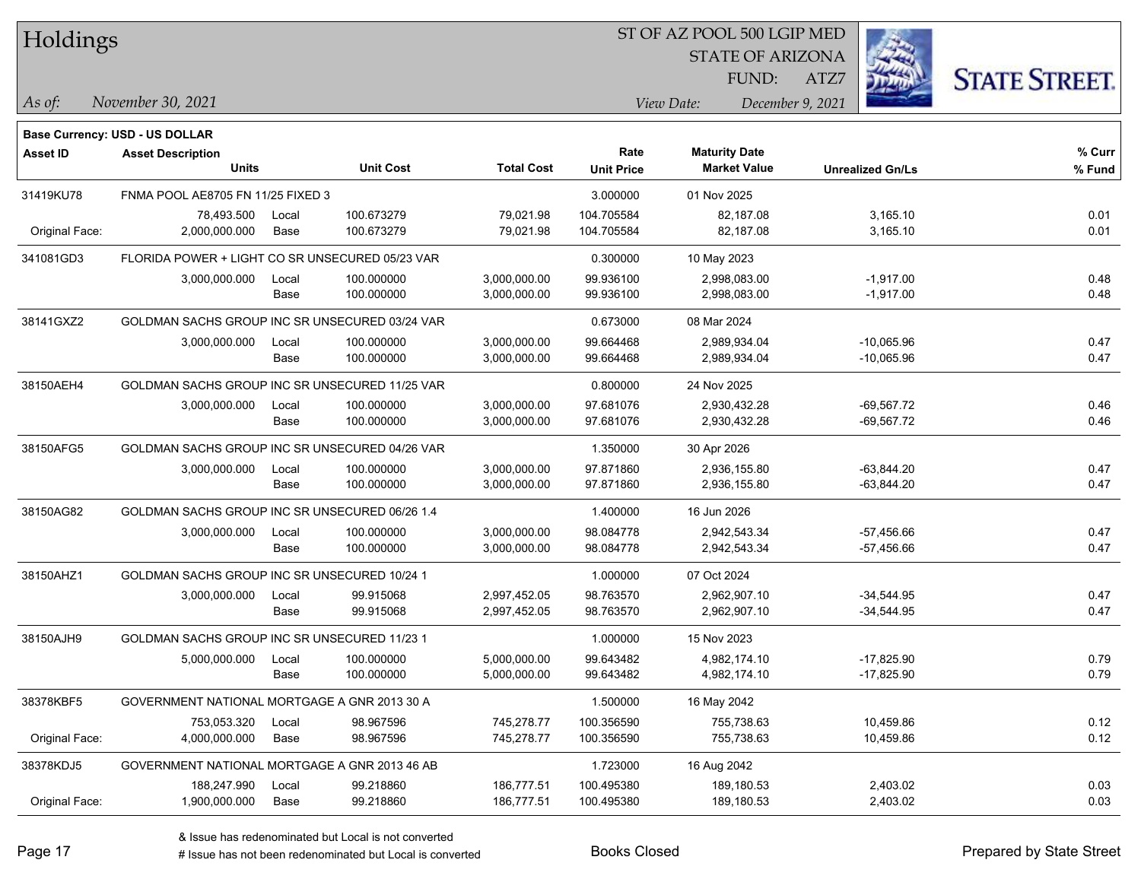| Holdings        |                                                 |       |                  |                   |                   | ST OF AZ POOL 500 LGIP MED |                         |                      |
|-----------------|-------------------------------------------------|-------|------------------|-------------------|-------------------|----------------------------|-------------------------|----------------------|
|                 |                                                 |       |                  |                   |                   | <b>STATE OF ARIZONA</b>    |                         |                      |
|                 |                                                 |       |                  |                   |                   | FUND:                      | ATZ7                    | <b>STATE STREET.</b> |
| As of:          | November 30, 2021                               |       |                  |                   |                   | View Date:                 | December 9, 2021        |                      |
|                 |                                                 |       |                  |                   |                   |                            |                         |                      |
|                 | <b>Base Currency: USD - US DOLLAR</b>           |       |                  |                   | Rate              | <b>Maturity Date</b>       |                         | % Curr               |
| <b>Asset ID</b> | <b>Asset Description</b><br><b>Units</b>        |       | <b>Unit Cost</b> | <b>Total Cost</b> | <b>Unit Price</b> | <b>Market Value</b>        | <b>Unrealized Gn/Ls</b> | % Fund               |
| 31419KU78       | FNMA POOL AE8705 FN 11/25 FIXED 3               |       |                  |                   | 3.000000          | 01 Nov 2025                |                         |                      |
|                 | 78,493.500                                      | Local | 100.673279       | 79,021.98         | 104.705584        | 82,187.08                  | 3,165.10                | 0.01                 |
| Original Face:  | 2,000,000.000                                   | Base  | 100.673279       | 79,021.98         | 104.705584        | 82,187.08                  | 3,165.10                | 0.01                 |
| 341081GD3       | FLORIDA POWER + LIGHT CO SR UNSECURED 05/23 VAR |       |                  |                   | 0.300000          | 10 May 2023                |                         |                      |
|                 | 3,000,000.000                                   | Local | 100.000000       | 3,000,000.00      | 99.936100         | 2,998,083.00               | $-1,917.00$             | 0.48                 |
|                 |                                                 | Base  | 100.000000       | 3,000,000.00      | 99.936100         | 2,998,083.00               | $-1,917.00$             | 0.48                 |
| 38141GXZ2       | GOLDMAN SACHS GROUP INC SR UNSECURED 03/24 VAR  |       |                  |                   | 0.673000          | 08 Mar 2024                |                         |                      |
|                 | 3,000,000.000                                   | Local | 100.000000       | 3,000,000.00      | 99.664468         | 2,989,934.04               | $-10,065.96$            | 0.47                 |
|                 |                                                 | Base  | 100.000000       | 3,000,000.00      | 99.664468         | 2,989,934.04               | $-10,065.96$            | 0.47                 |
| 38150AEH4       | GOLDMAN SACHS GROUP INC SR UNSECURED 11/25 VAR  |       |                  |                   | 0.800000          | 24 Nov 2025                |                         |                      |
|                 | 3,000,000.000                                   | Local | 100.000000       | 3,000,000.00      | 97.681076         | 2,930,432.28               | $-69,567.72$            | 0.46                 |
|                 |                                                 | Base  | 100.000000       | 3,000,000.00      | 97.681076         | 2,930,432.28               | $-69,567.72$            | 0.46                 |
| 38150AFG5       | GOLDMAN SACHS GROUP INC SR UNSECURED 04/26 VAR  |       |                  |                   | 1.350000          | 30 Apr 2026                |                         |                      |
|                 | 3,000,000.000                                   | Local | 100.000000       | 3,000,000.00      | 97.871860         | 2,936,155.80               | $-63,844.20$            | 0.47                 |
|                 |                                                 | Base  | 100.000000       | 3,000,000.00      | 97.871860         | 2,936,155.80               | $-63,844.20$            | 0.47                 |
| 38150AG82       | GOLDMAN SACHS GROUP INC SR UNSECURED 06/26 1.4  |       |                  |                   | 1.400000          | 16 Jun 2026                |                         |                      |
|                 | 3,000,000.000                                   | Local | 100.000000       | 3,000,000.00      | 98.084778         | 2,942,543.34               | $-57,456.66$            | 0.47                 |
|                 |                                                 | Base  | 100.000000       | 3,000,000.00      | 98.084778         | 2,942,543.34               | $-57,456.66$            | 0.47                 |
| 38150AHZ1       | GOLDMAN SACHS GROUP INC SR UNSECURED 10/24 1    |       |                  |                   | 1.000000          | 07 Oct 2024                |                         |                      |
|                 | 3,000,000.000                                   | Local | 99.915068        | 2,997,452.05      | 98.763570         | 2,962,907.10               | $-34,544.95$            | 0.47                 |
|                 |                                                 | Base  | 99.915068        | 2,997,452.05      | 98.763570         | 2,962,907.10               | $-34,544.95$            | 0.47                 |
| 38150AJH9       | GOLDMAN SACHS GROUP INC SR UNSECURED 11/23 1    |       |                  |                   | 1.000000          | 15 Nov 2023                |                         |                      |
|                 | 5,000,000.000                                   | Local | 100.000000       | 5,000,000.00      | 99.643482         | 4,982,174.10               | $-17,825.90$            | 0.79                 |
|                 |                                                 | Base  | 100.000000       | 5,000,000.00      | 99.643482         | 4,982,174.10               | $-17,825.90$            | 0.79                 |
| 38378KBF5       | GOVERNMENT NATIONAL MORTGAGE A GNR 2013 30 A    |       |                  |                   | 1.500000          | 16 May 2042                |                         |                      |
|                 | 753,053.320                                     | Local | 98.967596        | 745,278.77        | 100.356590        | 755,738.63                 | 10,459.86               | 0.12                 |
| Original Face:  | 4,000,000.000                                   | Base  | 98.967596        | 745,278.77        | 100.356590        | 755,738.63                 | 10,459.86               | 0.12                 |
| 38378KDJ5       | GOVERNMENT NATIONAL MORTGAGE A GNR 2013 46 AB   |       |                  |                   | 1.723000          | 16 Aug 2042                |                         |                      |
|                 | 188,247.990                                     | Local | 99.218860        | 186,777.51        | 100.495380        | 189,180.53                 | 2,403.02                | 0.03                 |
| Original Face:  | 1,900,000.000                                   | Base  | 99.218860        | 186,777.51        | 100.495380        | 189,180.53                 | 2,403.02                | 0.03                 |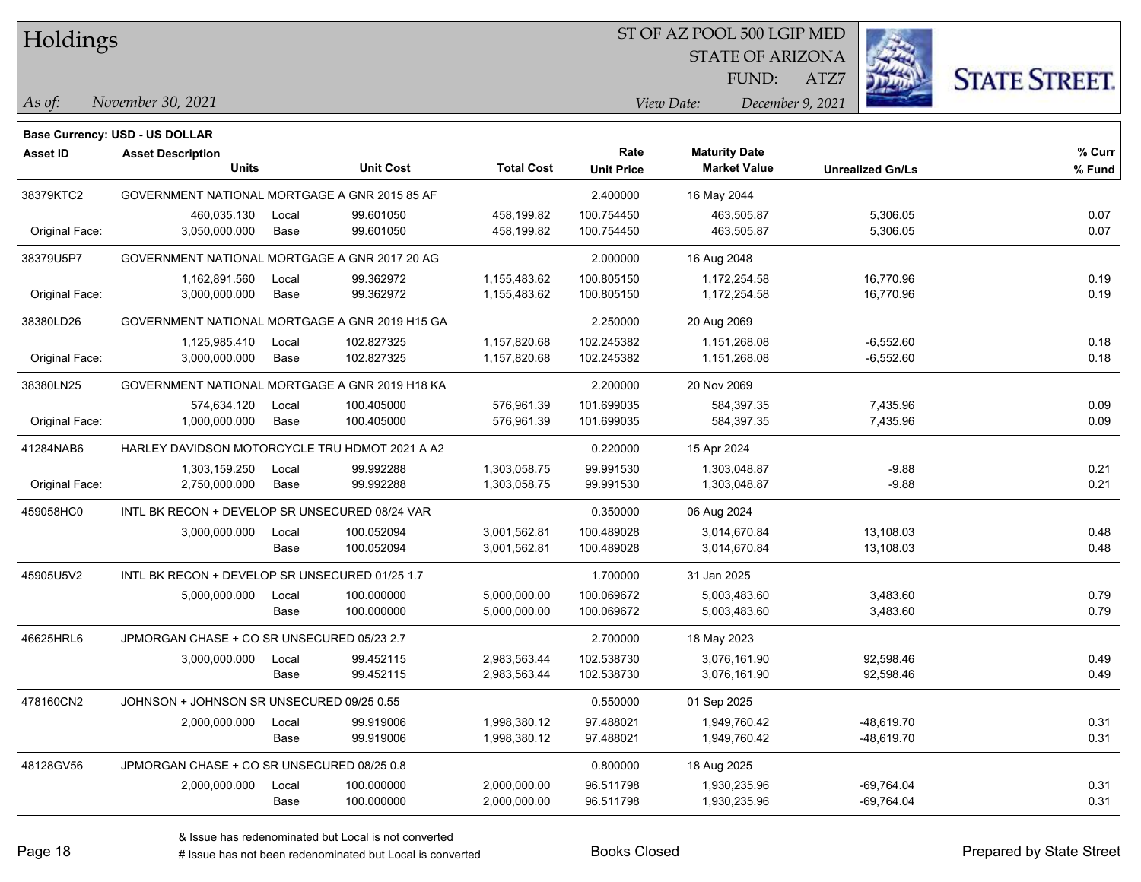| Holdings |
|----------|
|          |

STATE OF ARIZONA FUND:

ATZ7



*November 30, 2021 As of: View Date: December 9, 2021*

|                 | Base Currency: USD - US DOLLAR                 |       |                  |                   |                           |                                             |                         |                  |
|-----------------|------------------------------------------------|-------|------------------|-------------------|---------------------------|---------------------------------------------|-------------------------|------------------|
| <b>Asset ID</b> | <b>Asset Description</b><br><b>Units</b>       |       | <b>Unit Cost</b> | <b>Total Cost</b> | Rate<br><b>Unit Price</b> | <b>Maturity Date</b><br><b>Market Value</b> | <b>Unrealized Gn/Ls</b> | % Curr<br>% Fund |
| 38379KTC2       | GOVERNMENT NATIONAL MORTGAGE A GNR 2015 85 AF  |       |                  |                   | 2.400000                  | 16 May 2044                                 |                         |                  |
|                 | 460.035.130                                    | Local | 99.601050        | 458,199.82        | 100.754450                | 463,505.87                                  | 5,306.05                | 0.07             |
| Original Face:  | 3,050,000.000                                  | Base  | 99.601050        | 458,199.82        | 100.754450                | 463,505.87                                  | 5,306.05                | 0.07             |
| 38379U5P7       | GOVERNMENT NATIONAL MORTGAGE A GNR 2017 20 AG  |       |                  |                   | 2.000000                  | 16 Aug 2048                                 |                         |                  |
|                 | 1,162,891.560                                  | Local | 99.362972        | 1,155,483.62      | 100.805150                | 1,172,254.58                                | 16,770.96               | 0.19             |
| Original Face:  | 3,000,000.000                                  | Base  | 99.362972        | 1,155,483.62      | 100.805150                | 1,172,254.58                                | 16,770.96               | 0.19             |
| 38380LD26       | GOVERNMENT NATIONAL MORTGAGE A GNR 2019 H15 GA |       |                  |                   | 2.250000                  | 20 Aug 2069                                 |                         |                  |
|                 | 1,125,985.410                                  | Local | 102.827325       | 1,157,820.68      | 102.245382                | 1,151,268.08                                | $-6,552.60$             | 0.18             |
| Original Face:  | 3,000,000.000                                  | Base  | 102.827325       | 1,157,820.68      | 102.245382                | 1,151,268.08                                | $-6,552.60$             | 0.18             |
| 38380LN25       | GOVERNMENT NATIONAL MORTGAGE A GNR 2019 H18 KA |       |                  |                   | 2.200000                  | 20 Nov 2069                                 |                         |                  |
|                 | 574.634.120                                    | Local | 100.405000       | 576.961.39        | 101.699035                | 584.397.35                                  | 7,435.96                | 0.09             |
| Original Face:  | 1,000,000.000                                  | Base  | 100.405000       | 576,961.39        | 101.699035                | 584,397.35                                  | 7,435.96                | 0.09             |
| 41284NAB6       | HARLEY DAVIDSON MOTORCYCLE TRU HDMOT 2021 A A2 |       |                  |                   | 0.220000                  | 15 Apr 2024                                 |                         |                  |
|                 | 1,303,159.250                                  | Local | 99.992288        | 1,303,058.75      | 99.991530                 | 1,303,048.87                                | $-9.88$                 | 0.21             |
| Original Face:  | 2,750,000.000                                  | Base  | 99.992288        | 1,303,058.75      | 99.991530                 | 1,303,048.87                                | $-9.88$                 | 0.21             |
| 459058HC0       | INTL BK RECON + DEVELOP SR UNSECURED 08/24 VAR |       |                  |                   | 0.350000                  | 06 Aug 2024                                 |                         |                  |
|                 | 3,000,000.000                                  | Local | 100.052094       | 3,001,562.81      | 100.489028                | 3,014,670.84                                | 13,108.03               | 0.48             |
|                 |                                                | Base  | 100.052094       | 3,001,562.81      | 100.489028                | 3,014,670.84                                | 13,108.03               | 0.48             |
| 45905U5V2       | INTL BK RECON + DEVELOP SR UNSECURED 01/25 1.7 |       |                  |                   | 1.700000                  | 31 Jan 2025                                 |                         |                  |
|                 | 5,000,000.000                                  | Local | 100.000000       | 5,000,000.00      | 100.069672                | 5,003,483.60                                | 3,483.60                | 0.79             |
|                 |                                                | Base  | 100.000000       | 5,000,000.00      | 100.069672                | 5,003,483.60                                | 3,483.60                | 0.79             |
| 46625HRL6       | JPMORGAN CHASE + CO SR UNSECURED 05/23 2.7     |       |                  |                   | 2.700000                  | 18 May 2023                                 |                         |                  |
|                 | 3,000,000.000                                  | Local | 99.452115        | 2,983,563.44      | 102.538730                | 3,076,161.90                                | 92,598.46               | 0.49             |
|                 |                                                | Base  | 99.452115        | 2,983,563.44      | 102.538730                | 3,076,161.90                                | 92,598.46               | 0.49             |
| 478160CN2       | JOHNSON + JOHNSON SR UNSECURED 09/25 0.55      |       |                  |                   | 0.550000                  | 01 Sep 2025                                 |                         |                  |
|                 | 2,000,000.000                                  | Local | 99.919006        | 1,998,380.12      | 97.488021                 | 1,949,760.42                                | $-48,619.70$            | 0.31             |
|                 |                                                | Base  | 99.919006        | 1,998,380.12      | 97.488021                 | 1,949,760.42                                | $-48,619.70$            | 0.31             |
| 48128GV56       | JPMORGAN CHASE + CO SR UNSECURED 08/25 0.8     |       |                  |                   | 0.800000                  | 18 Aug 2025                                 |                         |                  |
|                 | 2,000,000.000                                  | Local | 100.000000       | 2,000,000.00      | 96.511798                 | 1,930,235.96                                | $-69,764.04$            | 0.31             |
|                 |                                                | Base  | 100.000000       | 2,000,000.00      | 96.511798                 | 1,930,235.96                                | $-69,764.04$            | 0.31             |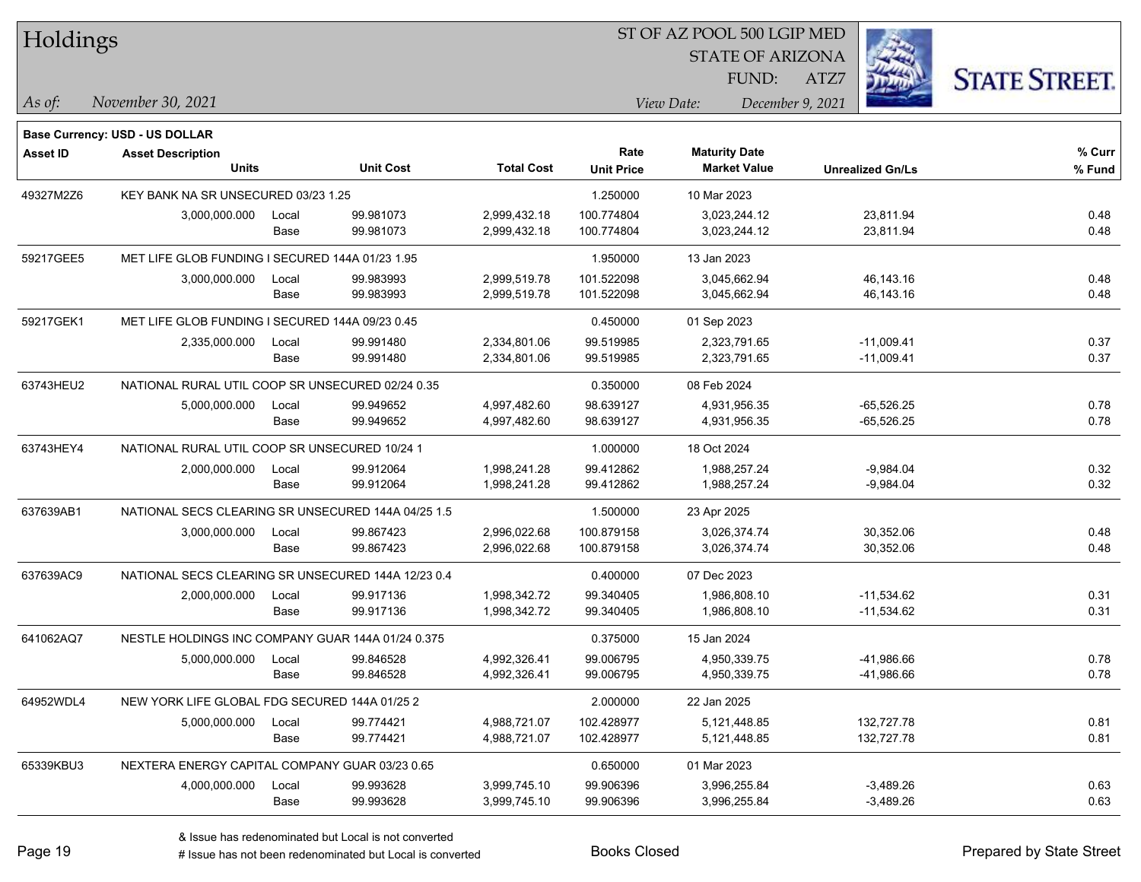| Holdings        |                                                    |       |                  |                   |                   | ST OF AZ POOL 500 LGIP MED |                         |                         |                      |
|-----------------|----------------------------------------------------|-------|------------------|-------------------|-------------------|----------------------------|-------------------------|-------------------------|----------------------|
|                 |                                                    |       |                  |                   |                   |                            | <b>STATE OF ARIZONA</b> |                         |                      |
|                 |                                                    |       |                  |                   |                   |                            | FUND:<br>ATZ7           |                         | <b>STATE STREET.</b> |
| As of:          | November 30, 2021                                  |       |                  |                   |                   | View Date:                 | December 9, 2021        |                         |                      |
|                 | Base Currency: USD - US DOLLAR                     |       |                  |                   |                   |                            |                         |                         |                      |
| <b>Asset ID</b> | <b>Asset Description</b>                           |       |                  |                   | Rate              | <b>Maturity Date</b>       |                         |                         | % Curr               |
|                 | <b>Units</b>                                       |       | <b>Unit Cost</b> | <b>Total Cost</b> | <b>Unit Price</b> | <b>Market Value</b>        |                         | <b>Unrealized Gn/Ls</b> | % Fund               |
| 49327M2Z6       | KEY BANK NA SR UNSECURED 03/23 1.25                |       |                  |                   | 1.250000          | 10 Mar 2023                |                         |                         |                      |
|                 | 3,000,000.000                                      | Local | 99.981073        | 2,999,432.18      | 100.774804        | 3,023,244.12               |                         | 23,811.94               | 0.48                 |
|                 |                                                    | Base  | 99.981073        | 2,999,432.18      | 100.774804        | 3,023,244.12               |                         | 23,811.94               | 0.48                 |
| 59217GEE5       | MET LIFE GLOB FUNDING I SECURED 144A 01/23 1.95    |       |                  |                   | 1.950000          | 13 Jan 2023                |                         |                         |                      |
|                 | 3,000,000.000                                      | Local | 99.983993        | 2,999,519.78      | 101.522098        | 3,045,662.94               |                         | 46,143.16               | 0.48                 |
|                 |                                                    | Base  | 99.983993        | 2,999,519.78      | 101.522098        | 3,045,662.94               |                         | 46,143.16               | 0.48                 |
| 59217GEK1       | MET LIFE GLOB FUNDING I SECURED 144A 09/23 0.45    |       |                  |                   | 0.450000          | 01 Sep 2023                |                         |                         |                      |
|                 | 2,335,000.000                                      | Local | 99.991480        | 2,334,801.06      | 99.519985         | 2,323,791.65               |                         | $-11,009.41$            | 0.37                 |
|                 |                                                    | Base  | 99.991480        | 2,334,801.06      | 99.519985         | 2,323,791.65               |                         | $-11,009.41$            | 0.37                 |
| 63743HEU2       | NATIONAL RURAL UTIL COOP SR UNSECURED 02/24 0.35   |       |                  |                   | 0.350000          | 08 Feb 2024                |                         |                         |                      |
|                 | 5,000,000.000                                      | Local | 99.949652        | 4,997,482.60      | 98.639127         | 4,931,956.35               |                         | $-65,526.25$            | 0.78                 |
|                 |                                                    | Base  | 99.949652        | 4,997,482.60      | 98.639127         | 4,931,956.35               |                         | $-65,526.25$            | 0.78                 |
| 63743HEY4       | NATIONAL RURAL UTIL COOP SR UNSECURED 10/24 1      |       |                  |                   | 1.000000          | 18 Oct 2024                |                         |                         |                      |
|                 | 2,000,000.000                                      | Local | 99.912064        | 1,998,241.28      | 99.412862         | 1,988,257.24               |                         | $-9,984.04$             | 0.32                 |
|                 |                                                    | Base  | 99.912064        | 1,998,241.28      | 99.412862         | 1,988,257.24               |                         | $-9,984.04$             | 0.32                 |
| 637639AB1       | NATIONAL SECS CLEARING SR UNSECURED 144A 04/25 1.5 |       |                  |                   | 1.500000          | 23 Apr 2025                |                         |                         |                      |
|                 | 3,000,000.000                                      | Local | 99.867423        | 2,996,022.68      | 100.879158        | 3,026,374.74               |                         | 30,352.06               | 0.48                 |
|                 |                                                    | Base  | 99.867423        | 2,996,022.68      | 100.879158        | 3,026,374.74               |                         | 30,352.06               | 0.48                 |
| 637639AC9       | NATIONAL SECS CLEARING SR UNSECURED 144A 12/23 0.4 |       |                  |                   | 0.400000          | 07 Dec 2023                |                         |                         |                      |
|                 | 2,000,000.000                                      | Local | 99.917136        | 1,998,342.72      | 99.340405         | 1,986,808.10               |                         | $-11,534.62$            | 0.31                 |
|                 |                                                    | Base  | 99.917136        | 1,998,342.72      | 99.340405         | 1,986,808.10               |                         | -11,534.62              | 0.31                 |
| 641062AQ7       | NESTLE HOLDINGS INC COMPANY GUAR 144A 01/24 0.375  |       |                  |                   | 0.375000          | 15 Jan 2024                |                         |                         |                      |
|                 | 5,000,000.000                                      | Local | 99.846528        | 4,992,326.41      | 99.006795         | 4,950,339.75               |                         | -41,986.66              | 0.78                 |
|                 |                                                    | Base  | 99.846528        | 4,992,326.41      | 99.006795         | 4,950,339.75               |                         | -41,986.66              | 0.78                 |
| 64952WDL4       | NEW YORK LIFE GLOBAL FDG SECURED 144A 01/25 2      |       |                  |                   | 2.000000          | 22 Jan 2025                |                         |                         |                      |
|                 | 5,000,000.000                                      | Local | 99.774421        | 4,988,721.07      | 102.428977        | 5,121,448.85               |                         | 132,727.78              | 0.81                 |
|                 |                                                    | Base  | 99.774421        | 4,988,721.07      | 102.428977        | 5, 121, 448.85             |                         | 132,727.78              | 0.81                 |
| 65339KBU3       | NEXTERA ENERGY CAPITAL COMPANY GUAR 03/23 0.65     |       |                  |                   | 0.650000          | 01 Mar 2023                |                         |                         |                      |
|                 | 4,000,000.000                                      | Local | 99.993628        | 3,999,745.10      | 99.906396         | 3,996,255.84               |                         | $-3,489.26$             | 0.63                 |
|                 |                                                    | Base  | 99.993628        | 3,999,745.10      | 99.906396         | 3,996,255.84               |                         | $-3,489.26$             | 0.63                 |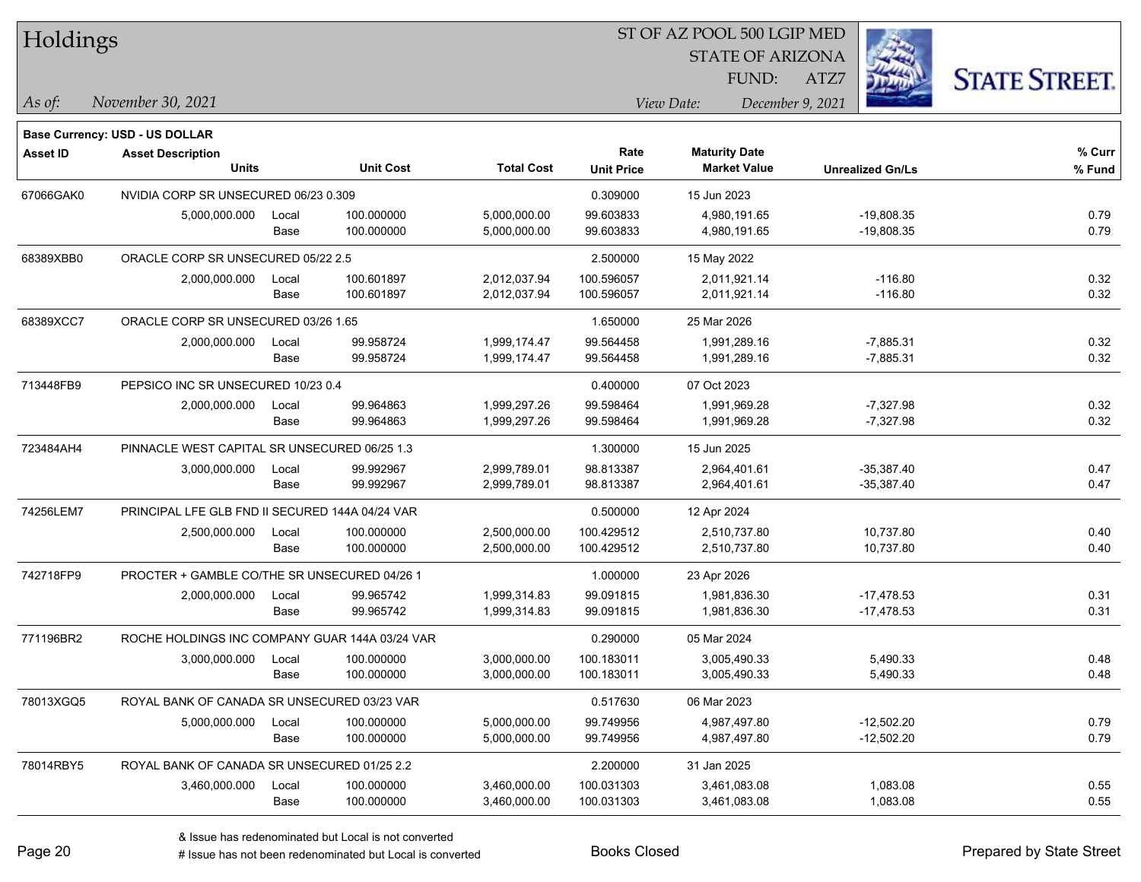| Holdings        |                                                 |       |                  |                   |                   | ST OF AZ POOL 500 LGIP MED |                         |                      |
|-----------------|-------------------------------------------------|-------|------------------|-------------------|-------------------|----------------------------|-------------------------|----------------------|
|                 |                                                 |       |                  |                   |                   | <b>STATE OF ARIZONA</b>    |                         |                      |
|                 |                                                 |       |                  |                   |                   | FUND:                      | ATZ7                    | <b>STATE STREET.</b> |
| As of:          | November 30, 2021                               |       |                  |                   |                   | View Date:                 | December 9, 2021        |                      |
|                 | Base Currency: USD - US DOLLAR                  |       |                  |                   |                   |                            |                         |                      |
| <b>Asset ID</b> | <b>Asset Description</b>                        |       |                  |                   | Rate              | <b>Maturity Date</b>       |                         | % Curr               |
|                 | <b>Units</b>                                    |       | <b>Unit Cost</b> | <b>Total Cost</b> | <b>Unit Price</b> | <b>Market Value</b>        | <b>Unrealized Gn/Ls</b> | % Fund               |
| 67066GAK0       | NVIDIA CORP SR UNSECURED 06/23 0.309            |       |                  |                   | 0.309000          | 15 Jun 2023                |                         |                      |
|                 | 5,000,000.000                                   | Local | 100.000000       | 5,000,000.00      | 99.603833         | 4,980,191.65               | $-19,808.35$            | 0.79                 |
|                 |                                                 | Base  | 100.000000       | 5,000,000.00      | 99.603833         | 4,980,191.65               | $-19,808.35$            | 0.79                 |
| 68389XBB0       | ORACLE CORP SR UNSECURED 05/22 2.5              |       |                  |                   | 2.500000          | 15 May 2022                |                         |                      |
|                 | 2,000,000.000                                   | Local | 100.601897       | 2,012,037.94      | 100.596057        | 2,011,921.14               | $-116.80$               | 0.32                 |
|                 |                                                 | Base  | 100.601897       | 2,012,037.94      | 100.596057        | 2,011,921.14               | $-116.80$               | 0.32                 |
| 68389XCC7       | ORACLE CORP SR UNSECURED 03/26 1.65             |       |                  |                   | 1.650000          | 25 Mar 2026                |                         |                      |
|                 | 2,000,000.000                                   | Local | 99.958724        | 1,999,174.47      | 99.564458         | 1,991,289.16               | $-7,885.31$             | 0.32                 |
|                 |                                                 | Base  | 99.958724        | 1,999,174.47      | 99.564458         | 1,991,289.16               | $-7,885.31$             | 0.32                 |
| 713448FB9       | PEPSICO INC SR UNSECURED 10/23 0.4              |       |                  |                   | 0.400000          | 07 Oct 2023                |                         |                      |
|                 | 2,000,000.000                                   | Local | 99.964863        | 1,999,297.26      | 99.598464         | 1,991,969.28               | $-7,327.98$             | 0.32                 |
|                 |                                                 | Base  | 99.964863        | 1,999,297.26      | 99.598464         | 1,991,969.28               | $-7,327.98$             | 0.32                 |
| 723484AH4       | PINNACLE WEST CAPITAL SR UNSECURED 06/25 1.3    |       |                  |                   | 1.300000          | 15 Jun 2025                |                         |                      |
|                 | 3,000,000.000                                   | Local | 99.992967        | 2,999,789.01      | 98.813387         | 2,964,401.61               | $-35,387.40$            | 0.47                 |
|                 |                                                 | Base  | 99.992967        | 2,999,789.01      | 98.813387         | 2,964,401.61               | $-35,387.40$            | 0.47                 |
| 74256LEM7       | PRINCIPAL LFE GLB FND II SECURED 144A 04/24 VAR |       |                  |                   | 0.500000          | 12 Apr 2024                |                         |                      |
|                 | 2,500,000.000                                   | Local | 100.000000       | 2,500,000.00      | 100.429512        | 2,510,737.80               | 10,737.80               | 0.40                 |
|                 |                                                 | Base  | 100.000000       | 2,500,000.00      | 100.429512        | 2,510,737.80               | 10,737.80               | 0.40                 |
| 742718FP9       | PROCTER + GAMBLE CO/THE SR UNSECURED 04/26 1    |       |                  |                   | 1.000000          | 23 Apr 2026                |                         |                      |
|                 | 2,000,000.000                                   | Local | 99.965742        | 1,999,314.83      | 99.091815         | 1,981,836.30               | $-17,478.53$            | 0.31                 |
|                 |                                                 | Base  | 99.965742        | 1,999,314.83      | 99.091815         | 1,981,836.30               | -17,478.53              | 0.31                 |
| 771196BR2       | ROCHE HOLDINGS INC COMPANY GUAR 144A 03/24 VAR  |       |                  |                   | 0.290000          | 05 Mar 2024                |                         |                      |
|                 | 3,000,000.000                                   | Local | 100.000000       | 3,000,000.00      | 100.183011        | 3,005,490.33               | 5,490.33                | 0.48                 |
|                 |                                                 | Base  | 100.000000       | 3,000,000.00      | 100.183011        | 3,005,490.33               | 5,490.33                | 0.48                 |
| 78013XGQ5       | ROYAL BANK OF CANADA SR UNSECURED 03/23 VAR     |       |                  |                   | 0.517630          | 06 Mar 2023                |                         |                      |
|                 | 5,000,000.000                                   | Local | 100.000000       | 5,000,000.00      | 99.749956         | 4,987,497.80               | $-12,502.20$            | 0.79                 |
|                 |                                                 | Base  | 100.000000       | 5,000,000.00      | 99.749956         | 4,987,497.80               | $-12,502.20$            | 0.79                 |
| 78014RBY5       | ROYAL BANK OF CANADA SR UNSECURED 01/25 2.2     |       |                  |                   | 2.200000          | 31 Jan 2025                |                         |                      |
|                 | 3,460,000.000                                   | Local | 100.000000       | 3,460,000.00      | 100.031303        | 3,461,083.08               | 1,083.08                | 0.55                 |
|                 |                                                 | Base  | 100.000000       | 3,460,000.00      | 100.031303        | 3,461,083.08               | 1,083.08                | 0.55                 |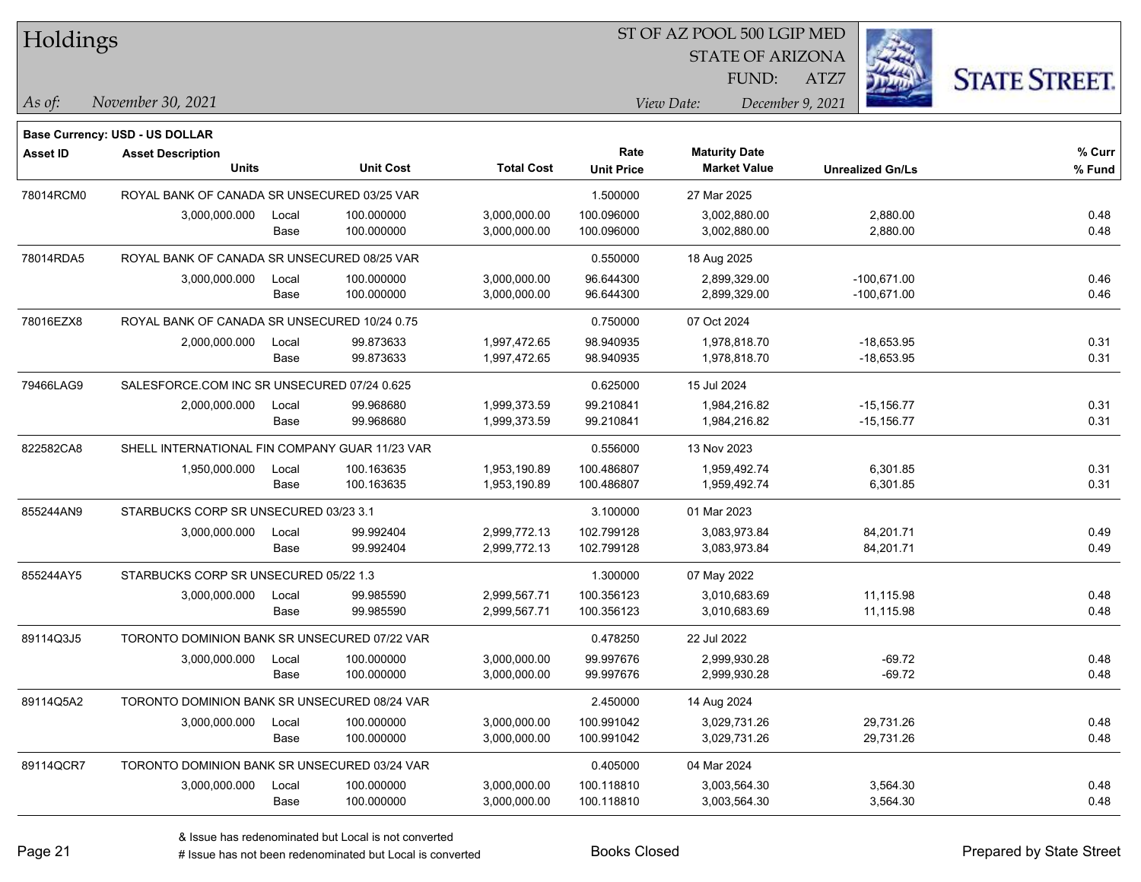| Holdings        |                                                |       |                  |                   | ST OF AZ POOL 500 LGIP MED |                                             |                         |                      |
|-----------------|------------------------------------------------|-------|------------------|-------------------|----------------------------|---------------------------------------------|-------------------------|----------------------|
|                 |                                                |       |                  |                   |                            | <b>STATE OF ARIZONA</b>                     |                         |                      |
|                 |                                                |       |                  |                   |                            | FUND:                                       | ATZ7                    | <b>STATE STREET.</b> |
| $\vert$ As of:  | November 30, 2021                              |       |                  |                   |                            | View Date:                                  | December 9, 2021        |                      |
|                 |                                                |       |                  |                   |                            |                                             |                         |                      |
|                 | <b>Base Currency: USD - US DOLLAR</b>          |       |                  |                   | Rate                       |                                             |                         |                      |
| <b>Asset ID</b> | <b>Asset Description</b><br><b>Units</b>       |       | <b>Unit Cost</b> | <b>Total Cost</b> | <b>Unit Price</b>          | <b>Maturity Date</b><br><b>Market Value</b> | <b>Unrealized Gn/Ls</b> | % Curr<br>% Fund     |
| 78014RCM0       | ROYAL BANK OF CANADA SR UNSECURED 03/25 VAR    |       |                  |                   | 1.500000                   | 27 Mar 2025                                 |                         |                      |
|                 | 3,000,000.000                                  | Local | 100.000000       | 3,000,000.00      | 100.096000                 | 3,002,880.00                                | 2,880.00                | 0.48                 |
|                 |                                                | Base  | 100.000000       | 3,000,000.00      | 100.096000                 | 3,002,880.00                                | 2,880.00                | 0.48                 |
| 78014RDA5       | ROYAL BANK OF CANADA SR UNSECURED 08/25 VAR    |       |                  |                   | 0.550000                   | 18 Aug 2025                                 |                         |                      |
|                 | 3,000,000.000                                  | Local | 100.000000       | 3,000,000.00      | 96.644300                  | 2,899,329.00                                | $-100,671.00$           | 0.46                 |
|                 |                                                | Base  | 100.000000       | 3,000,000.00      | 96.644300                  | 2,899,329.00                                | $-100,671.00$           | 0.46                 |
| 78016EZX8       | ROYAL BANK OF CANADA SR UNSECURED 10/24 0.75   |       |                  |                   | 0.750000                   | 07 Oct 2024                                 |                         |                      |
|                 | 2,000,000.000                                  | Local | 99.873633        | 1,997,472.65      | 98.940935                  | 1,978,818.70                                | $-18,653.95$            | 0.31                 |
|                 |                                                | Base  | 99.873633        | 1,997,472.65      | 98.940935                  | 1,978,818.70                                | $-18,653.95$            | 0.31                 |
| 79466LAG9       | SALESFORCE.COM INC SR UNSECURED 07/24 0.625    |       |                  |                   | 0.625000                   | 15 Jul 2024                                 |                         |                      |
|                 | 2,000,000.000                                  | Local | 99.968680        | 1,999,373.59      | 99.210841                  | 1,984,216.82                                | $-15, 156.77$           | 0.31                 |
|                 |                                                | Base  | 99.968680        | 1,999,373.59      | 99.210841                  | 1,984,216.82                                | $-15,156.77$            | 0.31                 |
| 822582CA8       | SHELL INTERNATIONAL FIN COMPANY GUAR 11/23 VAR |       |                  |                   | 0.556000                   | 13 Nov 2023                                 |                         |                      |
|                 | 1,950,000.000                                  | Local | 100.163635       | 1,953,190.89      | 100.486807                 | 1,959,492.74                                | 6,301.85                | 0.31                 |
|                 |                                                | Base  | 100.163635       | 1,953,190.89      | 100.486807                 | 1,959,492.74                                | 6,301.85                | 0.31                 |
| 855244AN9       | STARBUCKS CORP SR UNSECURED 03/23 3.1          |       |                  |                   | 3.100000                   | 01 Mar 2023                                 |                         |                      |
|                 | 3,000,000.000                                  | Local | 99.992404        | 2,999,772.13      | 102.799128                 | 3,083,973.84                                | 84,201.71               | 0.49                 |
|                 |                                                | Base  | 99.992404        | 2,999,772.13      | 102.799128                 | 3,083,973.84                                | 84,201.71               | 0.49                 |
| 855244AY5       | STARBUCKS CORP SR UNSECURED 05/22 1.3          |       |                  |                   | 1.300000                   | 07 May 2022                                 |                         |                      |
|                 | 3,000,000.000                                  | Local | 99.985590        | 2,999,567.71      | 100.356123                 | 3,010,683.69                                | 11,115.98               | 0.48                 |
|                 |                                                | Base  | 99.985590        | 2,999,567.71      | 100.356123                 | 3,010,683.69                                | 11,115.98               | 0.48                 |
| 89114Q3J5       | TORONTO DOMINION BANK SR UNSECURED 07/22 VAR   |       |                  |                   | 0.478250                   | 22 Jul 2022                                 |                         |                      |
|                 | 3,000,000.000                                  | Local | 100.000000       | 3,000,000.00      | 99.997676                  | 2,999,930.28                                | $-69.72$                | 0.48                 |
|                 |                                                | Base  | 100.000000       | 3,000,000.00      | 99.997676                  | 2,999,930.28                                | -69.72                  | 0.48                 |
| 89114Q5A2       | TORONTO DOMINION BANK SR UNSECURED 08/24 VAR   |       |                  |                   | 2.450000                   | 14 Aug 2024                                 |                         |                      |
|                 | 3,000,000.000                                  | Local | 100.000000       | 3,000,000.00      | 100.991042                 | 3,029,731.26                                | 29,731.26               | 0.48                 |
|                 |                                                | Base  | 100.000000       | 3,000,000.00      | 100.991042                 | 3,029,731.26                                | 29,731.26               | 0.48                 |
| 89114QCR7       | TORONTO DOMINION BANK SR UNSECURED 03/24 VAR   |       |                  |                   | 0.405000                   | 04 Mar 2024                                 |                         |                      |
|                 | 3,000,000.000                                  | Local | 100.000000       | 3,000,000.00      | 100.118810                 | 3,003,564.30                                | 3,564.30                | 0.48                 |
|                 |                                                | Base  | 100.000000       | 3,000,000.00      | 100.118810                 | 3,003,564.30                                | 3,564.30                | 0.48                 |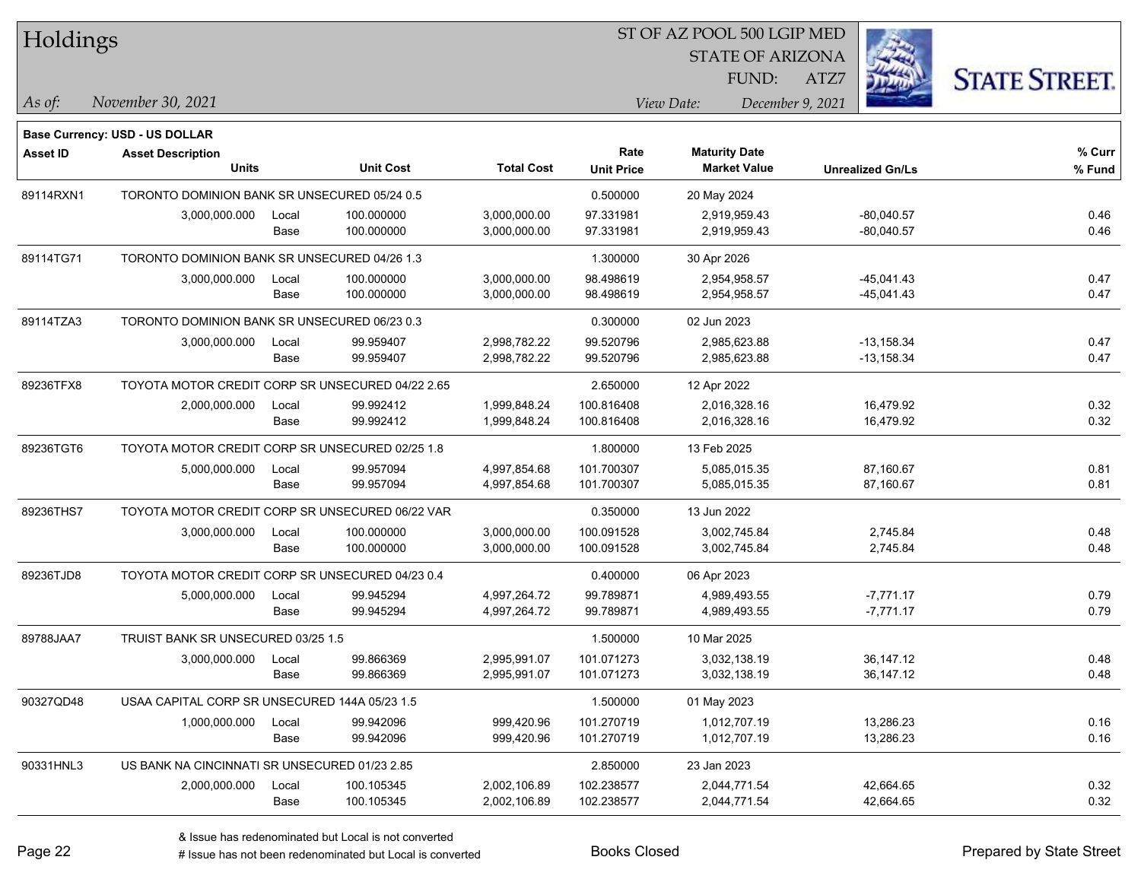| Holdings        |                                                  |       |                  |                   | 51 OF AZ POOL 500 LGIP MED |                         |                  |      |                         |                      |
|-----------------|--------------------------------------------------|-------|------------------|-------------------|----------------------------|-------------------------|------------------|------|-------------------------|----------------------|
|                 |                                                  |       |                  |                   |                            | <b>STATE OF ARIZONA</b> |                  |      | $\frac{1}{2}$           |                      |
|                 |                                                  |       |                  |                   |                            |                         | FUND:            | ATZ7 |                         | <b>STATE STREET.</b> |
| As of:          | November 30, 2021                                |       |                  |                   |                            | View Date:              | December 9, 2021 |      |                         |                      |
|                 | <b>Base Currency: USD - US DOLLAR</b>            |       |                  |                   |                            |                         |                  |      |                         |                      |
| <b>Asset ID</b> | <b>Asset Description</b>                         |       |                  |                   | Rate                       | <b>Maturity Date</b>    |                  |      |                         | % Curr               |
|                 | <b>Units</b>                                     |       | <b>Unit Cost</b> | <b>Total Cost</b> | <b>Unit Price</b>          | <b>Market Value</b>     |                  |      | <b>Unrealized Gn/Ls</b> | % Fund               |
| 89114RXN1       | TORONTO DOMINION BANK SR UNSECURED 05/24 0.5     |       |                  |                   | 0.500000                   | 20 May 2024             |                  |      |                         |                      |
|                 | 3,000,000.000                                    | Local | 100.000000       | 3,000,000.00      | 97.331981                  | 2,919,959.43            |                  |      | $-80,040.57$            | 0.46                 |
|                 |                                                  | Base  | 100.000000       | 3,000,000.00      | 97.331981                  | 2,919,959.43            |                  |      | $-80,040.57$            | 0.46                 |
| 89114TG71       | TORONTO DOMINION BANK SR UNSECURED 04/26 1.3     |       |                  |                   | 1.300000                   | 30 Apr 2026             |                  |      |                         |                      |
|                 | 3,000,000.000                                    | Local | 100.000000       | 3,000,000.00      | 98.498619                  | 2,954,958.57            |                  |      | $-45,041.43$            | 0.47                 |
|                 |                                                  | Base  | 100.000000       | 3,000,000.00      | 98.498619                  | 2,954,958.57            |                  |      | $-45,041.43$            | 0.47                 |
| 89114TZA3       | TORONTO DOMINION BANK SR UNSECURED 06/23 0.3     |       |                  |                   | 0.300000                   | 02 Jun 2023             |                  |      |                         |                      |
|                 | 3,000,000.000                                    | Local | 99.959407        | 2,998,782.22      | 99.520796                  | 2,985,623.88            |                  |      | $-13,158.34$            | 0.47                 |
|                 |                                                  | Base  | 99.959407        | 2,998,782.22      | 99.520796                  | 2,985,623.88            |                  |      | $-13,158.34$            | 0.47                 |
| 89236TFX8       | TOYOTA MOTOR CREDIT CORP SR UNSECURED 04/22 2.65 |       |                  |                   | 2.650000                   | 12 Apr 2022             |                  |      |                         |                      |
|                 | 2,000,000.000                                    | Local | 99.992412        | 1,999,848.24      | 100.816408                 | 2,016,328.16            |                  |      | 16,479.92               | 0.32                 |
|                 |                                                  | Base  | 99.992412        | 1,999,848.24      | 100.816408                 | 2,016,328.16            |                  |      | 16,479.92               | 0.32                 |
| 89236TGT6       | TOYOTA MOTOR CREDIT CORP SR UNSECURED 02/25 1.8  |       |                  |                   | 1.800000                   | 13 Feb 2025             |                  |      |                         |                      |
|                 | 5,000,000.000                                    | Local | 99.957094        | 4,997,854.68      | 101.700307                 | 5,085,015.35            |                  |      | 87,160.67               | 0.81                 |
|                 |                                                  | Base  | 99.957094        | 4,997,854.68      | 101.700307                 | 5,085,015.35            |                  |      | 87,160.67               | 0.81                 |
| 89236THS7       | TOYOTA MOTOR CREDIT CORP SR UNSECURED 06/22 VAR  |       |                  |                   | 0.350000                   | 13 Jun 2022             |                  |      |                         |                      |
|                 | 3,000,000.000                                    | Local | 100.000000       | 3,000,000.00      | 100.091528                 | 3,002,745.84            |                  |      | 2,745.84                | 0.48                 |
|                 |                                                  | Base  | 100.000000       | 3,000,000.00      | 100.091528                 | 3,002,745.84            |                  |      | 2,745.84                | 0.48                 |
| 89236TJD8       | TOYOTA MOTOR CREDIT CORP SR UNSECURED 04/23 0.4  |       |                  |                   | 0.400000                   | 06 Apr 2023             |                  |      |                         |                      |
|                 | 5,000,000.000                                    | Local | 99.945294        | 4,997,264.72      | 99.789871                  | 4,989,493.55            |                  |      | $-7,771.17$             | 0.79                 |
|                 |                                                  | Base  | 99.945294        | 4,997,264.72      | 99.789871                  | 4,989,493.55            |                  |      | $-7,771.17$             | 0.79                 |
| 89788JAA7       | TRUIST BANK SR UNSECURED 03/25 1.5               |       |                  |                   | 1.500000                   | 10 Mar 2025             |                  |      |                         |                      |
|                 | 3,000,000.000                                    | Local | 99.866369        | 2,995,991.07      | 101.071273                 | 3,032,138.19            |                  |      | 36, 147. 12             | 0.48                 |
|                 |                                                  | Base  | 99.866369        | 2,995,991.07      | 101.071273                 | 3,032,138.19            |                  |      | 36,147.12               | 0.48                 |
| 90327QD48       | USAA CAPITAL CORP SR UNSECURED 144A 05/23 1.5    |       |                  |                   | 1.500000                   | 01 May 2023             |                  |      |                         |                      |
|                 | 1,000,000.000                                    | Local | 99.942096        | 999,420.96        | 101.270719                 | 1,012,707.19            |                  |      | 13,286.23               | 0.16                 |
|                 |                                                  | Base  | 99.942096        | 999,420.96        | 101.270719                 | 1,012,707.19            |                  |      | 13,286.23               | 0.16                 |
| 90331HNL3       | US BANK NA CINCINNATI SR UNSECURED 01/23 2.85    |       |                  |                   | 2.850000                   | 23 Jan 2023             |                  |      |                         |                      |
|                 | 2,000,000.000                                    | Local | 100.105345       | 2,002,106.89      | 102.238577                 | 2,044,771.54            |                  |      | 42,664.65               | 0.32                 |
|                 |                                                  | Base  | 100.105345       | 2,002,106.89      | 102.238577                 | 2,044,771.54            |                  |      | 42,664.65               | 0.32                 |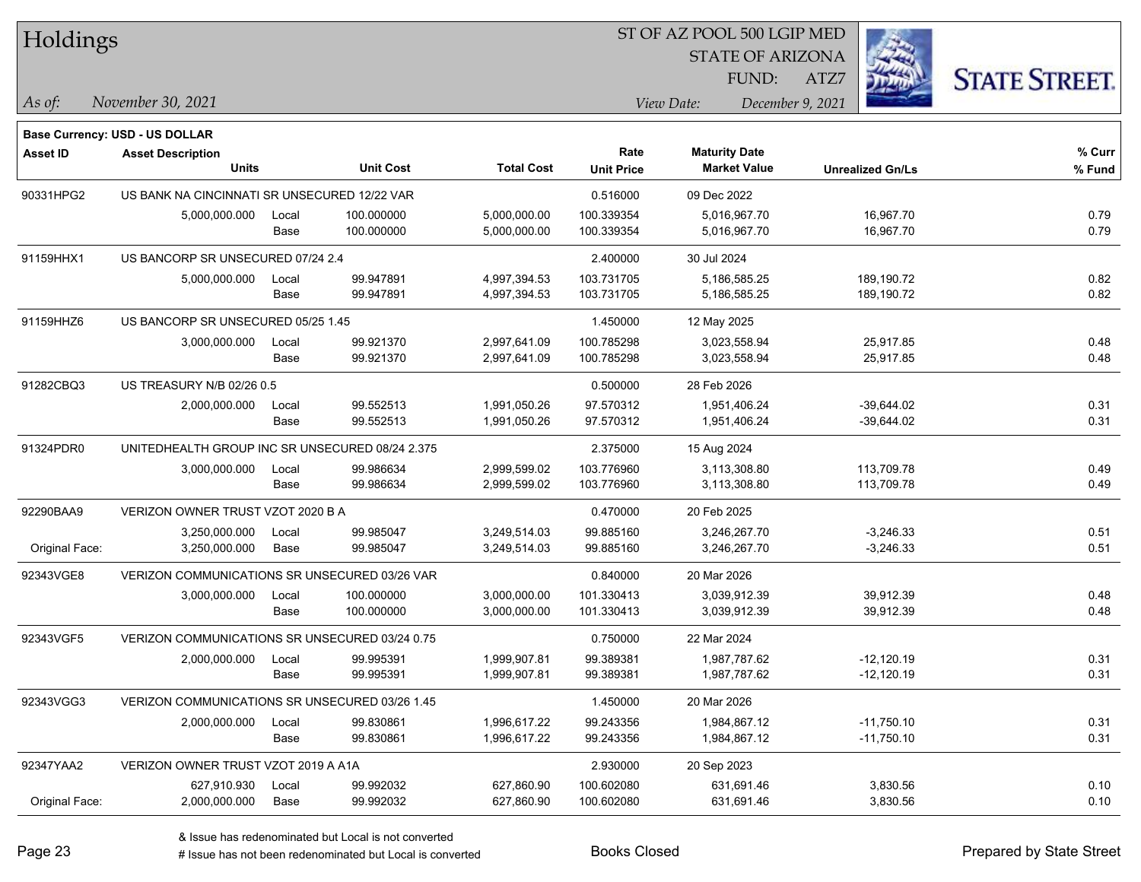| Holdings        |                                                 |       |                  |                   |                   |                      | ST OF AZ POOL 500 LGIP MED |                         |                      |
|-----------------|-------------------------------------------------|-------|------------------|-------------------|-------------------|----------------------|----------------------------|-------------------------|----------------------|
|                 |                                                 |       |                  |                   |                   |                      | <b>STATE OF ARIZONA</b>    |                         |                      |
|                 |                                                 |       |                  |                   |                   | FUND:                | ATZ7                       |                         | <b>STATE STREET.</b> |
| As of:          | November 30, 2021                               |       |                  |                   |                   | View Date:           | December 9, 2021           |                         |                      |
|                 | <b>Base Currency: USD - US DOLLAR</b>           |       |                  |                   |                   |                      |                            |                         |                      |
| <b>Asset ID</b> | <b>Asset Description</b>                        |       |                  |                   | Rate              | <b>Maturity Date</b> |                            |                         | % Curr               |
|                 | <b>Units</b>                                    |       | <b>Unit Cost</b> | <b>Total Cost</b> | <b>Unit Price</b> | <b>Market Value</b>  |                            | <b>Unrealized Gn/Ls</b> | % Fund               |
| 90331HPG2       | US BANK NA CINCINNATI SR UNSECURED 12/22 VAR    |       |                  |                   | 0.516000          | 09 Dec 2022          |                            |                         |                      |
|                 | 5,000,000.000                                   | Local | 100.000000       | 5,000,000.00      | 100.339354        | 5,016,967.70         |                            | 16,967.70               | 0.79                 |
|                 |                                                 | Base  | 100.000000       | 5,000,000.00      | 100.339354        | 5,016,967.70         |                            | 16,967.70               | 0.79                 |
| 91159HHX1       | US BANCORP SR UNSECURED 07/24 2.4               |       |                  |                   | 2.400000          | 30 Jul 2024          |                            |                         |                      |
|                 | 5,000,000.000                                   | Local | 99.947891        | 4,997,394.53      | 103.731705        | 5,186,585.25         |                            | 189,190.72              | 0.82                 |
|                 |                                                 | Base  | 99.947891        | 4,997,394.53      | 103.731705        | 5,186,585.25         |                            | 189,190.72              | 0.82                 |
| 91159HHZ6       | US BANCORP SR UNSECURED 05/25 1.45              |       |                  |                   | 1.450000          | 12 May 2025          |                            |                         |                      |
|                 | 3,000,000.000                                   | Local | 99.921370        | 2,997,641.09      | 100.785298        | 3,023,558.94         |                            | 25,917.85               | 0.48                 |
|                 |                                                 | Base  | 99.921370        | 2,997,641.09      | 100.785298        | 3,023,558.94         |                            | 25,917.85               | 0.48                 |
| 91282CBQ3       | US TREASURY N/B 02/26 0.5                       |       |                  |                   | 0.500000          | 28 Feb 2026          |                            |                         |                      |
|                 | 2,000,000.000                                   | Local | 99.552513        | 1,991,050.26      | 97.570312         | 1,951,406.24         |                            | $-39,644.02$            | 0.31                 |
|                 |                                                 | Base  | 99.552513        | 1,991,050.26      | 97.570312         | 1,951,406.24         |                            | $-39,644.02$            | 0.31                 |
| 91324PDR0       | UNITEDHEALTH GROUP INC SR UNSECURED 08/24 2.375 |       |                  |                   | 2.375000          | 15 Aug 2024          |                            |                         |                      |
|                 | 3,000,000.000                                   | Local | 99.986634        | 2,999,599.02      | 103.776960        | 3,113,308.80         |                            | 113,709.78              | 0.49                 |
|                 |                                                 | Base  | 99.986634        | 2,999,599.02      | 103.776960        | 3,113,308.80         |                            | 113,709.78              | 0.49                 |
| 92290BAA9       | VERIZON OWNER TRUST VZOT 2020 B A               |       |                  |                   | 0.470000          | 20 Feb 2025          |                            |                         |                      |
|                 | 3,250,000.000                                   | Local | 99.985047        | 3,249,514.03      | 99.885160         | 3,246,267.70         |                            | $-3,246.33$             | 0.51                 |
| Original Face:  | 3,250,000.000                                   | Base  | 99.985047        | 3,249,514.03      | 99.885160         | 3,246,267.70         |                            | $-3,246.33$             | 0.51                 |
| 92343VGE8       | VERIZON COMMUNICATIONS SR UNSECURED 03/26 VAR   |       |                  |                   | 0.840000          | 20 Mar 2026          |                            |                         |                      |
|                 | 3,000,000.000                                   | Local | 100.000000       | 3,000,000.00      | 101.330413        | 3,039,912.39         |                            | 39,912.39               | 0.48                 |
|                 |                                                 | Base  | 100.000000       | 3,000,000.00      | 101.330413        | 3,039,912.39         |                            | 39,912.39               | 0.48                 |
| 92343VGF5       | VERIZON COMMUNICATIONS SR UNSECURED 03/24 0.75  |       |                  |                   | 0.750000          | 22 Mar 2024          |                            |                         |                      |
|                 | 2,000,000.000                                   | Local | 99.995391        | 1,999,907.81      | 99.389381         | 1,987,787.62         |                            | $-12,120.19$            | 0.31                 |
|                 |                                                 | Base  | 99.995391        | 1,999,907.81      | 99.389381         | 1,987,787.62         |                            | $-12,120.19$            | 0.31                 |
| 92343VGG3       | VERIZON COMMUNICATIONS SR UNSECURED 03/26 1.45  |       |                  |                   | 1.450000          | 20 Mar 2026          |                            |                         |                      |
|                 | 2,000,000.000                                   | Local | 99.830861        | 1,996,617.22      | 99.243356         | 1,984,867.12         |                            | $-11,750.10$            | 0.31                 |
|                 |                                                 | Base  | 99.830861        | 1,996,617.22      | 99.243356         | 1,984,867.12         |                            | $-11,750.10$            | 0.31                 |
| 92347YAA2       | VERIZON OWNER TRUST VZOT 2019 A A1A             |       |                  |                   | 2.930000          | 20 Sep 2023          |                            |                         |                      |
|                 | 627,910.930                                     | Local | 99.992032        | 627,860.90        | 100.602080        | 631,691.46           |                            | 3,830.56                | 0.10                 |
| Original Face:  | 2,000,000.000                                   | Base  | 99.992032        | 627,860.90        | 100.602080        | 631,691.46           |                            | 3,830.56                | 0.10                 |

 $\overline{\phantom{0}}$ 

 $\overline{\phantom{0}}$ 

 $\overline{\phantom{0}}$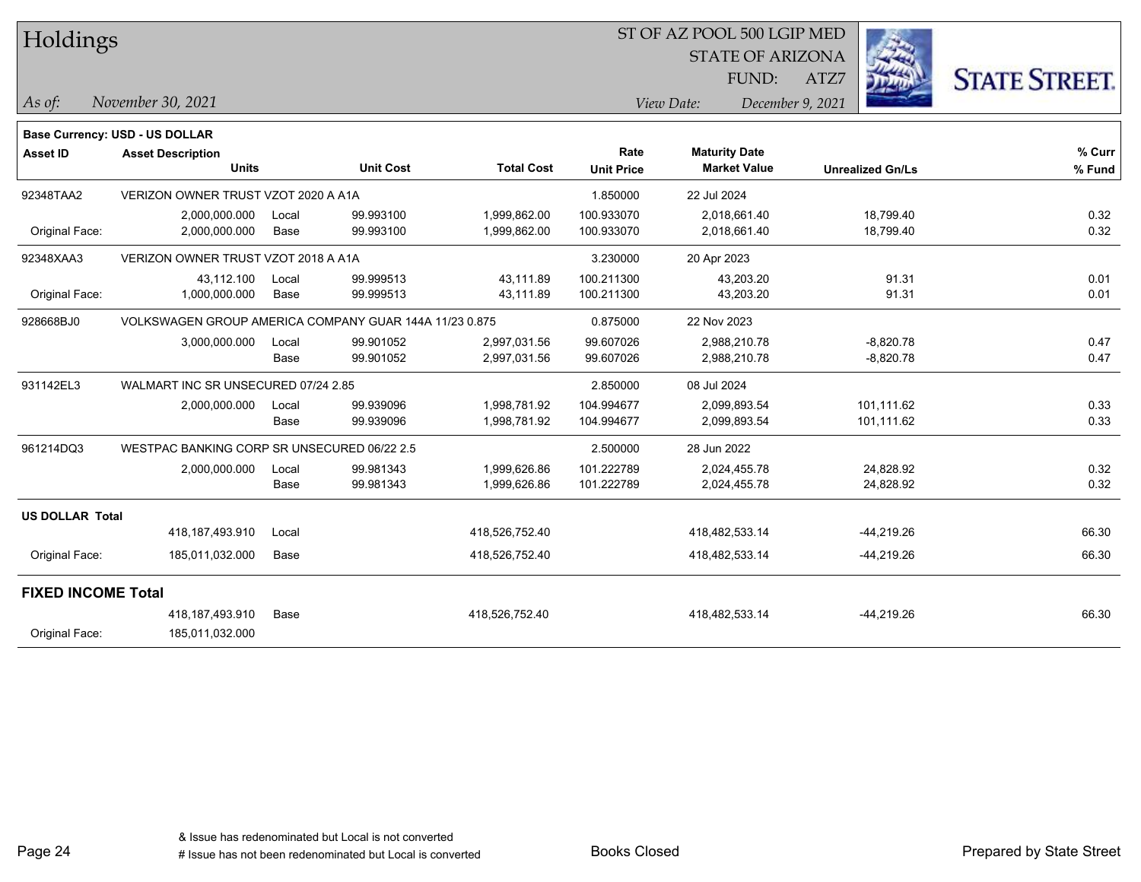| Holdings                  |                                                        |       |                  |                   | ST OF AZ POOL 500 LGIP MED |                                |                         |                      |  |  |  |
|---------------------------|--------------------------------------------------------|-------|------------------|-------------------|----------------------------|--------------------------------|-------------------------|----------------------|--|--|--|
|                           |                                                        |       |                  |                   |                            | <b>STATE OF ARIZONA</b>        |                         |                      |  |  |  |
|                           |                                                        |       |                  |                   |                            | FUND:                          | ATZ7                    | <b>STATE STREET.</b> |  |  |  |
| $\vert$ As of:            | November 30, 2021                                      |       |                  |                   |                            | View Date:<br>December 9, 2021 |                         |                      |  |  |  |
|                           | <b>Base Currency: USD - US DOLLAR</b>                  |       |                  |                   |                            |                                |                         |                      |  |  |  |
| <b>Asset ID</b>           | <b>Asset Description</b>                               |       |                  |                   | Rate                       | <b>Maturity Date</b>           |                         | % Curr               |  |  |  |
|                           | <b>Units</b>                                           |       | <b>Unit Cost</b> | <b>Total Cost</b> | <b>Unit Price</b>          | <b>Market Value</b>            | <b>Unrealized Gn/Ls</b> | % Fund               |  |  |  |
| 92348TAA2                 | VERIZON OWNER TRUST VZOT 2020 A A1A                    |       |                  |                   | 1.850000                   | 22 Jul 2024                    |                         |                      |  |  |  |
|                           | 2,000,000.000                                          | Local | 99.993100        | 1,999,862.00      | 100.933070                 | 2,018,661.40                   | 18,799.40               | 0.32                 |  |  |  |
| Original Face:            | 2,000,000.000                                          | Base  | 99.993100        | 1,999,862.00      | 100.933070                 | 2,018,661.40                   | 18,799.40               | 0.32                 |  |  |  |
| 92348XAA3                 | VERIZON OWNER TRUST VZOT 2018 A A1A                    |       |                  |                   | 3.230000                   | 20 Apr 2023                    |                         |                      |  |  |  |
|                           | 43,112.100                                             | Local | 99.999513        | 43,111.89         | 100.211300                 | 43,203.20                      | 91.31                   | 0.01                 |  |  |  |
| Original Face:            | 1,000,000.000                                          | Base  | 99.999513        | 43,111.89         | 100.211300                 | 43,203.20                      | 91.31                   | 0.01                 |  |  |  |
| 928668BJ0                 | VOLKSWAGEN GROUP AMERICA COMPANY GUAR 144A 11/23 0.875 |       |                  |                   | 0.875000                   | 22 Nov 2023                    |                         |                      |  |  |  |
|                           | 3,000,000.000                                          | Local | 99.901052        | 2,997,031.56      | 99.607026                  | 2,988,210.78                   | $-8,820.78$             | 0.47                 |  |  |  |
|                           |                                                        | Base  | 99.901052        | 2,997,031.56      | 99.607026                  | 2,988,210.78                   | $-8,820.78$             | 0.47                 |  |  |  |
| 931142EL3                 | WALMART INC SR UNSECURED 07/24 2.85                    |       |                  |                   | 2.850000                   | 08 Jul 2024                    |                         |                      |  |  |  |
|                           | 2,000,000.000                                          | Local | 99.939096        | 1,998,781.92      | 104.994677                 | 2,099,893.54                   | 101,111.62              | 0.33                 |  |  |  |
|                           |                                                        | Base  | 99.939096        | 1,998,781.92      | 104.994677                 | 2,099,893.54                   | 101,111.62              | 0.33                 |  |  |  |
| 961214DQ3                 | WESTPAC BANKING CORP SR UNSECURED 06/22 2.5            |       |                  |                   | 2.500000                   | 28 Jun 2022                    |                         |                      |  |  |  |
|                           | 2,000,000.000                                          | Local | 99.981343        | 1,999,626.86      | 101.222789                 | 2,024,455.78                   | 24,828.92               | 0.32                 |  |  |  |
|                           |                                                        | Base  | 99.981343        | 1,999,626.86      | 101.222789                 | 2,024,455.78                   | 24,828.92               | 0.32                 |  |  |  |
| <b>US DOLLAR Total</b>    |                                                        |       |                  |                   |                            |                                |                         |                      |  |  |  |
|                           | 418, 187, 493. 910                                     | Local |                  | 418,526,752.40    |                            | 418,482,533.14                 | $-44,219.26$            | 66.30                |  |  |  |
| Original Face:            | 185,011,032.000                                        | Base  |                  | 418,526,752.40    |                            | 418,482,533.14                 | -44,219.26              | 66.30                |  |  |  |
| <b>FIXED INCOME Total</b> |                                                        |       |                  |                   |                            |                                |                         |                      |  |  |  |
|                           | 418,187,493.910                                        | Base  |                  | 418,526,752.40    |                            | 418,482,533.14                 | $-44,219.26$            | 66.30                |  |  |  |
| Original Face:            | 185,011,032.000                                        |       |                  |                   |                            |                                |                         |                      |  |  |  |

Page 24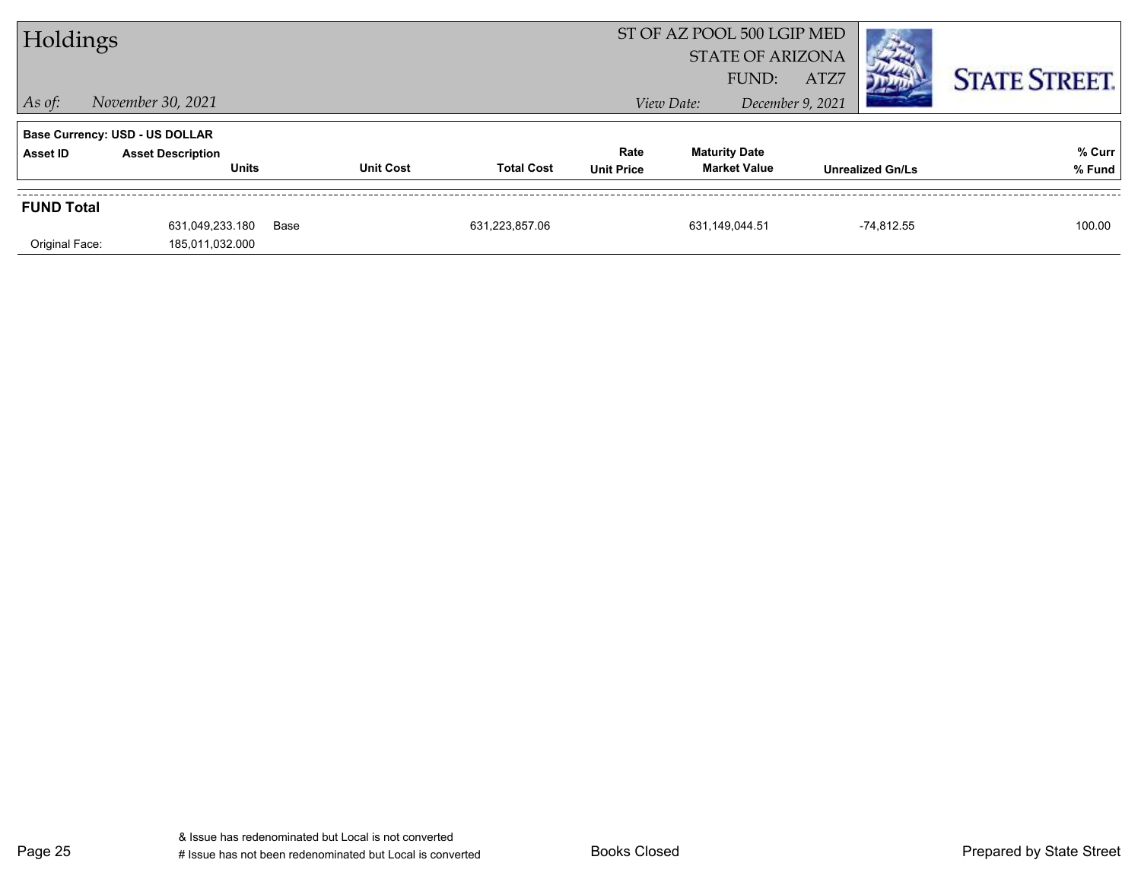| Holdings          |                                       |                  |                   |                   | ST OF AZ POOL 500 LGIP MED<br><b>STATE OF ARIZONA</b> |                         |                        |
|-------------------|---------------------------------------|------------------|-------------------|-------------------|-------------------------------------------------------|-------------------------|------------------------|
|                   |                                       |                  |                   |                   | FUND:                                                 | ATZ7                    | <b>STATE STREET.</b>   |
| $\vert$ As of:    | November 30, 2021                     |                  |                   |                   | View Date:                                            | December 9, 2021        |                        |
|                   | <b>Base Currency: USD - US DOLLAR</b> |                  |                   |                   |                                                       |                         |                        |
| Asset ID          | <b>Asset Description</b>              | <b>Unit Cost</b> | <b>Total Cost</b> | Rate              | <b>Maturity Date</b><br><b>Market Value</b>           |                         | % Curr                 |
|                   | <b>Units</b>                          |                  |                   | <b>Unit Price</b> |                                                       | <b>Unrealized Gn/Ls</b> | % Fund                 |
| <b>FUND Total</b> |                                       |                  |                   |                   |                                                       |                         |                        |
|                   | 631,049,233.180                       | Base             | 631.223.857.06    |                   | 631.149.044.51                                        |                         | $-74.812.55$<br>100.00 |
| Original Face:    | 185,011,032.000                       |                  |                   |                   |                                                       |                         |                        |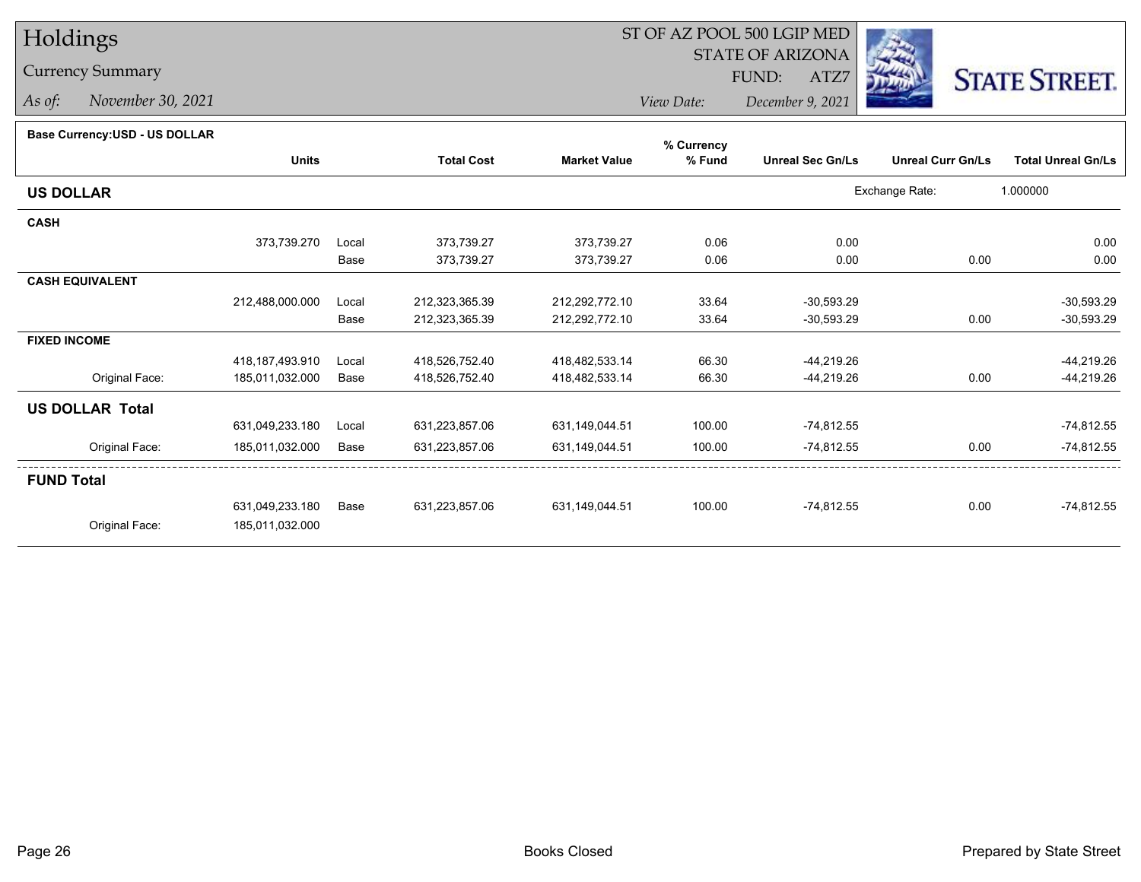# Holdings

### Currency Summary

*As of: November 30, 2021*

### ST OF AZ POOL 500 LGIP MED

 STATE OF ARIZONAFUND:

ATZ7



*View Date:December 9, 2021*

#### **Base Currency:USD - US DOLLAR**

|                        |                    |       |                   |                     | % Currency |                         |                          |                           |
|------------------------|--------------------|-------|-------------------|---------------------|------------|-------------------------|--------------------------|---------------------------|
|                        | <b>Units</b>       |       | <b>Total Cost</b> | <b>Market Value</b> | % Fund     | <b>Unreal Sec Gn/Ls</b> | <b>Unreal Curr Gn/Ls</b> | <b>Total Unreal Gn/Ls</b> |
| <b>US DOLLAR</b>       |                    |       |                   |                     |            |                         | Exchange Rate:           | 1.000000                  |
| <b>CASH</b>            |                    |       |                   |                     |            |                         |                          |                           |
|                        | 373,739.270        | Local | 373,739.27        | 373,739.27          | 0.06       | 0.00                    |                          | 0.00                      |
|                        |                    | Base  | 373,739.27        | 373,739.27          | 0.06       | 0.00                    | 0.00                     | 0.00                      |
| <b>CASH EQUIVALENT</b> |                    |       |                   |                     |            |                         |                          |                           |
|                        | 212,488,000.000    | Local | 212,323,365.39    | 212,292,772.10      | 33.64      | $-30,593.29$            |                          | $-30,593.29$              |
|                        |                    | Base  | 212,323,365.39    | 212,292,772.10      | 33.64      | $-30,593.29$            | 0.00                     | $-30,593.29$              |
| <b>FIXED INCOME</b>    |                    |       |                   |                     |            |                         |                          |                           |
|                        | 418, 187, 493. 910 | Local | 418,526,752.40    | 418,482,533.14      | 66.30      | -44,219.26              |                          | -44,219.26                |
| Original Face:         | 185,011,032.000    | Base  | 418,526,752.40    | 418,482,533.14      | 66.30      | -44,219.26              | 0.00                     | -44,219.26                |
| <b>US DOLLAR Total</b> |                    |       |                   |                     |            |                         |                          |                           |
|                        | 631,049,233.180    | Local | 631,223,857.06    | 631,149,044.51      | 100.00     | -74,812.55              |                          | $-74,812.55$              |
| Original Face:         | 185,011,032.000    | Base  | 631,223,857.06    | 631,149,044.51      | 100.00     | -74,812.55              | 0.00                     | $-74,812.55$              |
| <b>FUND Total</b>      |                    |       |                   |                     |            |                         |                          |                           |
|                        | 631,049,233.180    | Base  | 631,223,857.06    | 631,149,044.51      | 100.00     | $-74,812.55$            | 0.00                     | $-74,812.55$              |
| Original Face:         | 185,011,032.000    |       |                   |                     |            |                         |                          |                           |
|                        |                    |       |                   |                     |            |                         |                          |                           |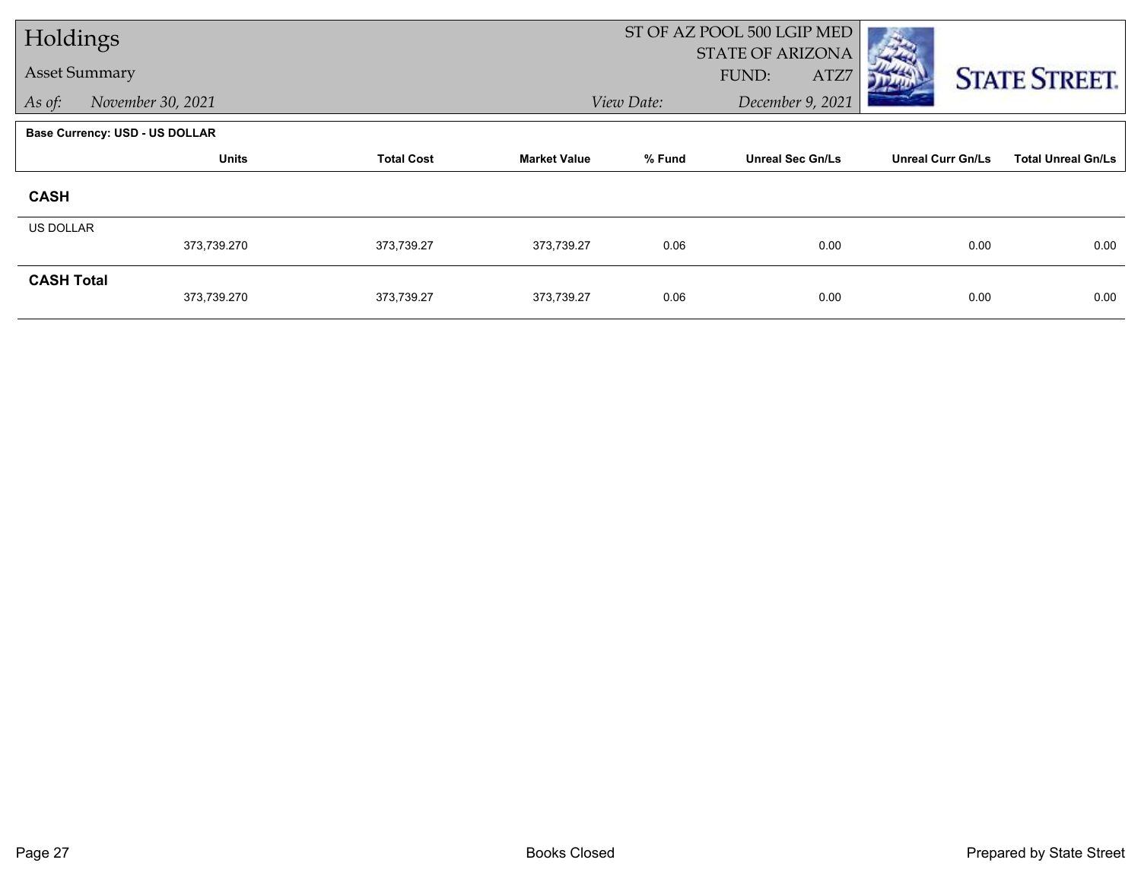| Holdings             |                                       |                   |                     | ST OF AZ POOL 500 LGIP MED |                                          |                          |                           |
|----------------------|---------------------------------------|-------------------|---------------------|----------------------------|------------------------------------------|--------------------------|---------------------------|
| <b>Asset Summary</b> |                                       |                   |                     |                            | <b>STATE OF ARIZONA</b><br>FUND:<br>ATZ7 |                          |                           |
|                      |                                       |                   |                     |                            |                                          |                          | <b>STATE STREET.</b>      |
| As of:               | November 30, 2021                     |                   |                     | View Date:                 | December 9, 2021                         |                          |                           |
|                      | <b>Base Currency: USD - US DOLLAR</b> |                   |                     |                            |                                          |                          |                           |
|                      | <b>Units</b>                          | <b>Total Cost</b> | <b>Market Value</b> | % Fund                     | <b>Unreal Sec Gn/Ls</b>                  | <b>Unreal Curr Gn/Ls</b> | <b>Total Unreal Gn/Ls</b> |
| <b>CASH</b>          |                                       |                   |                     |                            |                                          |                          |                           |
| <b>US DOLLAR</b>     |                                       |                   |                     |                            |                                          |                          |                           |
|                      | 373,739.270                           | 373,739.27        | 373,739.27          | 0.06                       | 0.00                                     | 0.00                     | 0.00                      |
| <b>CASH Total</b>    |                                       |                   |                     |                            |                                          |                          |                           |
|                      | 373,739.270                           | 373,739.27        | 373,739.27          | 0.06                       | 0.00                                     | 0.00                     | 0.00                      |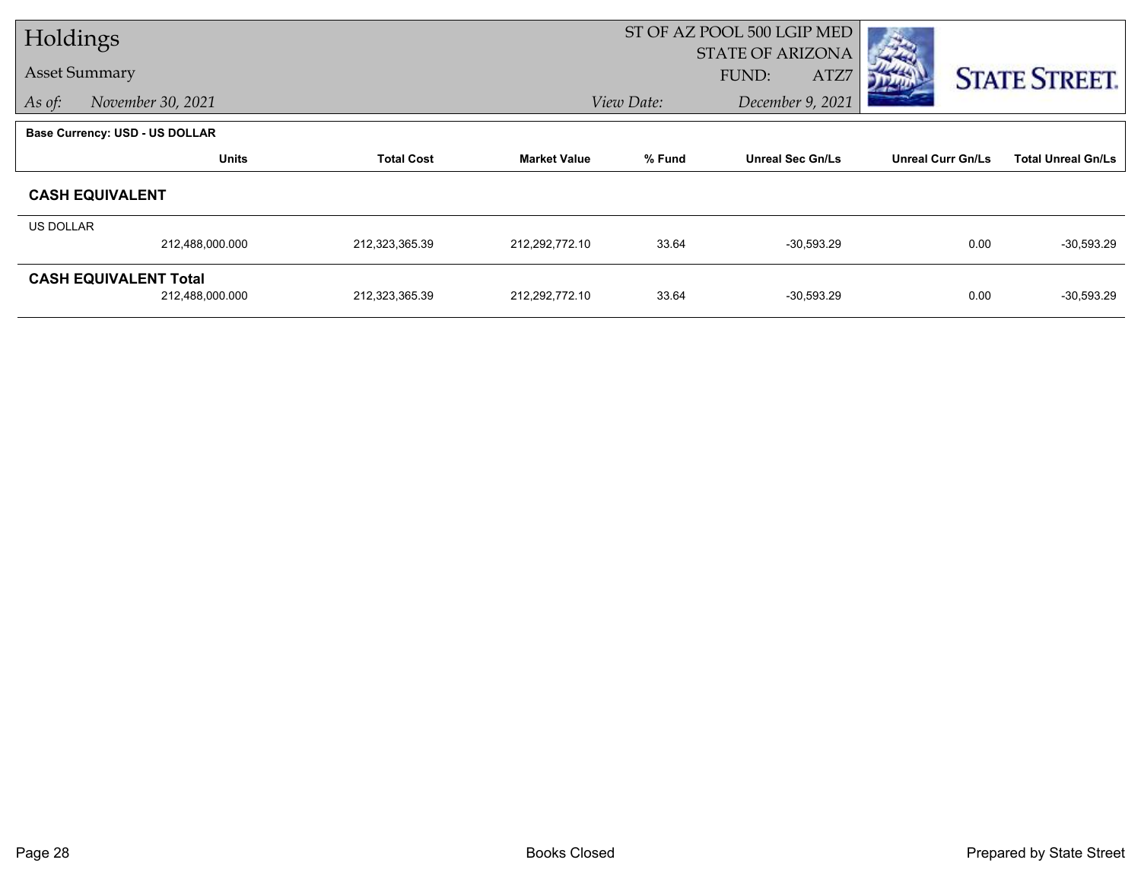| Holdings             |                                       |                   |                     | ST OF AZ POOL 500 LGIP MED        |                  |                          |                           |  |  |
|----------------------|---------------------------------------|-------------------|---------------------|-----------------------------------|------------------|--------------------------|---------------------------|--|--|
|                      |                                       |                   |                     |                                   | STATE OF ARIZONA |                          |                           |  |  |
| <b>Asset Summary</b> |                                       |                   |                     |                                   | FUND:<br>ATZ7    |                          | <b>STATE STREET.</b>      |  |  |
| As of:               | November 30, 2021                     |                   |                     | View Date:<br>December 9, 2021    |                  |                          |                           |  |  |
|                      | <b>Base Currency: USD - US DOLLAR</b> |                   |                     |                                   |                  |                          |                           |  |  |
|                      | <b>Units</b>                          | <b>Total Cost</b> | <b>Market Value</b> | % Fund<br><b>Unreal Sec Gn/Ls</b> |                  | <b>Unreal Curr Gn/Ls</b> | <b>Total Unreal Gn/Ls</b> |  |  |
|                      | <b>CASH EQUIVALENT</b>                |                   |                     |                                   |                  |                          |                           |  |  |
| <b>US DOLLAR</b>     |                                       |                   |                     |                                   |                  |                          |                           |  |  |
|                      | 212,488,000.000                       | 212,323,365.39    | 212,292,772.10      | 33.64                             | $-30,593.29$     | 0.00                     | $-30,593.29$              |  |  |
|                      | <b>CASH EQUIVALENT Total</b>          |                   |                     |                                   |                  |                          |                           |  |  |
|                      | 212,488,000.000                       | 212,323,365.39    | 212,292,772.10      | 33.64                             | $-30,593.29$     | 0.00                     | $-30,593.29$              |  |  |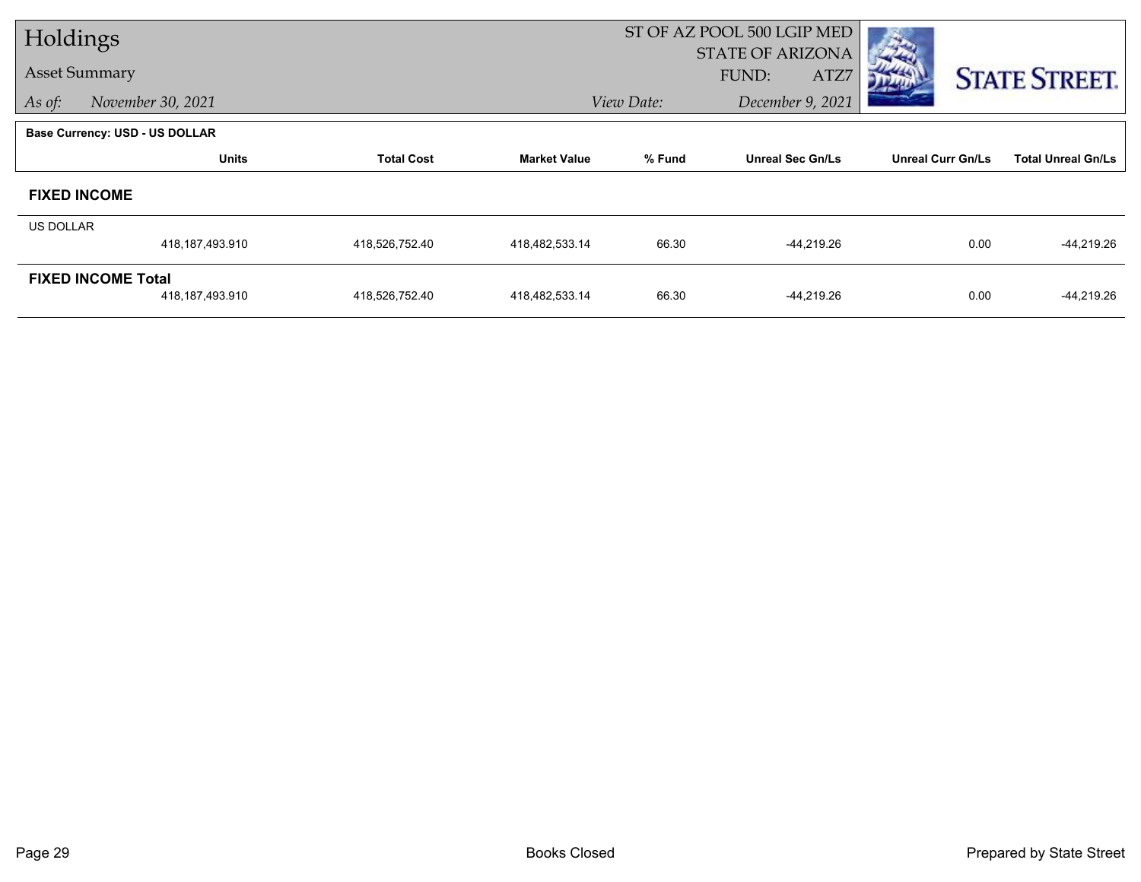| Holdings  |                                |                   |                     |                                | ST OF AZ POOL 500 LGIP MED |                          |                           |
|-----------|--------------------------------|-------------------|---------------------|--------------------------------|----------------------------|--------------------------|---------------------------|
|           |                                |                   |                     |                                | STATE OF ARIZONA           |                          |                           |
|           | <b>Asset Summary</b>           |                   |                     |                                | FUND:<br>ATZ7              |                          | <b>STATE STREET.</b>      |
| As of:    | November 30, 2021              |                   |                     | View Date:<br>December 9, 2021 |                            |                          |                           |
|           | Base Currency: USD - US DOLLAR |                   |                     |                                |                            |                          |                           |
|           | <b>Units</b>                   | <b>Total Cost</b> | <b>Market Value</b> | % Fund                         | <b>Unreal Sec Gn/Ls</b>    | <b>Unreal Curr Gn/Ls</b> | <b>Total Unreal Gn/Ls</b> |
|           | <b>FIXED INCOME</b>            |                   |                     |                                |                            |                          |                           |
| US DOLLAR |                                |                   |                     |                                |                            |                          |                           |
|           | 418, 187, 493. 910             | 418,526,752.40    | 418,482,533.14      | 66.30                          | -44,219.26                 | 0.00                     | -44,219.26                |
|           | <b>FIXED INCOME Total</b>      |                   |                     |                                |                            |                          |                           |
|           | 418,187,493.910                | 418,526,752.40    | 418,482,533.14      | 66.30                          | -44,219.26                 | 0.00                     | -44,219.26                |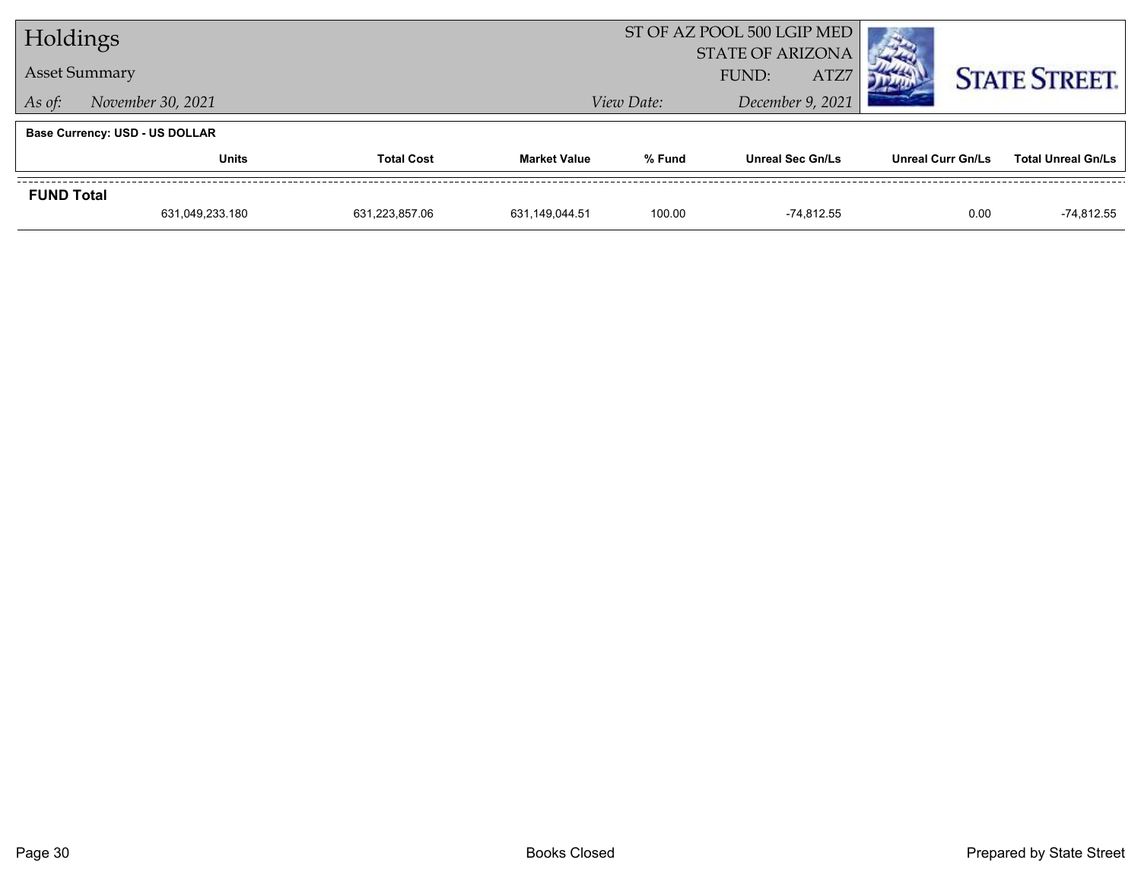| Holdings             |                                       |                   |                         | ST OF AZ POOL 500 LGIP MED |                         |                          |                           |  |
|----------------------|---------------------------------------|-------------------|-------------------------|----------------------------|-------------------------|--------------------------|---------------------------|--|
|                      |                                       |                   | <b>STATE OF ARIZONA</b> |                            |                         |                          |                           |  |
| <b>Asset Summary</b> |                                       |                   |                         | ATZ7<br>FUND:              |                         |                          | <b>STATE STREET.</b>      |  |
| As of:               | November 30, 2021                     |                   | View Date:              | December 9, 2021           |                         |                          |                           |  |
|                      | <b>Base Currency: USD - US DOLLAR</b> |                   |                         |                            |                         |                          |                           |  |
|                      | <b>Units</b>                          | <b>Total Cost</b> | <b>Market Value</b>     | % Fund                     | <b>Unreal Sec Gn/Ls</b> | <b>Unreal Curr Gn/Ls</b> | <b>Total Unreal Gn/Ls</b> |  |
| <b>FUND Total</b>    |                                       |                   |                         |                            |                         |                          |                           |  |
|                      | 631,049,233.180                       | 631,223,857.06    | 631.149.044.51          | 100.00                     | -74.812.55              | 0.00                     | -74,812.55                |  |